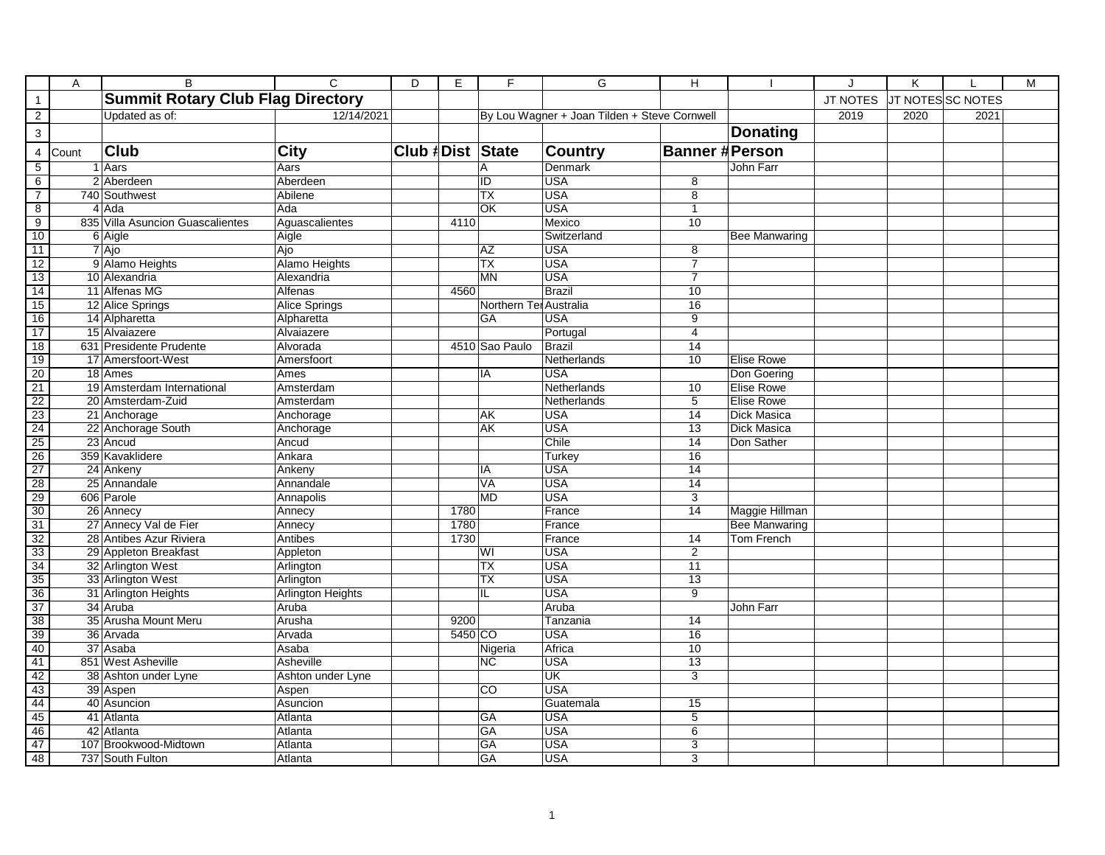|                                                                       | A     | $\overline{B}$                           | $\overline{c}$           | $\overline{D}$   | E       | F                      | G                                            | $\overline{H}$        |                      | J               | K    |                   | M |
|-----------------------------------------------------------------------|-------|------------------------------------------|--------------------------|------------------|---------|------------------------|----------------------------------------------|-----------------------|----------------------|-----------------|------|-------------------|---|
| $\mathbf{1}$                                                          |       | <b>Summit Rotary Club Flag Directory</b> |                          |                  |         |                        |                                              |                       |                      | <b>JT NOTES</b> |      | JT NOTES SC NOTES |   |
| $\overline{2}$                                                        |       | Updated as of:                           | 12/14/2021               |                  |         |                        | By Lou Wagner + Joan Tilden + Steve Cornwell |                       |                      | 2019            | 2020 | 2021              |   |
| $\overline{3}$                                                        |       |                                          |                          |                  |         |                        |                                              |                       | <b>Donating</b>      |                 |      |                   |   |
| $\overline{4}$                                                        | Count | <b>Club</b>                              | <b>City</b>              | Club #Dist State |         |                        | <b>Country</b>                               | <b>Banner #Person</b> |                      |                 |      |                   |   |
| $\overline{5}$                                                        |       | 1 Aars                                   | Aars                     |                  |         | A                      | Denmark                                      |                       | John Farr            |                 |      |                   |   |
| 6                                                                     |       | 2 Aberdeen                               | Aberdeen                 |                  |         | ID                     | <b>USA</b>                                   | 8                     |                      |                 |      |                   |   |
| $\overline{7}$                                                        |       | 740 Southwest                            | Abilene                  |                  |         | $\overline{TX}$        | <b>USA</b>                                   | $\overline{8}$        |                      |                 |      |                   |   |
| $\overline{8}$                                                        |       | 4 Ada                                    | Ada                      |                  |         | QK                     | <b>USA</b>                                   | $\mathbf{1}$          |                      |                 |      |                   |   |
| 9                                                                     |       | 835 Villa Asuncion Guascalientes         | Aguascalientes           |                  | 4110    |                        | Mexico                                       | 10                    |                      |                 |      |                   |   |
| 10                                                                    |       | 6 Aigle                                  | Aigle                    |                  |         |                        | Switzerland                                  |                       | Bee Manwaring        |                 |      |                   |   |
| $\overline{11}$                                                       |       | 7 Ajo                                    | Ajo                      |                  |         | <b>AZ</b>              | <b>USA</b>                                   | $\overline{8}$        |                      |                 |      |                   |   |
| 12                                                                    |       | 9 Alamo Heights                          | <b>Alamo Heights</b>     |                  |         | TX                     | <b>USA</b>                                   | $\overline{7}$        |                      |                 |      |                   |   |
| 13                                                                    |       | 10 Alexandria                            | Alexandria               |                  |         | <b>MN</b>              | <b>USA</b>                                   | $\overline{7}$        |                      |                 |      |                   |   |
|                                                                       |       | 11 Alfenas MG                            | Alfenas                  |                  | 4560    |                        | <b>Brazil</b>                                | 10                    |                      |                 |      |                   |   |
| $\frac{14}{15}$                                                       |       | 12 Alice Springs                         | <b>Alice Springs</b>     |                  |         | Northern Ter Australia |                                              | 16                    |                      |                 |      |                   |   |
| 16                                                                    |       | 14 Alpharetta                            | Alpharetta               |                  |         | <b>GA</b>              | <b>USA</b>                                   | $\overline{9}$        |                      |                 |      |                   |   |
| $\overline{17}$                                                       |       | 15 Alvaiazere                            | Alvaiazere               |                  |         |                        | Portugal                                     | $\overline{4}$        |                      |                 |      |                   |   |
| 18                                                                    |       | 631 Presidente Prudente                  | Alvorada                 |                  |         | 4510 Sao Paulo         | Brazil                                       | 14                    |                      |                 |      |                   |   |
| 19                                                                    |       | 17 Amersfoort-West                       | Amersfoort               |                  |         |                        | Netherlands                                  | 10                    | <b>Elise Rowe</b>    |                 |      |                   |   |
| $\frac{20}{21}$                                                       |       | 18 Ames                                  | Ames                     |                  |         | IA                     | <b>USA</b>                                   |                       | Don Goering          |                 |      |                   |   |
|                                                                       |       | 19 Amsterdam International               | Amsterdam                |                  |         |                        | Netherlands                                  | 10                    | <b>Elise Rowe</b>    |                 |      |                   |   |
|                                                                       |       | 20 Amsterdam-Zuid                        | Amsterdam                |                  |         |                        | Netherlands                                  | 5                     | <b>Elise Rowe</b>    |                 |      |                   |   |
|                                                                       |       | 21 Anchorage                             | Anchorage                |                  |         | AK                     | <b>USA</b>                                   | 14                    | <b>Dick Masica</b>   |                 |      |                   |   |
| $\frac{22}{23}$<br>$\frac{23}{25}$<br>$\frac{25}{26}$                 |       | 22 Anchorage South                       | Anchorage                |                  |         | <b>AK</b>              | <b>USA</b>                                   | $\overline{13}$       | <b>Dick Masica</b>   |                 |      |                   |   |
|                                                                       |       | 23 Ancud                                 | Ancud                    |                  |         |                        | Chile                                        | $\overline{14}$       | Don Sather           |                 |      |                   |   |
|                                                                       |       | 359 Kavaklidere                          | Ankara                   |                  |         |                        | Turkey                                       | 16                    |                      |                 |      |                   |   |
| $\begin{array}{r}\n 27 \\  \hline\n 28 \\  \hline\n 30\n \end{array}$ |       | 24 Ankeny                                | Ankeny                   |                  |         | IA                     | <b>USA</b>                                   | $\overline{14}$       |                      |                 |      |                   |   |
|                                                                       |       | 25 Annandale                             | Annandale                |                  |         | <b>VA</b>              | <b>USA</b>                                   | 14                    |                      |                 |      |                   |   |
|                                                                       |       | 606 Parole                               | Annapolis                |                  |         | <b>MD</b>              | <b>USA</b>                                   | $\overline{3}$        |                      |                 |      |                   |   |
|                                                                       |       | 26 Annecy                                | Annecy                   |                  | 1780    |                        | France                                       | 14                    | Maggie Hillman       |                 |      |                   |   |
|                                                                       |       | 27 Annecy Val de Fier                    | Annecy                   |                  | 1780    |                        | France                                       |                       | <b>Bee Manwaring</b> |                 |      |                   |   |
|                                                                       |       | 28 Antibes Azur Riviera                  | Antibes                  |                  | 1730    |                        | France                                       | 14                    | <b>Tom French</b>    |                 |      |                   |   |
| $rac{31}{32}$<br>$rac{33}{34}$                                        |       | 29 Appleton Breakfast                    | Appleton                 |                  |         | WI                     | USA                                          | $\overline{2}$        |                      |                 |      |                   |   |
|                                                                       |       | 32 Arlington West                        | Arlington                |                  |         | <b>TX</b>              | <b>USA</b>                                   | 11                    |                      |                 |      |                   |   |
| $\frac{35}{36}$ $\frac{37}{38}$                                       |       | 33 Arlington West                        | Arlington                |                  |         | <b>TX</b>              | <b>USA</b>                                   | 13                    |                      |                 |      |                   |   |
|                                                                       |       | 31 Arlington Heights                     | <b>Arlington Heights</b> |                  |         | IL                     | <b>USA</b>                                   | $\overline{9}$        |                      |                 |      |                   |   |
|                                                                       |       | 34 Aruba                                 | Aruba                    |                  |         |                        | Aruba                                        |                       | John Farr            |                 |      |                   |   |
|                                                                       |       | 35 Arusha Mount Meru                     | Arusha                   |                  | 9200    |                        | Tanzania                                     | 14                    |                      |                 |      |                   |   |
| 39                                                                    |       | 36 Arvada                                | Arvada                   |                  | 5450 CO |                        | <b>USA</b>                                   | 16                    |                      |                 |      |                   |   |
| $\frac{40}{41}$                                                       |       | 37 Asaba                                 | Asaba                    |                  |         | Nigeria                | Africa                                       | 10                    |                      |                 |      |                   |   |
|                                                                       |       | 851 West Asheville                       | Asheville                |                  |         | <b>NC</b>              | USA                                          | $\overline{13}$       |                      |                 |      |                   |   |
| 42                                                                    |       | 38 Ashton under Lyne                     | Ashton under Lyne        |                  |         |                        | UK                                           | $\overline{3}$        |                      |                 |      |                   |   |
| 43                                                                    |       | 39 Aspen                                 | Aspen                    |                  |         | CO                     | <b>USA</b>                                   |                       |                      |                 |      |                   |   |
| 44                                                                    |       | 40 Asuncion                              | Asuncion                 |                  |         |                        | Guatemala                                    | 15                    |                      |                 |      |                   |   |
| 45                                                                    |       | 41 Atlanta                               | Atlanta                  |                  |         | <b>GA</b>              | <b>USA</b>                                   | $\overline{5}$        |                      |                 |      |                   |   |
| 46                                                                    |       | 42 Atlanta                               | Atlanta                  |                  |         | GA                     | <b>USA</b>                                   | 6                     |                      |                 |      |                   |   |
| 47                                                                    |       | 107 Brookwood-Midtown                    | Atlanta                  |                  |         | GA                     | <b>USA</b>                                   | 3                     |                      |                 |      |                   |   |
| 48                                                                    |       | 737 South Fulton                         | Atlanta                  |                  |         | <b>GA</b>              | <b>USA</b>                                   | $\overline{3}$        |                      |                 |      |                   |   |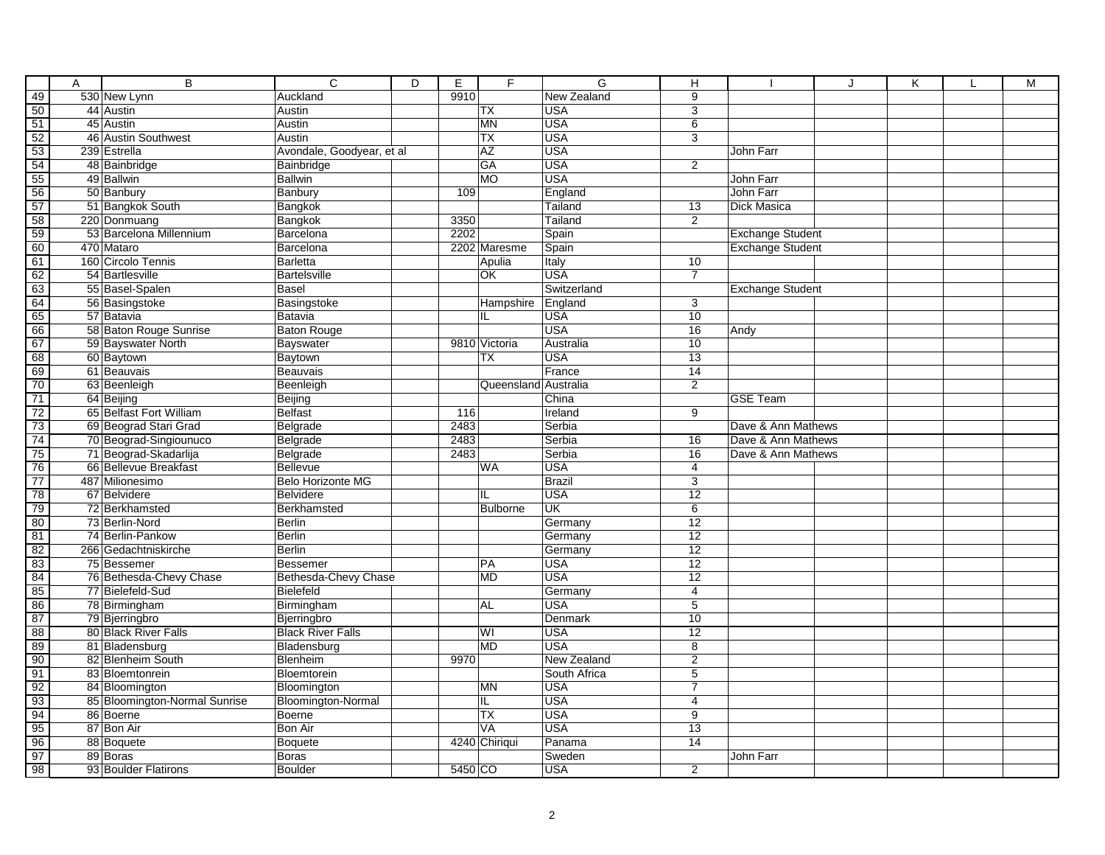|                 | Α | $\overline{B}$                | $\overline{C}$            | $\overline{D}$ | Ε       | F                    | G                  | н               |                         | J | Κ | M |
|-----------------|---|-------------------------------|---------------------------|----------------|---------|----------------------|--------------------|-----------------|-------------------------|---|---|---|
| 49              |   | 530 New Lynn                  | Auckland                  |                | 9910    |                      | New Zealand        | $\overline{9}$  |                         |   |   |   |
| $\overline{50}$ |   | 44 Austin                     | Austin                    |                |         | <b>TX</b>            | <b>USA</b>         | $\overline{3}$  |                         |   |   |   |
| 51              |   | 45 Austin                     | Austin                    |                |         | <b>MN</b>            | <b>USA</b>         | 6               |                         |   |   |   |
| $\frac{52}{53}$ |   | 46 Austin Southwest           | Austin                    |                |         | <b>TX</b>            | <b>USA</b>         | $\overline{3}$  |                         |   |   |   |
|                 |   | 239 Estrella                  | Avondale, Goodyear, et al |                |         | <b>AZ</b>            | <b>USA</b>         |                 | John Farr               |   |   |   |
| 54              |   | 48 Bainbridge                 | Bainbridge                |                |         | GA                   | <b>USA</b>         | $\overline{2}$  |                         |   |   |   |
| 55              |   | 49 Ballwin                    | <b>Ballwin</b>            |                |         | MO                   | <b>USA</b>         |                 | John Farr               |   |   |   |
| 56              |   | 50 Banbury                    | Banbury                   |                | 109     |                      | England            |                 | John Farr               |   |   |   |
| 57              |   | 51 Bangkok South              | Bangkok                   |                |         |                      | Tailand            | 13              | Dick Masica             |   |   |   |
| 58              |   | 220 Donmuang                  | Bangkok                   |                | 3350    |                      | Tailand            | $\overline{2}$  |                         |   |   |   |
| 59              |   | 53 Barcelona Millennium       | Barcelona                 |                | 2202    |                      | Spain              |                 | <b>Exchange Student</b> |   |   |   |
| 60              |   | 470 Mataro                    | Barcelona                 |                |         | 2202 Maresme         | Spain              |                 | <b>Exchange Student</b> |   |   |   |
| 61              |   | 160 Circolo Tennis            | <b>Barletta</b>           |                |         | Apulia               | Italy              | 10              |                         |   |   |   |
| 62              |   | 54 Bartlesville               | <b>Bartelsville</b>       |                |         | OK                   | <b>USA</b>         | $\overline{7}$  |                         |   |   |   |
| $\frac{63}{64}$ |   | 55 Basel-Spalen               | <b>Basel</b>              |                |         |                      | Switzerland        |                 | <b>Exchange Student</b> |   |   |   |
|                 |   | 56 Basingstoke                | Basingstoke               |                |         | Hampshire            | England            | 3               |                         |   |   |   |
| 65              |   | 57 Batavia                    | Batavia                   |                |         | IL                   | <b>USA</b>         | 10              |                         |   |   |   |
| 66              |   | 58 Baton Rouge Sunrise        | <b>Baton Rouge</b>        |                |         |                      | <b>USA</b>         | $\overline{16}$ | Andy                    |   |   |   |
| 67              |   | 59 Bayswater North            | Bayswater                 |                |         | 9810 Victoria        | Australia          | 10              |                         |   |   |   |
| 68              |   | 60 Baytown                    | Baytown                   |                |         | ТX                   | <b>USA</b>         | 13              |                         |   |   |   |
| $\frac{69}{70}$ |   | 61 Beauvais                   | Beauvais                  |                |         |                      | France             | 14              |                         |   |   |   |
|                 |   | 63 Beenleigh                  | Beenleigh                 |                |         | Queensland Australia |                    | $\overline{2}$  |                         |   |   |   |
| $\overline{71}$ |   | 64 Beijing                    | Beijing                   |                |         |                      | China              |                 | <b>GSE Team</b>         |   |   |   |
| $\frac{72}{73}$ |   | 65 Belfast Fort William       | Belfast                   |                | 116     |                      | Ireland            | $\overline{9}$  |                         |   |   |   |
|                 |   | 69 Beograd Stari Grad         | Belgrade                  |                | 2483    |                      | Serbia             |                 | Dave & Ann Mathews      |   |   |   |
| 74              |   | 70 Beograd-Singiounuco        | Belgrade                  |                | 2483    |                      | Serbia             | 16              | Dave & Ann Mathews      |   |   |   |
| 75              |   | 71 Beograd-Skadarlija         | Belgrade                  |                | 2483    |                      | Serbia             | 16              | Dave & Ann Mathews      |   |   |   |
| 76              |   | 66 Bellevue Breakfast         | <b>Bellevue</b>           |                |         | <b>WA</b>            | <b>USA</b>         | $\overline{4}$  |                         |   |   |   |
| $\overline{77}$ |   | 487 Milionesimo               | Belo Horizonte MG         |                |         |                      | <b>Brazil</b>      | 3               |                         |   |   |   |
| 78              |   | 67 Belvidere                  | <b>Belvidere</b>          |                |         | IL                   | <b>USA</b>         | 12              |                         |   |   |   |
| 79              |   | 72 Berkhamsted                | Berkhamsted               |                |         | <b>Bulborne</b>      | UK                 | 6               |                         |   |   |   |
| 80              |   | 73 Berlin-Nord                | <b>Berlin</b>             |                |         |                      | Germany            | $\overline{12}$ |                         |   |   |   |
| 81              |   | 74 Berlin-Pankow              | <b>Berlin</b>             |                |         |                      | Germany            | 12              |                         |   |   |   |
| 82              |   | 266 Gedachtniskirche          | Berlin                    |                |         |                      | Germany            | $\overline{12}$ |                         |   |   |   |
| 83              |   | 75 Bessemer                   | <b>Bessemer</b>           |                |         | PA                   | <b>USA</b>         | $\overline{12}$ |                         |   |   |   |
| 84              |   | 76 Bethesda-Chevy Chase       | Bethesda-Chevy Chase      |                |         | MD                   | <b>USA</b>         | $\overline{12}$ |                         |   |   |   |
| 85              |   | 77 Bielefeld-Sud              | Bielefeld                 |                |         |                      | Germany            | $\overline{4}$  |                         |   |   |   |
| 86              |   | 78 Birmingham                 | Birmingham                |                |         | <b>AL</b>            | <b>USA</b>         | $\overline{5}$  |                         |   |   |   |
| 87              |   | 79 Bjerringbro                | Bjerringbro               |                |         |                      | Denmark            | 10              |                         |   |   |   |
| 88              |   | 80 Black River Falls          | <b>Black River Falls</b>  |                |         | WI                   | <b>USA</b>         | $\overline{12}$ |                         |   |   |   |
| 89              |   | 81 Bladensburg                | Bladensburg               |                |         | <b>MD</b>            | <b>USA</b>         | $\overline{8}$  |                         |   |   |   |
| 90              |   | 82 Blenheim South             | Blenheim                  |                | 9970    |                      | <b>New Zealand</b> | $\overline{2}$  |                         |   |   |   |
| $\frac{91}{92}$ |   | 83 Bloemtonrein               | Bloemtorein               |                |         |                      | South Africa       | $\overline{5}$  |                         |   |   |   |
|                 |   | 84 Bloomington                | Bloomington               |                |         | <b>MN</b>            | <b>USA</b>         | $\overline{7}$  |                         |   |   |   |
| 93              |   | 85 Bloomington-Normal Sunrise | <b>Bloomington-Normal</b> |                |         | IL                   | <b>USA</b>         | 4               |                         |   |   |   |
| 94              |   | 86 Boerne                     | Boerne                    |                |         | <b>TX</b>            | <b>USA</b>         | 9               |                         |   |   |   |
| 95              |   | 87 Bon Air                    | Bon Air                   |                |         | <b>VA</b>            | <b>USA</b>         | 13              |                         |   |   |   |
| 96              |   | 88 Boquete                    | Boquete                   |                |         | 4240 Chiriqui        | Panama             | 14              |                         |   |   |   |
| $\overline{97}$ |   | 89 Boras                      | <b>Boras</b>              |                |         |                      | Sweden             |                 | John Farr               |   |   |   |
| 98              |   | 93 Boulder Flatirons          | <b>Boulder</b>            |                | 5450 CO |                      | <b>USA</b>         | $\overline{2}$  |                         |   |   |   |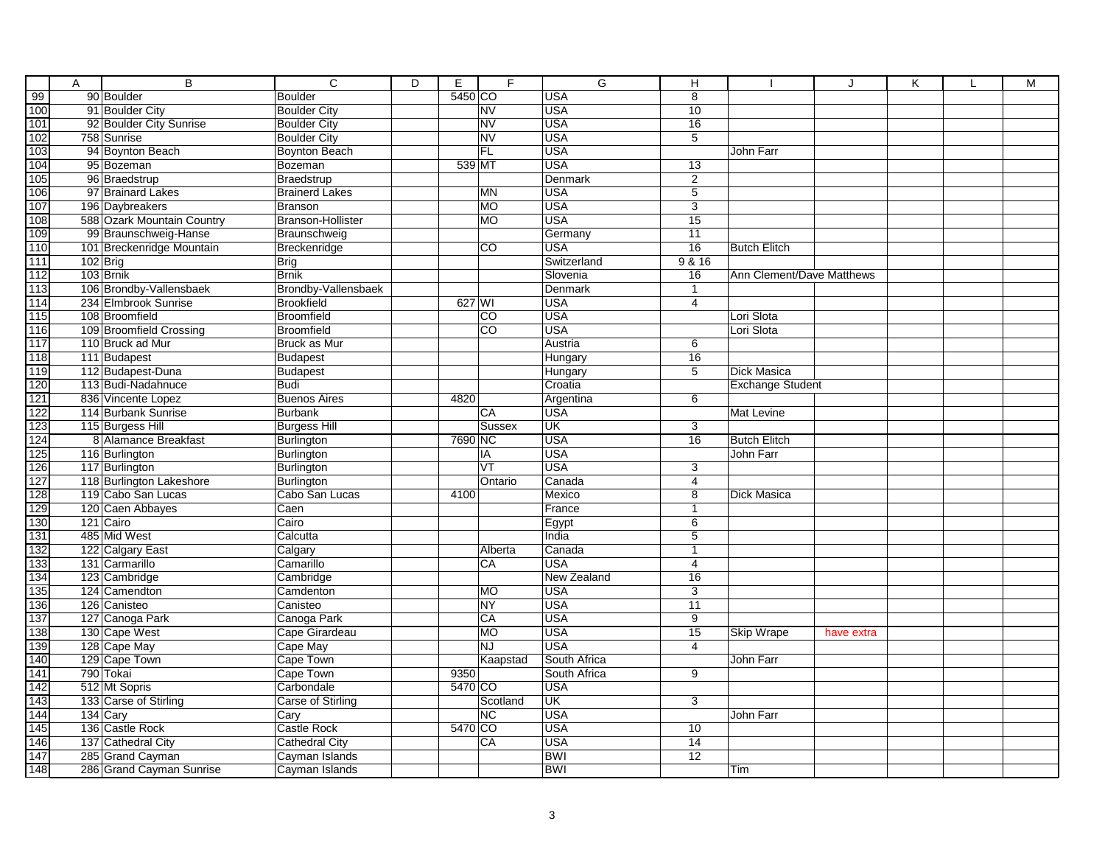|                  | Α | $\overline{B}$                         | $\overline{c}$                      | $\overline{D}$ | E.      | F                              | G                         | H               |                           | J          | Κ | $\mathbf{L}$ | M |
|------------------|---|----------------------------------------|-------------------------------------|----------------|---------|--------------------------------|---------------------------|-----------------|---------------------------|------------|---|--------------|---|
| $\frac{99}{100}$ |   | 90 Boulder                             | <b>Boulder</b>                      |                | 5450 CO |                                | <b>USA</b>                | 8               |                           |            |   |              |   |
|                  |   | 91 Boulder City                        | <b>Boulder City</b>                 |                |         | <b>NV</b>                      | <b>USA</b>                | 10              |                           |            |   |              |   |
|                  |   | 92 Boulder City Sunrise                | <b>Boulder City</b>                 |                |         | <b>NV</b>                      | <b>USA</b>                | $\overline{16}$ |                           |            |   |              |   |
|                  |   | 758 Sunrise                            | <b>Boulder City</b>                 |                |         | <b>NV</b>                      | <b>USA</b>                | $\overline{5}$  |                           |            |   |              |   |
|                  |   | 94 Boynton Beach                       | <b>Boynton Beach</b>                |                |         | FL                             | <b>USA</b>                |                 | John Farr                 |            |   |              |   |
|                  |   | 95 Bozeman                             | Bozeman                             |                | 539 MT  |                                | <b>USA</b>                | 13              |                           |            |   |              |   |
|                  |   | 96 Braedstrup                          | Braedstrup                          |                |         |                                | <b>Denmark</b>            | $\overline{2}$  |                           |            |   |              |   |
|                  |   | 97 Brainard Lakes                      | <b>Brainerd Lakes</b>               |                |         | <b>MN</b>                      | <b>USA</b>                | 5               |                           |            |   |              |   |
|                  |   | 196 Daybreakers                        | <b>Branson</b>                      |                |         | <b>MO</b>                      | <b>USA</b>                | 3               |                           |            |   |              |   |
|                  |   | 588 Ozark Mountain Country             | Branson-Hollister                   |                |         | <b>MO</b>                      | <b>USA</b>                | $\overline{15}$ |                           |            |   |              |   |
|                  |   | 99 Braunschweig-Hanse                  | Braunschweig                        |                |         |                                | Germany                   | $\overline{11}$ |                           |            |   |              |   |
|                  |   | 101 Breckenridge Mountain              | Breckenridge                        |                |         | $\overline{c}$                 | <b>USA</b>                | 16              | <b>Butch Elitch</b>       |            |   |              |   |
|                  |   | 102 Brig                               | <b>Brig</b>                         |                |         |                                | Switzerland               | 9 & 16          |                           |            |   |              |   |
|                  |   | 103 Brnik                              | <b>Brnik</b>                        |                |         |                                | Slovenia                  | 16              | Ann Clement/Dave Matthews |            |   |              |   |
|                  |   | 106 Brondby-Vallensbaek                | Brondby-Vallensbaek                 |                |         |                                | Denmark                   | $\mathbf{1}$    |                           |            |   |              |   |
|                  |   | 234 Elmbrook Sunrise                   | <b>Brookfield</b>                   |                | 627 WI  |                                | <b>USA</b>                | 4               |                           |            |   |              |   |
|                  |   | 108 Broomfield                         | <b>Broomfield</b>                   |                |         | <b>CO</b>                      | <b>USA</b>                |                 | Lori Slota                |            |   |              |   |
|                  |   | 109 Broomfield Crossing                | <b>Broomfield</b>                   |                |         | <b>CO</b>                      | <b>USA</b>                |                 | Lori Slota                |            |   |              |   |
|                  |   | 110 Bruck ad Mur                       | <b>Bruck as Mur</b>                 |                |         |                                | Austria                   | 6               |                           |            |   |              |   |
|                  |   | 111 Budapest                           | <b>Budapest</b>                     |                |         |                                | Hungary                   | 16              |                           |            |   |              |   |
|                  |   | 112 Budapest-Duna                      | Budapest                            |                |         |                                | Hungary                   | 5               | <b>Dick Masica</b>        |            |   |              |   |
|                  |   | 113 Budi-Nadahnuce                     | Budi                                |                |         |                                | Croatia                   |                 | <b>Exchange Student</b>   |            |   |              |   |
|                  |   | 836 Vincente Lopez                     | <b>Buenos Aires</b>                 |                | 4820    |                                | Argentina                 | 6               |                           |            |   |              |   |
|                  |   | 114 Burbank Sunrise                    | <b>Burbank</b>                      |                |         | CA                             | <b>USA</b>                |                 | Mat Levine                |            |   |              |   |
|                  |   | 115 Burgess Hill                       | <b>Burgess Hill</b>                 |                |         | Sussex                         | UK<br><b>USA</b>          | 3               | <b>Butch Elitch</b>       |            |   |              |   |
|                  |   | 8 Alamance Breakfast                   | <b>Burlington</b>                   |                | 7690 NC |                                |                           | 16              |                           |            |   |              |   |
|                  |   | 116 Burlington<br>117 Burlington       | Burlington                          |                |         | ΙA<br>$\overline{\mathsf{VT}}$ | <b>USA</b>                |                 | John Farr                 |            |   |              |   |
|                  |   | 118 Burlington Lakeshore               | <b>Burlington</b>                   |                |         | Ontario                        | <b>USA</b>                | 3               |                           |            |   |              |   |
|                  |   |                                        | <b>Burlington</b><br>Cabo San Lucas |                | 4100    |                                | Canada<br>Mexico          | 4<br>8          | <b>Dick Masica</b>        |            |   |              |   |
|                  |   | 119 Cabo San Lucas<br>120 Caen Abbayes | Caen                                |                |         |                                | France                    | 1               |                           |            |   |              |   |
|                  |   | 121 Cairo                              | Cairo                               |                |         |                                | Egypt                     | 6               |                           |            |   |              |   |
|                  |   | 485 Mid West                           | Calcutta                            |                |         |                                | India                     | 5               |                           |            |   |              |   |
|                  |   | 122 Calgary East                       | Calgary                             |                |         | Alberta                        | Canada                    | $\mathbf{1}$    |                           |            |   |              |   |
|                  |   | 131 Carmarillo                         | Camarillo                           |                |         | CA                             | <b>USA</b>                | 4               |                           |            |   |              |   |
|                  |   | 123 Cambridge                          | Cambridge                           |                |         |                                | New Zealand               | 16              |                           |            |   |              |   |
|                  |   | 124 Camendton                          | Camdenton                           |                |         | <b>MO</b>                      | <b>USA</b>                | 3               |                           |            |   |              |   |
|                  |   | 126 Canisteo                           | Canisteo                            |                |         | <b>NY</b>                      | <b>USA</b>                | 11              |                           |            |   |              |   |
|                  |   | 127 Canoga Park                        | Canoga Park                         |                |         | CA                             | <b>USA</b>                | 9               |                           |            |   |              |   |
|                  |   | 130 Cape West                          | Cape Girardeau                      |                |         | MO                             | <b>USA</b>                | 15              | <b>Skip Wrape</b>         | have extra |   |              |   |
|                  |   | 128 Cape May                           | Cape May                            |                |         | <b>NJ</b>                      | <b>USA</b>                | 4               |                           |            |   |              |   |
|                  |   | 129 Cape Town                          | Cape Town                           |                |         | Kaapstad                       | South Africa              |                 | John Farr                 |            |   |              |   |
|                  |   | 790 Tokai                              | Cape Town                           |                | 9350    |                                | South Africa              | 9               |                           |            |   |              |   |
|                  |   | 512 Mt Sopris                          | Carbondale                          |                | 5470 CO |                                | <b>USA</b>                |                 |                           |            |   |              |   |
|                  |   | 133 Carse of Stirling                  | Carse of Stirling                   |                |         | Scotland                       | $\overline{\mathsf{U}}$ K | 3               |                           |            |   |              |   |
|                  |   | 134 Cary                               | Cary                                |                |         | <b>NC</b>                      | <b>USA</b>                |                 | John Farr                 |            |   |              |   |
|                  |   | 136 Castle Rock                        | Castle Rock                         |                | 5470 CO |                                | <b>USA</b>                | 10              |                           |            |   |              |   |
|                  |   | 137 Cathedral City                     | <b>Cathedral City</b>               |                |         | CA                             | <b>USA</b>                | $\overline{14}$ |                           |            |   |              |   |
|                  |   | 285 Grand Cayman                       | Cayman Islands                      |                |         |                                | <b>BWI</b>                | 12              |                           |            |   |              |   |
|                  |   | 286 Grand Cayman Sunrise               | Cayman Islands                      |                |         |                                | <b>BWI</b>                |                 | Tim                       |            |   |              |   |
|                  |   |                                        |                                     |                |         |                                |                           |                 |                           |            |   |              |   |
|                  |   |                                        |                                     |                |         |                                | 3                         |                 |                           |            |   |              |   |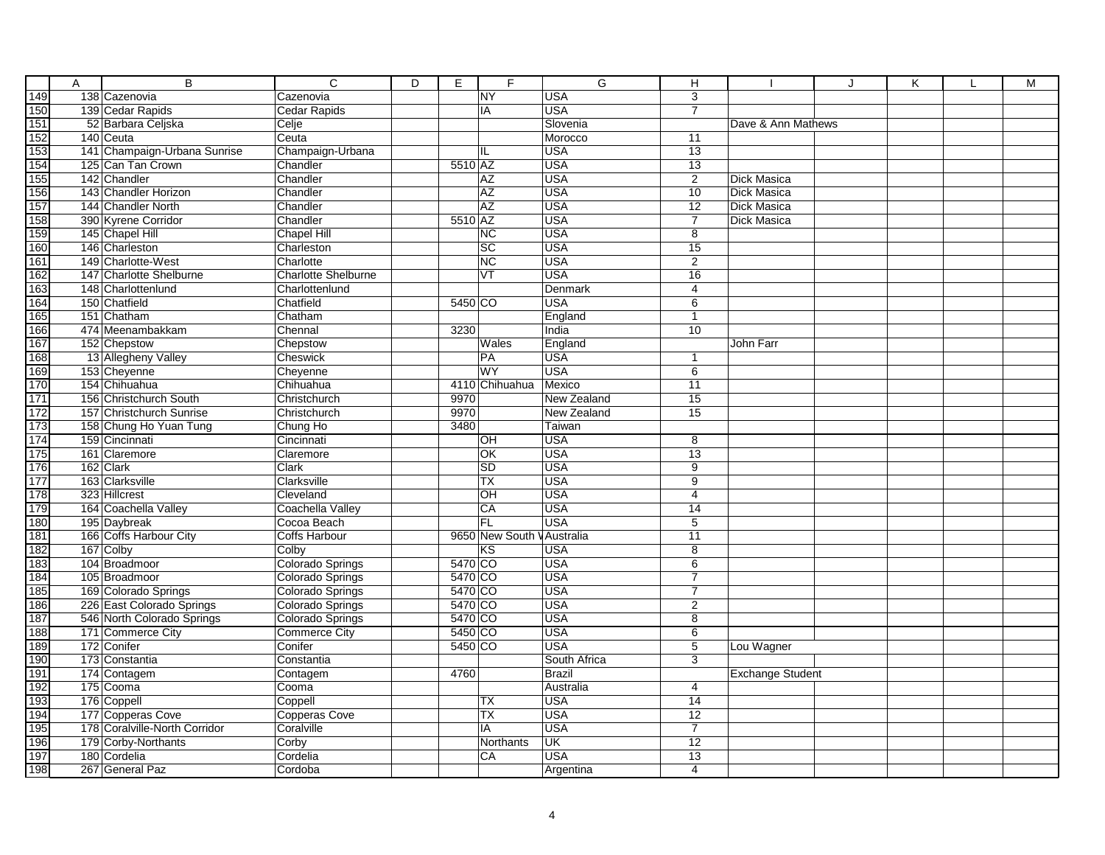|                                                                    | Α | $\overline{B}$                   | $\overline{c}$              | $\overline{D}$ | Е                  | F                          | $\overline{G}$                | н                                |                         | J | Κ | M |
|--------------------------------------------------------------------|---|----------------------------------|-----------------------------|----------------|--------------------|----------------------------|-------------------------------|----------------------------------|-------------------------|---|---|---|
| 149                                                                |   | 138 Cazenovia                    | Cazenovia                   |                |                    | $\overline{\text{NY}}$     | <b>USA</b>                    | 3                                |                         |   |   |   |
| 150                                                                |   | 139 Cedar Rapids                 | <b>Cedar Rapids</b>         |                |                    | IA                         | <b>USA</b>                    | $\overline{7}$                   |                         |   |   |   |
|                                                                    |   | 52 Barbara Celjska               | Celje                       |                |                    |                            | Slovenia                      |                                  | Dave & Ann Mathews      |   |   |   |
| $\frac{151}{152}$ $\frac{153}{154}$ $\frac{154}{155}$              |   | 140 Ceuta                        | Ceuta                       |                |                    |                            | Morocco                       | 11                               |                         |   |   |   |
|                                                                    |   | 141 Champaign-Urbana Sunrise     | Champaign-Urbana            |                |                    | IL                         | <b>USA</b>                    | 13                               |                         |   |   |   |
|                                                                    |   | 125 Can Tan Crown                | Chandler                    |                | 5510 AZ            |                            | <b>USA</b>                    | 13                               |                         |   |   |   |
|                                                                    |   | 142 Chandler                     | Chandler                    |                |                    | <b>AZ</b>                  | <b>USA</b>                    | $\overline{2}$                   | Dick Masica             |   |   |   |
| 156                                                                |   | 143 Chandler Horizon             | Chandler                    |                |                    | <b>AZ</b>                  | <b>USA</b>                    | 10                               | Dick Masica             |   |   |   |
| 157                                                                |   | 144 Chandler North               | Chandler                    |                |                    | <b>AZ</b>                  | <b>USA</b>                    | 12                               | Dick Masica             |   |   |   |
| 158<br>159                                                         |   | 390 Kyrene Corridor              | Chandler                    |                | 5510 AZ            |                            | <b>USA</b>                    | $\overline{7}$                   | <b>Dick Masica</b>      |   |   |   |
|                                                                    |   | 145 Chapel Hill                  | <b>Chapel Hill</b>          |                |                    | $\overline{\text{NC}}$     | <b>USA</b>                    | $\overline{8}$                   |                         |   |   |   |
| 160<br>161<br>162<br>163<br>164<br>165<br>166                      |   | 146 Charleston                   | Charleston                  |                |                    | $\overline{SC}$            | <b>USA</b>                    | 15                               |                         |   |   |   |
|                                                                    |   | 149 Charlotte-West               | Charlotte                   |                |                    | <b>NC</b>                  | <b>USA</b>                    | $\overline{2}$                   |                         |   |   |   |
|                                                                    |   | 147 Charlotte Shelburne          | <b>Charlotte Shelburne</b>  |                |                    | VT                         | <b>USA</b>                    | 16                               |                         |   |   |   |
|                                                                    |   | 148 Charlottenlund               | Charlottenlund              |                |                    |                            | Denmark                       | $\overline{4}$                   |                         |   |   |   |
|                                                                    |   | 150 Chatfield                    | Chatfield                   |                | 5450 CO            |                            | USA                           | $\overline{6}$                   |                         |   |   |   |
|                                                                    |   | 151 Chatham                      | Chatham                     |                |                    |                            | England                       | $\overline{1}$                   |                         |   |   |   |
|                                                                    |   | 474 Meenambakkam                 | Chennal                     |                | 3230               |                            | India                         | 10                               |                         |   |   |   |
| $\frac{167}{168}$                                                  |   | 152 Chepstow                     | Chepstow                    |                |                    | Wales                      | England                       |                                  | John Farr               |   |   |   |
|                                                                    |   | 13 Allegheny Valley              | Cheswick                    |                |                    | PA                         | <b>USA</b>                    | $\mathbf{1}$                     |                         |   |   |   |
|                                                                    |   | 153 Cheyenne                     | Cheyenne                    |                |                    | <b>WY</b>                  | <b>USA</b>                    | 6                                |                         |   |   |   |
|                                                                    |   | 154 Chihuahua                    | Chihuahua                   |                |                    | 4110 Chihuahua             | Mexico                        | $\overline{11}$                  |                         |   |   |   |
|                                                                    |   | 156 Christchurch South           | Christchurch                |                | 9970               |                            | New Zealand                   | $\overline{15}$                  |                         |   |   |   |
|                                                                    |   | 157 Christchurch Sunrise         | Christchurch                |                | 9970               |                            | New Zealand                   | $\overline{15}$                  |                         |   |   |   |
|                                                                    |   | 158 Chung Ho Yuan Tung           | Chung Ho                    |                | 3480               |                            | Taiwan                        |                                  |                         |   |   |   |
|                                                                    |   | 159 Cincinnati                   | Cincinnati                  |                |                    | OH                         | <b>USA</b>                    | $\overline{8}$                   |                         |   |   |   |
|                                                                    |   | 161 Claremore                    | Claremore                   |                |                    | OK                         | <b>USA</b>                    | $\overline{13}$                  |                         |   |   |   |
| 169<br>170<br>171<br>172<br>173<br>174<br>175<br>177<br>177<br>178 |   | 162 Clark                        | Clark                       |                |                    | <b>SD</b>                  | USA                           | 9                                |                         |   |   |   |
|                                                                    |   | 163 Clarksville                  | Clarksville                 |                |                    | TX                         | <b>USA</b>                    | 9                                |                         |   |   |   |
|                                                                    |   | 323 Hillcrest                    | Cleveland                   |                |                    | OH                         | <b>USA</b>                    | $\overline{4}$                   |                         |   |   |   |
|                                                                    |   | 164 Coachella Valley             | Coachella Valley            |                |                    | CA                         | <b>USA</b>                    | 14                               |                         |   |   |   |
| $\frac{180}{181}$                                                  |   | 195 Daybreak                     | Cocoa Beach                 |                |                    | <b>FL</b>                  | <b>USA</b>                    | 5                                |                         |   |   |   |
|                                                                    |   | 166 Coffs Harbour City           | Coffs Harbour               |                |                    | 9650 New South V Australia |                               | 11                               |                         |   |   |   |
|                                                                    |   | 167 Colby                        | Colby                       |                |                    | <b>KS</b>                  | <b>USA</b><br><b>USA</b>      | $\bf 8$                          |                         |   |   |   |
|                                                                    |   | 104 Broadmoor                    | Colorado Springs            |                | 5470 CO            |                            |                               | $6\overline{6}$                  |                         |   |   |   |
| 182<br>183<br>184<br>185                                           |   | 105 Broadmoor                    | Colorado Springs            |                | 5470 CO            |                            | <b>USA</b>                    | $\overline{7}$<br>$\overline{7}$ |                         |   |   |   |
|                                                                    |   | 169 Colorado Springs             | Colorado Springs            |                | 5470 CO<br>5470 CO |                            | <b>USA</b><br><b>USA</b>      |                                  |                         |   |   |   |
|                                                                    |   | 226 East Colorado Springs        | Colorado Springs            |                |                    |                            | <b>USA</b>                    | $\overline{2}$                   |                         |   |   |   |
| 186<br>187<br>188                                                  |   | 546 North Colorado Springs       | Colorado Springs            |                | 5470 CO            |                            |                               | $\overline{8}$                   |                         |   |   |   |
|                                                                    |   | 171 Commerce City<br>172 Conifer | <b>Commerce City</b>        |                | 5450 CO<br>5450 CO |                            | USA<br><b>USA</b>             | 6                                |                         |   |   |   |
| 189<br>190                                                         |   |                                  | Conifer                     |                |                    |                            |                               | $\overline{5}$                   | Lou Wagner              |   |   |   |
|                                                                    |   | 173 Constantia                   | Constantia                  |                | 4760               |                            | South Africa<br><b>Brazil</b> | $\overline{3}$                   |                         |   |   |   |
| $\frac{191}{192}$                                                  |   | 174 Contagem                     | Contagem                    |                |                    |                            |                               |                                  | <b>Exchange Student</b> |   |   |   |
|                                                                    |   | 175 Cooma<br>176 Coppell         | Cooma                       |                |                    |                            | Australia                     | 4                                |                         |   |   |   |
| $\frac{1}{193}$<br>$\frac{194}{195}$                               |   | 177 Copperas Cove                | Coppell                     |                |                    | ТX<br><b>TX</b>            | <b>USA</b><br><b>USA</b>      | 14<br>12                         |                         |   |   |   |
|                                                                    |   | 178 Coralville-North Corridor    | Copperas Cove<br>Coralville |                |                    |                            | <b>USA</b>                    | $\overline{7}$                   |                         |   |   |   |
| 196                                                                |   |                                  |                             |                |                    | IA                         | <b>UK</b>                     | $\overline{12}$                  |                         |   |   |   |
| 197                                                                |   | 179 Corby-Northants              | Corby                       |                |                    | Northants<br>CA            | <b>USA</b>                    |                                  |                         |   |   |   |
|                                                                    |   | 180 Cordelia                     | Cordelia                    |                |                    |                            |                               | 13                               |                         |   |   |   |
| 198                                                                |   | 267 General Paz                  | Cordoba                     |                |                    |                            | Argentina                     | $\overline{4}$                   |                         |   |   |   |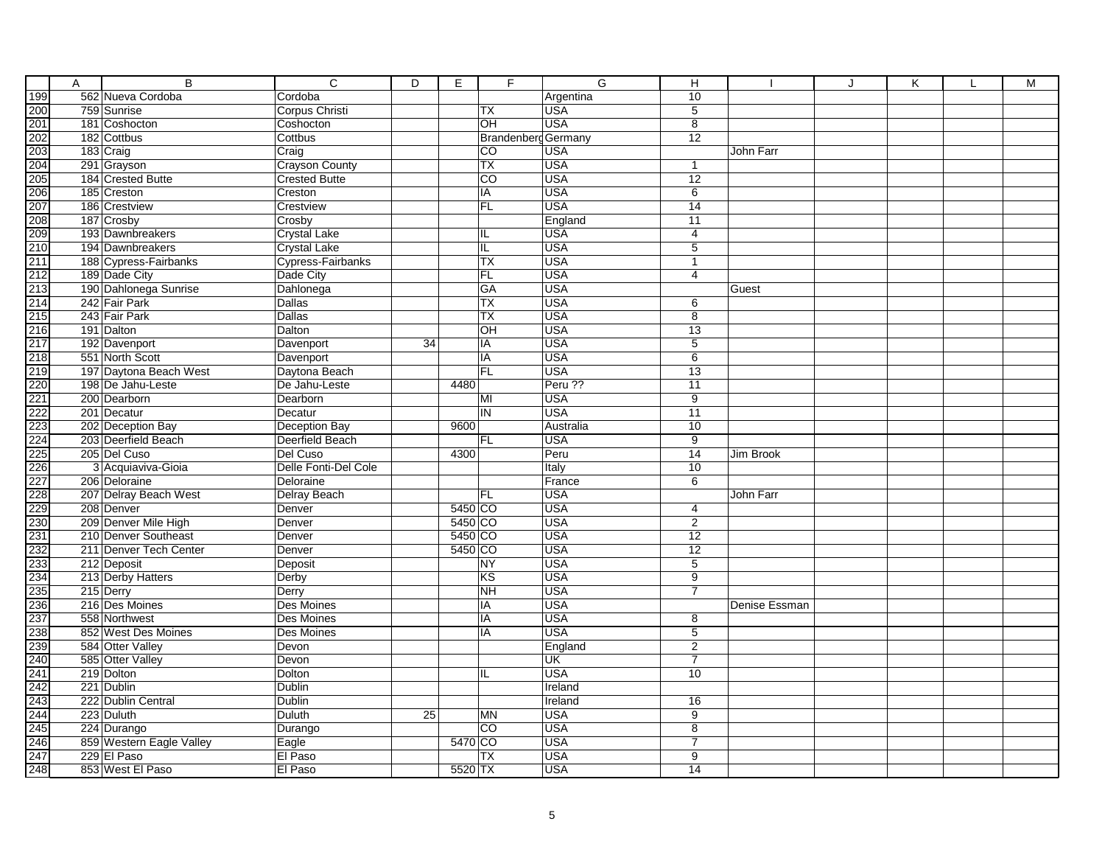|                    | Α | B                                | $\overline{C}$        | $\overline{D}$ | Е         | F                          | G                        | н                       |               | J | Κ | M |
|--------------------|---|----------------------------------|-----------------------|----------------|-----------|----------------------------|--------------------------|-------------------------|---------------|---|---|---|
|                    |   | 562 Nueva Cordoba                | Cordoba               |                |           |                            | Argentina                | 10                      |               |   |   |   |
|                    |   | 759 Sunrise                      | Corpus Christi        |                |           | <b>TX</b>                  | <b>USA</b>               | $\overline{5}$          |               |   |   |   |
|                    |   | 181 Coshocton                    | Coshocton             |                |           | OH                         | <b>USA</b>               | $\overline{8}$          |               |   |   |   |
|                    |   | 182 Cottbus                      | Cottbus               |                |           | <b>Brandenberg Germany</b> |                          | $\overline{12}$         |               |   |   |   |
|                    |   | 183 Craig                        | Craig                 |                |           | CO                         | <b>USA</b>               |                         | John Farr     |   |   |   |
|                    |   | 291 Grayson                      | <b>Crayson County</b> |                |           | $\overline{TX}$            | <b>USA</b>               | $\mathbf{1}$            |               |   |   |   |
|                    |   | 184 Crested Butte                | <b>Crested Butte</b>  |                |           | $\overline{c}$             | <b>USA</b>               | $\overline{12}$         |               |   |   |   |
|                    |   | 185 Creston                      | Creston               |                |           | IA                         | <b>USA</b>               | 6                       |               |   |   |   |
|                    |   | 186 Crestview                    | Crestview             |                |           | <b>FL</b>                  | <b>USA</b>               | 14                      |               |   |   |   |
|                    |   | 187 Crosby                       | Crosby                |                |           |                            | England                  | 11                      |               |   |   |   |
|                    |   | 193 Dawnbreakers                 | Crystal Lake          |                |           | IL                         | <b>USA</b>               | 4                       |               |   |   |   |
|                    |   | 194 Dawnbreakers                 | Crystal Lake          |                |           | IL                         | <b>USA</b>               | $\overline{5}$          |               |   |   |   |
|                    |   | 188 Cypress-Fairbanks            | Cypress-Fairbanks     |                |           | <b>TX</b>                  | <b>USA</b>               | $\overline{1}$          |               |   |   |   |
|                    |   | 189 Dade City                    | Dade City             |                |           | <b>FL</b>                  | <b>USA</b>               | 4                       |               |   |   |   |
|                    |   | 190 Dahlonega Sunrise            | Dahlonega             |                |           | <b>GA</b>                  | <b>USA</b>               |                         | Guest         |   |   |   |
|                    |   | 242 Fair Park                    | Dallas                |                |           | <b>TX</b>                  | <b>USA</b>               | 6                       |               |   |   |   |
|                    |   | 243 Fair Park                    | Dallas                |                |           | <b>TX</b>                  | <b>USA</b>               | $\overline{8}$          |               |   |   |   |
|                    |   | 191 Dalton                       | Dalton                |                |           | ЮH                         | <b>USA</b>               | 13                      |               |   |   |   |
|                    |   | 192 Davenport                    | Davenport             | 34             |           | IA                         | <b>USA</b>               | $\overline{5}$          |               |   |   |   |
|                    |   | 551 North Scott                  | Davenport             |                |           | IA                         | <b>USA</b>               | 6                       |               |   |   |   |
|                    |   | 197 Daytona Beach West           | Daytona Beach         |                |           | <b>FL</b>                  | <b>USA</b>               | 13                      |               |   |   |   |
|                    |   | 198 De Jahu-Leste                | De Jahu-Leste         |                | 4480      |                            | Peru ??                  | 11                      |               |   |   |   |
|                    |   | 200 Dearborn                     | Dearborn              |                |           | MI                         | <b>USA</b>               | $\overline{9}$          |               |   |   |   |
|                    |   | 201 Decatur                      | Decatur               |                |           | IN                         | <b>USA</b>               | $\overline{11}$         |               |   |   |   |
|                    |   | 202 Deception Bay                | Deception Bay         |                | 960C      |                            | Australia                | 10                      |               |   |   |   |
|                    |   | 203 Deerfield Beach              | Deerfield Beach       |                |           | <b>FL</b>                  | <b>USA</b>               | 9                       |               |   |   |   |
|                    |   | 205 Del Cuso                     | Del Cuso              |                | 4300      |                            | Peru                     | $\overline{14}$         | Jim Brook     |   |   |   |
|                    |   | 3 Acquiaviva-Gioia               | Delle Fonti-Del Cole  |                |           |                            | Italy                    | 10                      |               |   |   |   |
|                    |   | 206 Deloraine                    | Deloraine             |                |           |                            | France                   | 6                       |               |   |   |   |
|                    |   | 207 Delray Beach West            | <b>Delray Beach</b>   |                |           | <b>FL</b>                  | <b>USA</b>               |                         | John Farr     |   |   |   |
|                    |   | 208 Denver                       | Denver                |                | $5450$ CO |                            | <b>USA</b>               | 4                       |               |   |   |   |
|                    |   | 209 Denver Mile High             | Denver                |                | 5450 CO   |                            | <b>USA</b>               | 2                       |               |   |   |   |
|                    |   | 210 Denver Southeast             | Denver                |                | 5450 CO   |                            | <b>USA</b>               | 12                      |               |   |   |   |
|                    |   | 211 Denver Tech Center           | Denver                |                | 5450 CO   |                            | <b>USA</b>               | 12                      |               |   |   |   |
|                    |   | 212 Deposit                      | Deposit               |                |           | <b>NY</b>                  | <b>USA</b>               | $\overline{5}$          |               |   |   |   |
|                    |   | 213 Derby Hatters                | Derby                 |                |           | $\overline{\text{KS}}$     | <b>USA</b>               | $\overline{9}$          |               |   |   |   |
| 꿃푂훬쏡밚뇒흲씛혏씷씷씷씷씷씷씷씷씷 |   | 215 Derry                        | Derry                 |                |           | <b>NH</b><br>IA            | <b>USA</b><br><b>USA</b> | $\overline{7}$          |               |   |   |   |
|                    |   | 216 Des Moines                   | Des Moines            |                |           |                            | <b>USA</b>               |                         | Denise Essman |   |   |   |
|                    |   | 558 Northwest                    | <b>Des Moines</b>     |                |           | IA                         |                          | 8                       |               |   |   |   |
|                    |   | 852 West Des Moines              | Des Moines            |                |           | IA                         | <b>USA</b>               | 5                       |               |   |   |   |
|                    |   | 584 Otter Valley                 | Devon                 |                |           |                            | England                  | 2<br>$\overline{7}$     |               |   |   |   |
|                    |   | 585 Otter Valley<br>219 Dolton   | Devon                 |                |           |                            | <b>UK</b><br><b>USA</b>  | 10                      |               |   |   |   |
|                    |   |                                  | Dolton                |                |           | IL                         |                          |                         |               |   |   |   |
|                    |   | 221 Dublin<br>222 Dublin Central | Dublin                |                |           |                            | Ireland                  |                         |               |   |   |   |
|                    |   | 223 Duluth                       | Dublin                | 25             |           | <b>MN</b>                  | Ireland<br><b>USA</b>    | 16                      |               |   |   |   |
|                    |   | 224 Durango                      | Duluth                |                |           | <b>CO</b>                  | <b>USA</b>               | $9\,$<br>$\overline{8}$ |               |   |   |   |
|                    |   | 859 Western Eagle Valley         | Durango<br>Eagle      |                | 5470 CO   |                            | <b>USA</b>               | $\overline{7}$          |               |   |   |   |
|                    |   | 229 El Paso                      | El Paso               |                |           | <b>TX</b>                  | <b>USA</b>               | $\overline{9}$          |               |   |   |   |
|                    |   | 853 West El Paso                 | El Paso               |                | 5520 TX   |                            | <b>USA</b>               | 14                      |               |   |   |   |
|                    |   |                                  |                       |                |           |                            |                          |                         |               |   |   |   |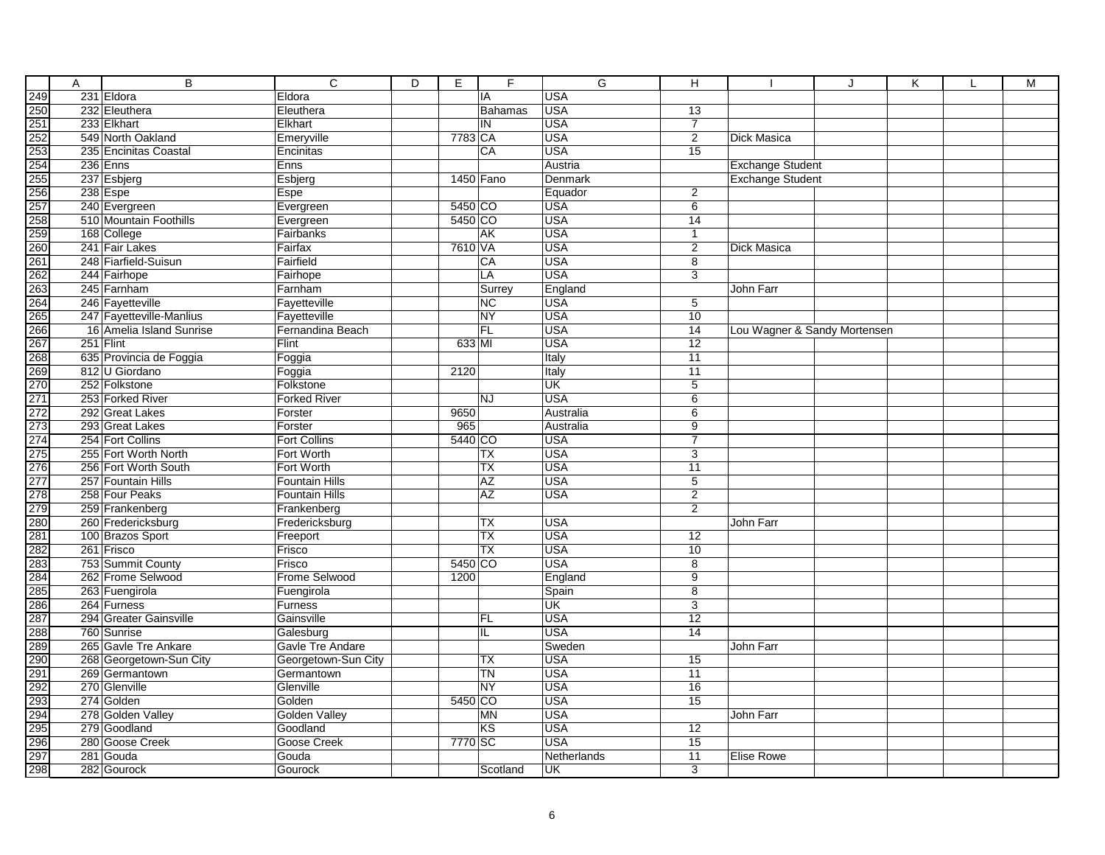| Α | $\overline{B}$           | $\overline{C}$        | D | Е         | F         | G           | н               |                         | J                            | Κ | M |
|---|--------------------------|-----------------------|---|-----------|-----------|-------------|-----------------|-------------------------|------------------------------|---|---|
|   | 231 Eldora               | Eldora                |   |           | IA        | <b>USA</b>  |                 |                         |                              |   |   |
|   | 232 Eleuthera            | Eleuthera             |   |           | Bahamas   | <b>USA</b>  | $\overline{13}$ |                         |                              |   |   |
|   | 233 Elkhart              | Elkhart               |   |           | IN        | <b>USA</b>  | $\overline{7}$  |                         |                              |   |   |
|   | 549 North Oakland        | Emeryville            |   | 7783 CA   |           | <b>USA</b>  | 2               | Dick Masica             |                              |   |   |
|   | 235 Encinitas Coastal    | Encinitas             |   |           | CA        | <b>USA</b>  | 15              |                         |                              |   |   |
|   | 236 Enns                 | Enns                  |   |           |           | Austria     |                 | <b>Exchange Student</b> |                              |   |   |
|   | 237 Esbjerg              | Esbjerg               |   | 1450 Fano |           | Denmark     |                 | <b>Exchange Student</b> |                              |   |   |
|   | 238 Espe                 | Espe                  |   |           |           | Equador     | 2               |                         |                              |   |   |
|   | 240 Evergreen            | Evergreen             |   | 5450 CO   |           | <b>USA</b>  | 6               |                         |                              |   |   |
|   | 510 Mountain Foothills   | Evergreen             |   | 5450 CO   |           | <b>USA</b>  | 14              |                         |                              |   |   |
|   | 168 College              | Fairbanks             |   |           | <b>AK</b> | <b>USA</b>  | $\mathbf{1}$    |                         |                              |   |   |
|   | 241 Fair Lakes           | Fairfax               |   | 7610 VA   |           | <b>USA</b>  | $\overline{2}$  | Dick Masica             |                              |   |   |
|   | 248 Fiarfield-Suisun     | Fairfield             |   |           | CA        | <b>USA</b>  | 8               |                         |                              |   |   |
|   | 244 Fairhope             | Fairhope              |   |           | LA        | <b>USA</b>  | $\overline{3}$  |                         |                              |   |   |
|   | 245 Farnham              | Farnham               |   |           | Surrey    | England     |                 | John Farr               |                              |   |   |
|   | 246 Fayetteville         | Fayetteville          |   |           | <b>NC</b> | <b>USA</b>  | 5               |                         |                              |   |   |
|   | 247 Fayetteville-Manlius | Fayetteville          |   |           | <b>NY</b> | <b>USA</b>  | 10              |                         |                              |   |   |
|   | 16 Amelia Island Sunrise | Fernandina Beach      |   |           | FL        | <b>USA</b>  | $\overline{14}$ |                         | Lou Wagner & Sandy Mortensen |   |   |
|   | 251 Flint                | Flint                 |   | 633 MI    |           | <b>USA</b>  | $\overline{12}$ |                         |                              |   |   |
|   | 635 Provincia de Foggia  | Foggia                |   |           |           | Italy       | 11              |                         |                              |   |   |
|   | 812 U Giordano           | Foggia                |   | 2120      |           | Italy       | 11              |                         |                              |   |   |
|   | 252 Folkstone            | Folkstone             |   |           |           | <b>UK</b>   | $\overline{5}$  |                         |                              |   |   |
|   | 253 Forked River         | <b>Forked River</b>   |   |           | <b>NJ</b> | <b>USA</b>  | $\overline{6}$  |                         |                              |   |   |
|   | 292 Great Lakes          | Forster               |   | 9650      |           | Australia   | $\overline{6}$  |                         |                              |   |   |
|   | 293 Great Lakes          | Forster               |   | 965       |           | Australia   | $\overline{9}$  |                         |                              |   |   |
|   | 254 Fort Collins         | <b>Fort Collins</b>   |   | 5440 CO   |           | <b>USA</b>  | $\overline{7}$  |                         |                              |   |   |
|   | 255 Fort Worth North     | Fort Worth            |   |           | TX        | <b>USA</b>  | 3               |                         |                              |   |   |
|   | 256 Fort Worth South     | Fort Worth            |   |           | <b>TX</b> | <b>USA</b>  | 11              |                         |                              |   |   |
|   | 257 Fountain Hills       | <b>Fountain Hills</b> |   |           | <b>AZ</b> | <b>USA</b>  | 5               |                         |                              |   |   |
|   | 258 Four Peaks           | Fountain Hills        |   |           | <b>AZ</b> | <b>USA</b>  | $\overline{2}$  |                         |                              |   |   |
|   | 259 Frankenberg          | Frankenberg           |   |           |           |             | $\overline{2}$  |                         |                              |   |   |
|   | 260 Fredericksburg       | Fredericksburg        |   |           | <b>TX</b> | <b>USA</b>  |                 | John Farr               |                              |   |   |
|   | 100 Brazos Sport         | Freeport              |   |           | <b>TX</b> | <b>USA</b>  | 12              |                         |                              |   |   |
|   | 261 Frisco               | Frisco                |   |           | TX        | <b>USA</b>  | 10              |                         |                              |   |   |
|   | 753 Summit County        | Frisco                |   | 5450 CO   |           | <b>USA</b>  | 8               |                         |                              |   |   |
|   | 262 Frome Selwood        | Frome Selwood         |   | 1200      |           | England     | $\overline{9}$  |                         |                              |   |   |
|   | 263 Fuengirola           | Fuengirola            |   |           |           | Spain       | $\overline{8}$  |                         |                              |   |   |
|   | 264 Furness              | <b>Furness</b>        |   |           |           | <b>UK</b>   | $\overline{3}$  |                         |                              |   |   |
|   | 294 Greater Gainsville   | Gainsville            |   |           | <b>FL</b> | <b>USA</b>  | $\overline{12}$ |                         |                              |   |   |
|   | 760 Sunrise              | Galesburg             |   |           | IL        | <b>USA</b>  | 14              |                         |                              |   |   |
|   | 265 Gavle Tre Ankare     | Gavle Tre Andare      |   |           |           | Sweden      |                 | John Farr               |                              |   |   |
|   | 268 Georgetown-Sun City  | Georgetown-Sun City   |   |           | TX        | <b>USA</b>  | 15              |                         |                              |   |   |
|   | 269 Germantown           | Germantown            |   |           | TN        | <b>USA</b>  | $\overline{11}$ |                         |                              |   |   |
|   | 270 Glenville            | Glenville             |   |           | <b>NY</b> | <b>USA</b>  | 16              |                         |                              |   |   |
|   | 274 Golden               | Golden                |   | 5450 CO   |           | <b>USA</b>  | 15              |                         |                              |   |   |
|   | 278 Golden Valley        | Golden Valley         |   |           | MN        | <b>USA</b>  |                 | John Farr               |                              |   |   |
|   | 279 Goodland             | Goodland              |   |           | KS        | <b>USA</b>  | $\overline{12}$ |                         |                              |   |   |
|   | 280 Goose Creek          | Goose Creek           |   | 7770 SC   |           | <b>USA</b>  | 15              |                         |                              |   |   |
|   | 281 Gouda                | Gouda                 |   |           |           | Netherlands | 11              | <b>Elise Rowe</b>       |                              |   |   |
|   | 282 Gourock              | Gourock               |   |           | Scotland  | UK          | $\overline{3}$  |                         |                              |   |   |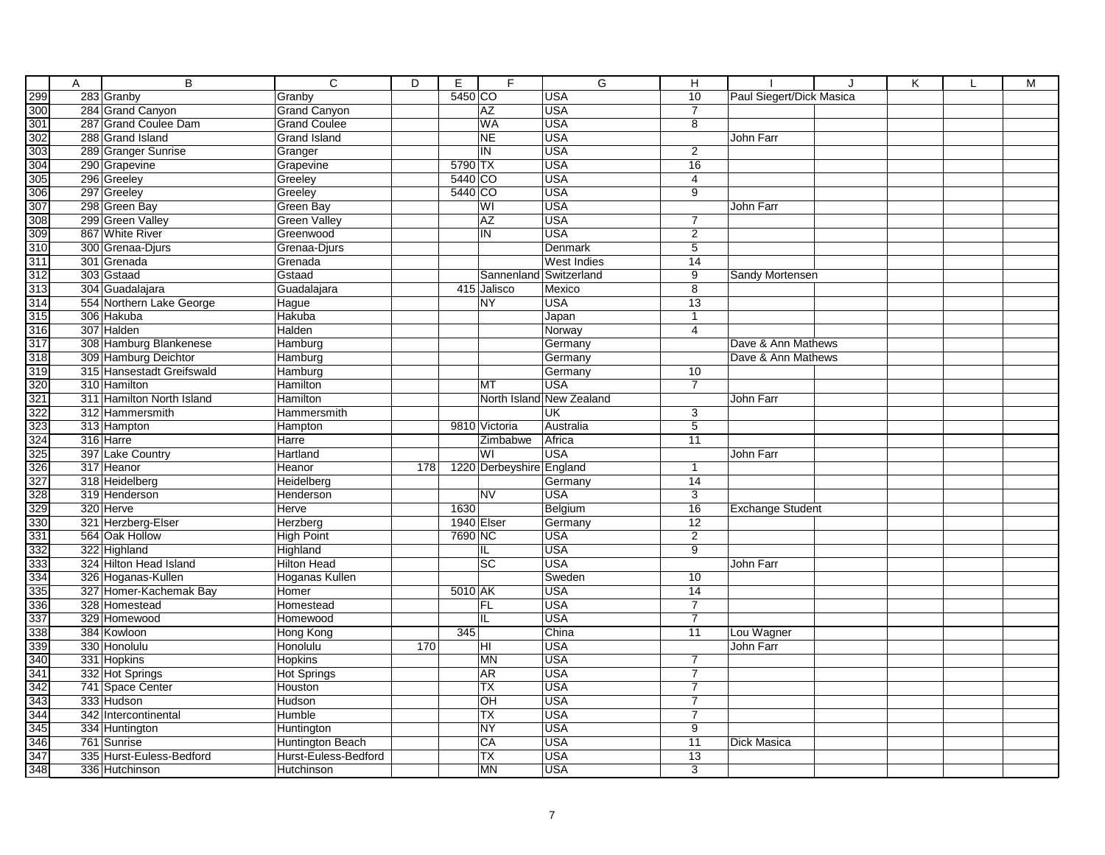|     | Α | $\overline{B}$                          | $\overline{\mathsf{c}}$    | $\overline{D}$ | E          | F                        | G                        | н                                |                          | $\cdot$ | Κ | M |
|-----|---|-----------------------------------------|----------------------------|----------------|------------|--------------------------|--------------------------|----------------------------------|--------------------------|---------|---|---|
|     |   | 283 Granby                              | Granby                     |                | 5450 CO    |                          | <b>USA</b>               | 10                               | Paul Siegert/Dick Masica |         |   |   |
|     |   | 284 Grand Canyon                        | <b>Grand Canyon</b>        |                |            | AZ                       | <b>USA</b>               | $\overline{7}$                   |                          |         |   |   |
|     |   | 287 Grand Coulee Dam                    | <b>Grand Coulee</b>        |                |            | <b>WA</b>                | <b>USA</b>               | 8                                |                          |         |   |   |
|     |   | 288 Grand Island                        | <b>Grand Island</b>        |                |            | $\overline{\sf NE}$      | <b>USA</b>               |                                  | John Farr                |         |   |   |
|     |   | 289 Granger Sunrise                     | Granger                    |                |            | IN                       | <b>USA</b>               | 2                                |                          |         |   |   |
|     |   | 290 Grapevine                           | Grapevine                  |                | 5790 TX    |                          | <b>USA</b>               | 16                               |                          |         |   |   |
|     |   | 296 Greeley                             | Greeley                    |                | 5440 CO    |                          | <b>USA</b>               | 4                                |                          |         |   |   |
|     |   | 297 Greeley                             | Greeley                    |                | 5440 CO    |                          | <b>USA</b>               | 9                                |                          |         |   |   |
|     |   | 298 Green Bay                           | Green Bay                  |                |            | WI                       | <b>USA</b>               |                                  | John Farr                |         |   |   |
|     |   | 299 Green Valley                        | <b>Green Valley</b>        |                |            | <b>AZ</b>                | <b>USA</b>               | $\overline{7}$                   |                          |         |   |   |
|     |   | 867 White River                         | Greenwood                  |                |            | IN                       | <b>USA</b>               | $\overline{2}$                   |                          |         |   |   |
|     |   | 300 Grenaa-Djurs                        | Grenaa-Djurs               |                |            |                          | Denmark                  | $\overline{5}$                   |                          |         |   |   |
|     |   | 301 Grenada                             | Grenada                    |                |            |                          | <b>West Indies</b>       | 14                               |                          |         |   |   |
|     |   | 303 Gstaad                              | Gstaad                     |                |            |                          | Sannenland Switzerland   | 9                                | <b>Sandy Mortensen</b>   |         |   |   |
|     |   | 304 Guadalajara                         | Guadalajara                |                |            | 415 Jalisco              | Mexico                   | $\overline{8}$                   |                          |         |   |   |
|     |   | 554 Northern Lake George                | Hague                      |                |            | <b>NY</b>                | <b>USA</b>               | 13                               |                          |         |   |   |
|     |   | 306 Hakuba                              | Hakuba                     |                |            |                          | Japan                    | $\mathbf{1}$                     |                          |         |   |   |
|     |   | 307 Halden                              | Halden                     |                |            |                          | Norway                   | 4                                |                          |         |   |   |
|     |   | 308 Hamburg Blankenese                  | Hamburg                    |                |            |                          | Germany                  |                                  | Dave & Ann Mathews       |         |   |   |
|     |   | 309 Hamburg Deichtor                    | Hamburg                    |                |            |                          | Germany                  |                                  | Dave & Ann Mathews       |         |   |   |
|     |   | 315 Hansestadt Greifswald               | Hamburg                    |                |            |                          | Germany                  | 10                               |                          |         |   |   |
|     |   | 310 Hamilton                            | Hamilton                   |                |            | MT                       | <b>USA</b>               | $\overline{7}$                   |                          |         |   |   |
|     |   | 311 Hamilton North Island               | Hamilton                   |                |            |                          | North Island New Zealand |                                  | John Farr                |         |   |   |
|     |   | 312 Hammersmith                         | Hammersmith                |                |            |                          | UK                       | $\overline{3}$                   |                          |         |   |   |
|     |   | 313 Hampton                             | Hampton                    |                |            | 9810 Victoria            | Australia                | $\overline{5}$                   |                          |         |   |   |
|     |   | 316 Harre                               | Harre                      |                |            | Zimbabwe                 | Africa                   | 11                               |                          |         |   |   |
|     |   | 397 Lake Country                        | Hartland                   |                |            | WI                       | <b>USA</b>               |                                  | John Farr                |         |   |   |
|     |   | 317 Heanor                              | Heanor                     | 178            |            | 1220 Derbeyshire England |                          | $\mathbf{1}$                     |                          |         |   |   |
|     |   | 318 Heidelberg                          | Heidelberg                 |                |            |                          | Germany                  | 14                               |                          |         |   |   |
|     |   | 319 Henderson                           | Henderson                  |                |            | <b>NV</b>                | <b>USA</b>               | $\overline{3}$                   |                          |         |   |   |
|     |   | 320 Herve                               | Herve                      |                | 1630       |                          | Belgium                  | 16                               | <b>Exchange Student</b>  |         |   |   |
|     |   | 321 Herzberg-Elser                      | Herzberg                   |                | 1940 Elser |                          | Germany                  | $\overline{12}$                  |                          |         |   |   |
|     |   | 564 Oak Hollow                          | <b>High Point</b>          |                | 7690 NC    |                          | <b>USA</b>               | $\overline{2}$                   |                          |         |   |   |
|     |   | 322 Highland                            | Highland                   |                |            | IL                       | <b>USA</b>               | 9                                |                          |         |   |   |
|     |   | 324 Hilton Head Island                  | <b>Hilton Head</b>         |                |            | $\overline{SC}$          | <b>USA</b>               |                                  | John Farr                |         |   |   |
|     |   | 326 Hoganas-Kullen                      | Hoganas Kullen             |                |            |                          | Sweden                   | $\overline{10}$                  |                          |         |   |   |
|     |   | 327 Homer-Kachemak Bay<br>328 Homestead | Homer<br>Homestead         |                | 5010 AK    |                          | <b>USA</b><br><b>USA</b> | 14<br>$\overline{7}$             |                          |         |   |   |
|     |   |                                         |                            |                |            | <b>FL</b>                | <b>USA</b>               | $\overline{7}$                   |                          |         |   |   |
|     |   | 329 Homewood                            | Homewood                   |                |            | IL                       |                          |                                  |                          |         |   |   |
|     |   | 384 Kowloon                             | Hong Kong                  |                | 345        |                          | China                    | 11                               | Lou Wagner               |         |   |   |
|     |   | 330 Honolulu<br>331 Hopkins             | Honolulu<br><b>Hopkins</b> | 170            |            | HI<br><b>MN</b>          | <b>USA</b><br><b>USA</b> | $\overline{7}$                   | John Farr                |         |   |   |
|     |   |                                         |                            |                |            |                          |                          |                                  |                          |         |   |   |
|     |   | 332 Hot Springs                         | <b>Hot Springs</b>         |                |            | AR                       | <b>USA</b>               | $\overline{7}$                   |                          |         |   |   |
|     |   | 741 Space Center                        | Houston                    |                |            | <b>TX</b>                | <b>USA</b><br><b>USA</b> | $\overline{7}$                   |                          |         |   |   |
|     |   | 333 Hudson<br>342 Intercontinental      | Hudson                     |                |            | OH                       | <b>USA</b>               | $\overline{7}$<br>$\overline{7}$ |                          |         |   |   |
|     |   |                                         | Humble                     |                |            | <b>TX</b><br><b>NY</b>   | <b>USA</b>               | $\overline{9}$                   |                          |         |   |   |
|     |   | 334 Huntington                          | Huntington                 |                |            | CA                       | <b>USA</b>               |                                  |                          |         |   |   |
|     |   | 761 Sunrise                             | <b>Huntington Beach</b>    |                |            | <b>TX</b>                | <b>USA</b>               | $\overline{11}$                  | Dick Masica              |         |   |   |
|     |   | 335 Hurst-Euless-Bedford                | Hurst-Euless-Bedford       |                |            |                          |                          | 13                               |                          |         |   |   |
| 348 |   | 336 Hutchinson                          | Hutchinson                 |                |            | <b>MN</b>                | <b>USA</b>               | $\overline{3}$                   |                          |         |   |   |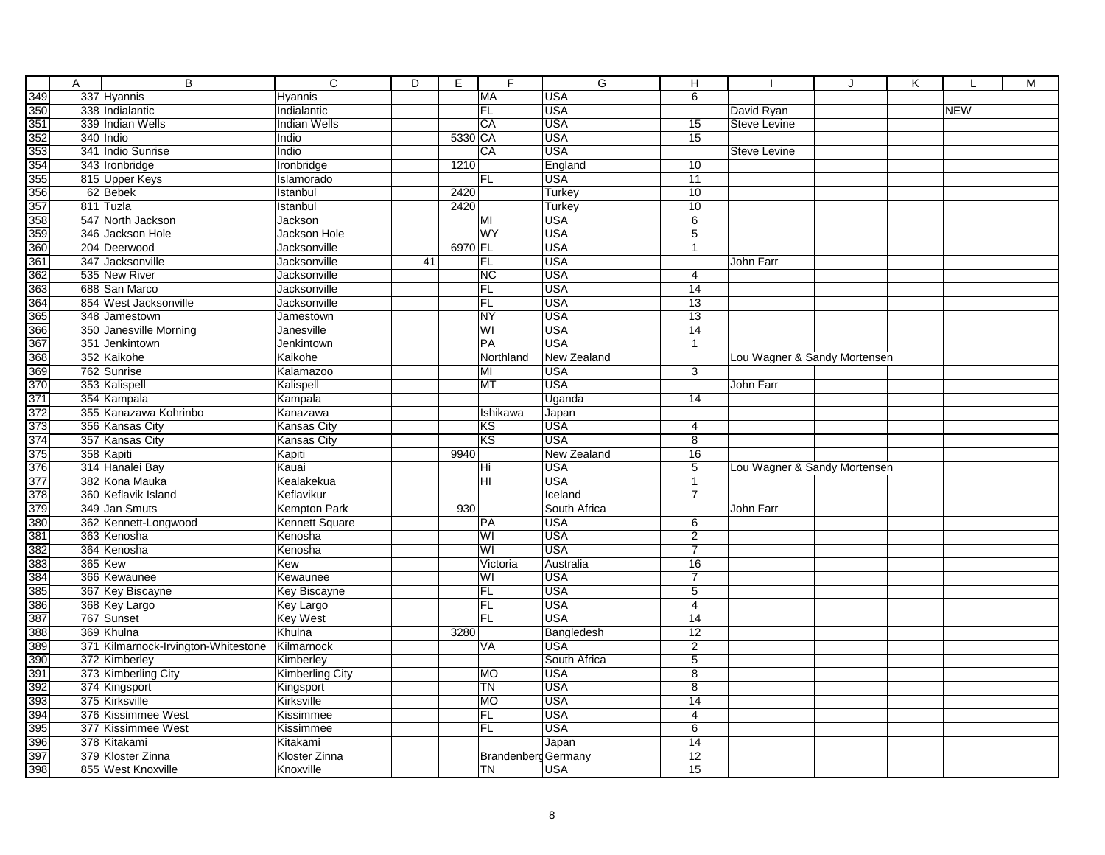| 337 Hyannis<br><b>MA</b><br><b>USA</b><br>6<br>Hyannis<br>338 Indialantic<br>FL<br><b>USA</b><br>David Ryan<br><b>NEW</b><br>Indialantic<br>339 Indian Wells<br>CA<br><b>USA</b><br><b>Steve Levine</b><br><b>Indian Wells</b><br>15<br>5330 CA<br><b>USA</b><br>340 Indio<br>15<br>Indio<br><b>USA</b><br>341 Indio Sunrise<br>CA<br>Indio<br>Steve Levine<br>343 Ironbridge<br>1210<br>England<br>10<br>Ironbridge<br>815 Upper Keys<br>Islamorado<br><b>USA</b><br>11<br>FL<br>62 Bebek<br>2420<br>10<br>Istanbul<br>Turkey<br>811 Tuzla<br>Istanbul<br>2420<br>Turkey<br>10<br>547 North Jackson<br><b>USA</b><br>6<br>Jackson<br>MI<br>WY<br><b>USA</b><br>$\overline{5}$<br>346 Jackson Hole<br><b>Jackson Hole</b><br>6970 FL<br><b>USA</b><br>204 Deerwood<br>Jacksonville<br>$\mathbf{1}$<br><b>USA</b><br>347 Jacksonville<br>Jacksonville<br>41<br>FL<br>John Farr<br><b>USA</b><br>535 New River<br>Jacksonville<br>NC<br>4<br>688 San Marco<br><b>USA</b><br>Jacksonville<br><b>FL</b><br>14<br>FL<br><b>USA</b><br>854 West Jacksonville<br>Jacksonville<br>13<br><b>USA</b><br>348 Jamestown<br><b>NY</b><br>13<br>Jamestown<br>350 Janesville Morning<br>WI<br><b>USA</b><br>14<br>Janesville<br><b>PA</b><br><b>USA</b><br>351 Jenkintown<br>Jenkintown<br>$\overline{1}$<br>352 Kaikohe<br>Kaikohe<br>Northland<br>New Zealand<br>Lou Wagner & Sandy Mortensen<br>762 Sunrise<br>MI<br><b>USA</b><br>3<br>Kalamazoo<br>MT<br><b>USA</b><br>353 Kalispell<br>Kalispell<br>John Farr<br>354 Kampala<br>Uganda<br>$\overline{14}$<br>Kampala<br>355 Kanazawa Kohrinbo<br>Japan<br>Kanazawa<br>Ishikawa<br><b>USA</b><br>356 Kansas City<br><b>Kansas City</b><br>KS<br>4<br>KS<br>357 Kansas City<br><b>USA</b><br>$\overline{8}$<br><b>Kansas City</b><br>358 Kapiti<br>Kapiti<br>9940<br>New Zealand<br>16<br>314 Hanalei Bay<br><b>USA</b><br>5<br>Kauai<br>Hi<br>Lou Wagner & Sandy Mortensen<br>382 Kona Mauka<br>Kealakekua<br><b>USA</b><br>HI<br>$\mathbf{1}$<br>$\overline{7}$<br>360 Keflavik Island<br>Keflavikur<br>Iceland<br>930<br>349 Jan Smuts<br>South Africa<br>John Farr<br>Kempton Park<br><b>USA</b><br>362 Kennett-Longwood<br>Kennett Square<br>PA<br>6<br>363 Kenosha<br>Kenosha<br>WI<br><b>USA</b><br>2<br>364 Kenosha<br>WI<br><b>USA</b><br>$\overline{7}$<br>Kenosha<br>365 Kew<br>16<br>Victoria<br>Australia<br>Kew<br>USA<br>366 Kewaunee<br>WI<br>$\overline{7}$<br>Kewaunee<br>367 Key Biscayne<br>FL<br><b>USA</b><br>$\,$ 5 $\,$<br>Key Biscayne<br>FL<br><b>USA</b><br>368 Key Largo<br><b>Key Largo</b><br>4<br><b>USA</b><br>767 Sunset<br><b>Key West</b><br>FL<br>$\overline{14}$<br>369 Khulna<br>Bangledesh<br>Khulna<br>3280<br>12<br><b>USA</b><br>$\overline{2}$<br>371 Kilmarnock-Irvington-Whitestone<br>Kilmarnock<br>VA<br>$\overline{5}$<br>372 Kimberley<br>South Africa<br>Kimberley<br>373 Kimberling City<br><b>MO</b><br><b>USA</b><br>$\overline{8}$<br><b>Kimberling City</b><br><b>TN</b><br><b>USA</b><br>374 Kingsport<br>8<br>Kingsport<br>375 Kirksville<br>Kirksville<br><b>MO</b><br><b>USA</b><br>14<br>376 Kissimmee West<br>FL<br><b>USA</b><br>Kissimmee<br>4<br>FL<br><b>USA</b><br>377 Kissimmee West<br>6<br>Kissimmee<br>378 Kitakami<br>$\overline{14}$<br>Kitakami<br>Japan<br>379 Kloster Zinna<br>12<br>Kloster Zinna<br>Brandenberg Germany<br>$\overline{15}$<br>855 West Knoxville<br>Knoxville<br><b>TN</b><br><b>USA</b> | A | $\overline{B}$ | $\overline{c}$ | $\overline{D}$ | E | F | G | н | J | K | M |
|----------------------------------------------------------------------------------------------------------------------------------------------------------------------------------------------------------------------------------------------------------------------------------------------------------------------------------------------------------------------------------------------------------------------------------------------------------------------------------------------------------------------------------------------------------------------------------------------------------------------------------------------------------------------------------------------------------------------------------------------------------------------------------------------------------------------------------------------------------------------------------------------------------------------------------------------------------------------------------------------------------------------------------------------------------------------------------------------------------------------------------------------------------------------------------------------------------------------------------------------------------------------------------------------------------------------------------------------------------------------------------------------------------------------------------------------------------------------------------------------------------------------------------------------------------------------------------------------------------------------------------------------------------------------------------------------------------------------------------------------------------------------------------------------------------------------------------------------------------------------------------------------------------------------------------------------------------------------------------------------------------------------------------------------------------------------------------------------------------------------------------------------------------------------------------------------------------------------------------------------------------------------------------------------------------------------------------------------------------------------------------------------------------------------------------------------------------------------------------------------------------------------------------------------------------------------------------------------------------------------------------------------------------------------------------------------------------------------------------------------------------------------------------------------------------------------------------------------------------------------------------------------------------------------------------------------------------------------------------------------------------------------------------------------------------------------------------------------------------------------------------------------------------------------------------------------------------------------------------------------------------------------------------------------------------------------------------------------------------------------------------------------------------------------------|---|----------------|----------------|----------------|---|---|---|---|---|---|---|
|                                                                                                                                                                                                                                                                                                                                                                                                                                                                                                                                                                                                                                                                                                                                                                                                                                                                                                                                                                                                                                                                                                                                                                                                                                                                                                                                                                                                                                                                                                                                                                                                                                                                                                                                                                                                                                                                                                                                                                                                                                                                                                                                                                                                                                                                                                                                                                                                                                                                                                                                                                                                                                                                                                                                                                                                                                                                                                                                                                                                                                                                                                                                                                                                                                                                                                                                                                                                                            |   |                |                |                |   |   |   |   |   |   |   |
|                                                                                                                                                                                                                                                                                                                                                                                                                                                                                                                                                                                                                                                                                                                                                                                                                                                                                                                                                                                                                                                                                                                                                                                                                                                                                                                                                                                                                                                                                                                                                                                                                                                                                                                                                                                                                                                                                                                                                                                                                                                                                                                                                                                                                                                                                                                                                                                                                                                                                                                                                                                                                                                                                                                                                                                                                                                                                                                                                                                                                                                                                                                                                                                                                                                                                                                                                                                                                            |   |                |                |                |   |   |   |   |   |   |   |
|                                                                                                                                                                                                                                                                                                                                                                                                                                                                                                                                                                                                                                                                                                                                                                                                                                                                                                                                                                                                                                                                                                                                                                                                                                                                                                                                                                                                                                                                                                                                                                                                                                                                                                                                                                                                                                                                                                                                                                                                                                                                                                                                                                                                                                                                                                                                                                                                                                                                                                                                                                                                                                                                                                                                                                                                                                                                                                                                                                                                                                                                                                                                                                                                                                                                                                                                                                                                                            |   |                |                |                |   |   |   |   |   |   |   |
|                                                                                                                                                                                                                                                                                                                                                                                                                                                                                                                                                                                                                                                                                                                                                                                                                                                                                                                                                                                                                                                                                                                                                                                                                                                                                                                                                                                                                                                                                                                                                                                                                                                                                                                                                                                                                                                                                                                                                                                                                                                                                                                                                                                                                                                                                                                                                                                                                                                                                                                                                                                                                                                                                                                                                                                                                                                                                                                                                                                                                                                                                                                                                                                                                                                                                                                                                                                                                            |   |                |                |                |   |   |   |   |   |   |   |
|                                                                                                                                                                                                                                                                                                                                                                                                                                                                                                                                                                                                                                                                                                                                                                                                                                                                                                                                                                                                                                                                                                                                                                                                                                                                                                                                                                                                                                                                                                                                                                                                                                                                                                                                                                                                                                                                                                                                                                                                                                                                                                                                                                                                                                                                                                                                                                                                                                                                                                                                                                                                                                                                                                                                                                                                                                                                                                                                                                                                                                                                                                                                                                                                                                                                                                                                                                                                                            |   |                |                |                |   |   |   |   |   |   |   |
|                                                                                                                                                                                                                                                                                                                                                                                                                                                                                                                                                                                                                                                                                                                                                                                                                                                                                                                                                                                                                                                                                                                                                                                                                                                                                                                                                                                                                                                                                                                                                                                                                                                                                                                                                                                                                                                                                                                                                                                                                                                                                                                                                                                                                                                                                                                                                                                                                                                                                                                                                                                                                                                                                                                                                                                                                                                                                                                                                                                                                                                                                                                                                                                                                                                                                                                                                                                                                            |   |                |                |                |   |   |   |   |   |   |   |
|                                                                                                                                                                                                                                                                                                                                                                                                                                                                                                                                                                                                                                                                                                                                                                                                                                                                                                                                                                                                                                                                                                                                                                                                                                                                                                                                                                                                                                                                                                                                                                                                                                                                                                                                                                                                                                                                                                                                                                                                                                                                                                                                                                                                                                                                                                                                                                                                                                                                                                                                                                                                                                                                                                                                                                                                                                                                                                                                                                                                                                                                                                                                                                                                                                                                                                                                                                                                                            |   |                |                |                |   |   |   |   |   |   |   |
|                                                                                                                                                                                                                                                                                                                                                                                                                                                                                                                                                                                                                                                                                                                                                                                                                                                                                                                                                                                                                                                                                                                                                                                                                                                                                                                                                                                                                                                                                                                                                                                                                                                                                                                                                                                                                                                                                                                                                                                                                                                                                                                                                                                                                                                                                                                                                                                                                                                                                                                                                                                                                                                                                                                                                                                                                                                                                                                                                                                                                                                                                                                                                                                                                                                                                                                                                                                                                            |   |                |                |                |   |   |   |   |   |   |   |
|                                                                                                                                                                                                                                                                                                                                                                                                                                                                                                                                                                                                                                                                                                                                                                                                                                                                                                                                                                                                                                                                                                                                                                                                                                                                                                                                                                                                                                                                                                                                                                                                                                                                                                                                                                                                                                                                                                                                                                                                                                                                                                                                                                                                                                                                                                                                                                                                                                                                                                                                                                                                                                                                                                                                                                                                                                                                                                                                                                                                                                                                                                                                                                                                                                                                                                                                                                                                                            |   |                |                |                |   |   |   |   |   |   |   |
|                                                                                                                                                                                                                                                                                                                                                                                                                                                                                                                                                                                                                                                                                                                                                                                                                                                                                                                                                                                                                                                                                                                                                                                                                                                                                                                                                                                                                                                                                                                                                                                                                                                                                                                                                                                                                                                                                                                                                                                                                                                                                                                                                                                                                                                                                                                                                                                                                                                                                                                                                                                                                                                                                                                                                                                                                                                                                                                                                                                                                                                                                                                                                                                                                                                                                                                                                                                                                            |   |                |                |                |   |   |   |   |   |   |   |
|                                                                                                                                                                                                                                                                                                                                                                                                                                                                                                                                                                                                                                                                                                                                                                                                                                                                                                                                                                                                                                                                                                                                                                                                                                                                                                                                                                                                                                                                                                                                                                                                                                                                                                                                                                                                                                                                                                                                                                                                                                                                                                                                                                                                                                                                                                                                                                                                                                                                                                                                                                                                                                                                                                                                                                                                                                                                                                                                                                                                                                                                                                                                                                                                                                                                                                                                                                                                                            |   |                |                |                |   |   |   |   |   |   |   |
|                                                                                                                                                                                                                                                                                                                                                                                                                                                                                                                                                                                                                                                                                                                                                                                                                                                                                                                                                                                                                                                                                                                                                                                                                                                                                                                                                                                                                                                                                                                                                                                                                                                                                                                                                                                                                                                                                                                                                                                                                                                                                                                                                                                                                                                                                                                                                                                                                                                                                                                                                                                                                                                                                                                                                                                                                                                                                                                                                                                                                                                                                                                                                                                                                                                                                                                                                                                                                            |   |                |                |                |   |   |   |   |   |   |   |
|                                                                                                                                                                                                                                                                                                                                                                                                                                                                                                                                                                                                                                                                                                                                                                                                                                                                                                                                                                                                                                                                                                                                                                                                                                                                                                                                                                                                                                                                                                                                                                                                                                                                                                                                                                                                                                                                                                                                                                                                                                                                                                                                                                                                                                                                                                                                                                                                                                                                                                                                                                                                                                                                                                                                                                                                                                                                                                                                                                                                                                                                                                                                                                                                                                                                                                                                                                                                                            |   |                |                |                |   |   |   |   |   |   |   |
|                                                                                                                                                                                                                                                                                                                                                                                                                                                                                                                                                                                                                                                                                                                                                                                                                                                                                                                                                                                                                                                                                                                                                                                                                                                                                                                                                                                                                                                                                                                                                                                                                                                                                                                                                                                                                                                                                                                                                                                                                                                                                                                                                                                                                                                                                                                                                                                                                                                                                                                                                                                                                                                                                                                                                                                                                                                                                                                                                                                                                                                                                                                                                                                                                                                                                                                                                                                                                            |   |                |                |                |   |   |   |   |   |   |   |
|                                                                                                                                                                                                                                                                                                                                                                                                                                                                                                                                                                                                                                                                                                                                                                                                                                                                                                                                                                                                                                                                                                                                                                                                                                                                                                                                                                                                                                                                                                                                                                                                                                                                                                                                                                                                                                                                                                                                                                                                                                                                                                                                                                                                                                                                                                                                                                                                                                                                                                                                                                                                                                                                                                                                                                                                                                                                                                                                                                                                                                                                                                                                                                                                                                                                                                                                                                                                                            |   |                |                |                |   |   |   |   |   |   |   |
|                                                                                                                                                                                                                                                                                                                                                                                                                                                                                                                                                                                                                                                                                                                                                                                                                                                                                                                                                                                                                                                                                                                                                                                                                                                                                                                                                                                                                                                                                                                                                                                                                                                                                                                                                                                                                                                                                                                                                                                                                                                                                                                                                                                                                                                                                                                                                                                                                                                                                                                                                                                                                                                                                                                                                                                                                                                                                                                                                                                                                                                                                                                                                                                                                                                                                                                                                                                                                            |   |                |                |                |   |   |   |   |   |   |   |
|                                                                                                                                                                                                                                                                                                                                                                                                                                                                                                                                                                                                                                                                                                                                                                                                                                                                                                                                                                                                                                                                                                                                                                                                                                                                                                                                                                                                                                                                                                                                                                                                                                                                                                                                                                                                                                                                                                                                                                                                                                                                                                                                                                                                                                                                                                                                                                                                                                                                                                                                                                                                                                                                                                                                                                                                                                                                                                                                                                                                                                                                                                                                                                                                                                                                                                                                                                                                                            |   |                |                |                |   |   |   |   |   |   |   |
|                                                                                                                                                                                                                                                                                                                                                                                                                                                                                                                                                                                                                                                                                                                                                                                                                                                                                                                                                                                                                                                                                                                                                                                                                                                                                                                                                                                                                                                                                                                                                                                                                                                                                                                                                                                                                                                                                                                                                                                                                                                                                                                                                                                                                                                                                                                                                                                                                                                                                                                                                                                                                                                                                                                                                                                                                                                                                                                                                                                                                                                                                                                                                                                                                                                                                                                                                                                                                            |   |                |                |                |   |   |   |   |   |   |   |
|                                                                                                                                                                                                                                                                                                                                                                                                                                                                                                                                                                                                                                                                                                                                                                                                                                                                                                                                                                                                                                                                                                                                                                                                                                                                                                                                                                                                                                                                                                                                                                                                                                                                                                                                                                                                                                                                                                                                                                                                                                                                                                                                                                                                                                                                                                                                                                                                                                                                                                                                                                                                                                                                                                                                                                                                                                                                                                                                                                                                                                                                                                                                                                                                                                                                                                                                                                                                                            |   |                |                |                |   |   |   |   |   |   |   |
|                                                                                                                                                                                                                                                                                                                                                                                                                                                                                                                                                                                                                                                                                                                                                                                                                                                                                                                                                                                                                                                                                                                                                                                                                                                                                                                                                                                                                                                                                                                                                                                                                                                                                                                                                                                                                                                                                                                                                                                                                                                                                                                                                                                                                                                                                                                                                                                                                                                                                                                                                                                                                                                                                                                                                                                                                                                                                                                                                                                                                                                                                                                                                                                                                                                                                                                                                                                                                            |   |                |                |                |   |   |   |   |   |   |   |
|                                                                                                                                                                                                                                                                                                                                                                                                                                                                                                                                                                                                                                                                                                                                                                                                                                                                                                                                                                                                                                                                                                                                                                                                                                                                                                                                                                                                                                                                                                                                                                                                                                                                                                                                                                                                                                                                                                                                                                                                                                                                                                                                                                                                                                                                                                                                                                                                                                                                                                                                                                                                                                                                                                                                                                                                                                                                                                                                                                                                                                                                                                                                                                                                                                                                                                                                                                                                                            |   |                |                |                |   |   |   |   |   |   |   |
|                                                                                                                                                                                                                                                                                                                                                                                                                                                                                                                                                                                                                                                                                                                                                                                                                                                                                                                                                                                                                                                                                                                                                                                                                                                                                                                                                                                                                                                                                                                                                                                                                                                                                                                                                                                                                                                                                                                                                                                                                                                                                                                                                                                                                                                                                                                                                                                                                                                                                                                                                                                                                                                                                                                                                                                                                                                                                                                                                                                                                                                                                                                                                                                                                                                                                                                                                                                                                            |   |                |                |                |   |   |   |   |   |   |   |
|                                                                                                                                                                                                                                                                                                                                                                                                                                                                                                                                                                                                                                                                                                                                                                                                                                                                                                                                                                                                                                                                                                                                                                                                                                                                                                                                                                                                                                                                                                                                                                                                                                                                                                                                                                                                                                                                                                                                                                                                                                                                                                                                                                                                                                                                                                                                                                                                                                                                                                                                                                                                                                                                                                                                                                                                                                                                                                                                                                                                                                                                                                                                                                                                                                                                                                                                                                                                                            |   |                |                |                |   |   |   |   |   |   |   |
|                                                                                                                                                                                                                                                                                                                                                                                                                                                                                                                                                                                                                                                                                                                                                                                                                                                                                                                                                                                                                                                                                                                                                                                                                                                                                                                                                                                                                                                                                                                                                                                                                                                                                                                                                                                                                                                                                                                                                                                                                                                                                                                                                                                                                                                                                                                                                                                                                                                                                                                                                                                                                                                                                                                                                                                                                                                                                                                                                                                                                                                                                                                                                                                                                                                                                                                                                                                                                            |   |                |                |                |   |   |   |   |   |   |   |
|                                                                                                                                                                                                                                                                                                                                                                                                                                                                                                                                                                                                                                                                                                                                                                                                                                                                                                                                                                                                                                                                                                                                                                                                                                                                                                                                                                                                                                                                                                                                                                                                                                                                                                                                                                                                                                                                                                                                                                                                                                                                                                                                                                                                                                                                                                                                                                                                                                                                                                                                                                                                                                                                                                                                                                                                                                                                                                                                                                                                                                                                                                                                                                                                                                                                                                                                                                                                                            |   |                |                |                |   |   |   |   |   |   |   |
|                                                                                                                                                                                                                                                                                                                                                                                                                                                                                                                                                                                                                                                                                                                                                                                                                                                                                                                                                                                                                                                                                                                                                                                                                                                                                                                                                                                                                                                                                                                                                                                                                                                                                                                                                                                                                                                                                                                                                                                                                                                                                                                                                                                                                                                                                                                                                                                                                                                                                                                                                                                                                                                                                                                                                                                                                                                                                                                                                                                                                                                                                                                                                                                                                                                                                                                                                                                                                            |   |                |                |                |   |   |   |   |   |   |   |
|                                                                                                                                                                                                                                                                                                                                                                                                                                                                                                                                                                                                                                                                                                                                                                                                                                                                                                                                                                                                                                                                                                                                                                                                                                                                                                                                                                                                                                                                                                                                                                                                                                                                                                                                                                                                                                                                                                                                                                                                                                                                                                                                                                                                                                                                                                                                                                                                                                                                                                                                                                                                                                                                                                                                                                                                                                                                                                                                                                                                                                                                                                                                                                                                                                                                                                                                                                                                                            |   |                |                |                |   |   |   |   |   |   |   |
|                                                                                                                                                                                                                                                                                                                                                                                                                                                                                                                                                                                                                                                                                                                                                                                                                                                                                                                                                                                                                                                                                                                                                                                                                                                                                                                                                                                                                                                                                                                                                                                                                                                                                                                                                                                                                                                                                                                                                                                                                                                                                                                                                                                                                                                                                                                                                                                                                                                                                                                                                                                                                                                                                                                                                                                                                                                                                                                                                                                                                                                                                                                                                                                                                                                                                                                                                                                                                            |   |                |                |                |   |   |   |   |   |   |   |
|                                                                                                                                                                                                                                                                                                                                                                                                                                                                                                                                                                                                                                                                                                                                                                                                                                                                                                                                                                                                                                                                                                                                                                                                                                                                                                                                                                                                                                                                                                                                                                                                                                                                                                                                                                                                                                                                                                                                                                                                                                                                                                                                                                                                                                                                                                                                                                                                                                                                                                                                                                                                                                                                                                                                                                                                                                                                                                                                                                                                                                                                                                                                                                                                                                                                                                                                                                                                                            |   |                |                |                |   |   |   |   |   |   |   |
|                                                                                                                                                                                                                                                                                                                                                                                                                                                                                                                                                                                                                                                                                                                                                                                                                                                                                                                                                                                                                                                                                                                                                                                                                                                                                                                                                                                                                                                                                                                                                                                                                                                                                                                                                                                                                                                                                                                                                                                                                                                                                                                                                                                                                                                                                                                                                                                                                                                                                                                                                                                                                                                                                                                                                                                                                                                                                                                                                                                                                                                                                                                                                                                                                                                                                                                                                                                                                            |   |                |                |                |   |   |   |   |   |   |   |
|                                                                                                                                                                                                                                                                                                                                                                                                                                                                                                                                                                                                                                                                                                                                                                                                                                                                                                                                                                                                                                                                                                                                                                                                                                                                                                                                                                                                                                                                                                                                                                                                                                                                                                                                                                                                                                                                                                                                                                                                                                                                                                                                                                                                                                                                                                                                                                                                                                                                                                                                                                                                                                                                                                                                                                                                                                                                                                                                                                                                                                                                                                                                                                                                                                                                                                                                                                                                                            |   |                |                |                |   |   |   |   |   |   |   |
|                                                                                                                                                                                                                                                                                                                                                                                                                                                                                                                                                                                                                                                                                                                                                                                                                                                                                                                                                                                                                                                                                                                                                                                                                                                                                                                                                                                                                                                                                                                                                                                                                                                                                                                                                                                                                                                                                                                                                                                                                                                                                                                                                                                                                                                                                                                                                                                                                                                                                                                                                                                                                                                                                                                                                                                                                                                                                                                                                                                                                                                                                                                                                                                                                                                                                                                                                                                                                            |   |                |                |                |   |   |   |   |   |   |   |
|                                                                                                                                                                                                                                                                                                                                                                                                                                                                                                                                                                                                                                                                                                                                                                                                                                                                                                                                                                                                                                                                                                                                                                                                                                                                                                                                                                                                                                                                                                                                                                                                                                                                                                                                                                                                                                                                                                                                                                                                                                                                                                                                                                                                                                                                                                                                                                                                                                                                                                                                                                                                                                                                                                                                                                                                                                                                                                                                                                                                                                                                                                                                                                                                                                                                                                                                                                                                                            |   |                |                |                |   |   |   |   |   |   |   |
|                                                                                                                                                                                                                                                                                                                                                                                                                                                                                                                                                                                                                                                                                                                                                                                                                                                                                                                                                                                                                                                                                                                                                                                                                                                                                                                                                                                                                                                                                                                                                                                                                                                                                                                                                                                                                                                                                                                                                                                                                                                                                                                                                                                                                                                                                                                                                                                                                                                                                                                                                                                                                                                                                                                                                                                                                                                                                                                                                                                                                                                                                                                                                                                                                                                                                                                                                                                                                            |   |                |                |                |   |   |   |   |   |   |   |
|                                                                                                                                                                                                                                                                                                                                                                                                                                                                                                                                                                                                                                                                                                                                                                                                                                                                                                                                                                                                                                                                                                                                                                                                                                                                                                                                                                                                                                                                                                                                                                                                                                                                                                                                                                                                                                                                                                                                                                                                                                                                                                                                                                                                                                                                                                                                                                                                                                                                                                                                                                                                                                                                                                                                                                                                                                                                                                                                                                                                                                                                                                                                                                                                                                                                                                                                                                                                                            |   |                |                |                |   |   |   |   |   |   |   |
|                                                                                                                                                                                                                                                                                                                                                                                                                                                                                                                                                                                                                                                                                                                                                                                                                                                                                                                                                                                                                                                                                                                                                                                                                                                                                                                                                                                                                                                                                                                                                                                                                                                                                                                                                                                                                                                                                                                                                                                                                                                                                                                                                                                                                                                                                                                                                                                                                                                                                                                                                                                                                                                                                                                                                                                                                                                                                                                                                                                                                                                                                                                                                                                                                                                                                                                                                                                                                            |   |                |                |                |   |   |   |   |   |   |   |
|                                                                                                                                                                                                                                                                                                                                                                                                                                                                                                                                                                                                                                                                                                                                                                                                                                                                                                                                                                                                                                                                                                                                                                                                                                                                                                                                                                                                                                                                                                                                                                                                                                                                                                                                                                                                                                                                                                                                                                                                                                                                                                                                                                                                                                                                                                                                                                                                                                                                                                                                                                                                                                                                                                                                                                                                                                                                                                                                                                                                                                                                                                                                                                                                                                                                                                                                                                                                                            |   |                |                |                |   |   |   |   |   |   |   |
|                                                                                                                                                                                                                                                                                                                                                                                                                                                                                                                                                                                                                                                                                                                                                                                                                                                                                                                                                                                                                                                                                                                                                                                                                                                                                                                                                                                                                                                                                                                                                                                                                                                                                                                                                                                                                                                                                                                                                                                                                                                                                                                                                                                                                                                                                                                                                                                                                                                                                                                                                                                                                                                                                                                                                                                                                                                                                                                                                                                                                                                                                                                                                                                                                                                                                                                                                                                                                            |   |                |                |                |   |   |   |   |   |   |   |
|                                                                                                                                                                                                                                                                                                                                                                                                                                                                                                                                                                                                                                                                                                                                                                                                                                                                                                                                                                                                                                                                                                                                                                                                                                                                                                                                                                                                                                                                                                                                                                                                                                                                                                                                                                                                                                                                                                                                                                                                                                                                                                                                                                                                                                                                                                                                                                                                                                                                                                                                                                                                                                                                                                                                                                                                                                                                                                                                                                                                                                                                                                                                                                                                                                                                                                                                                                                                                            |   |                |                |                |   |   |   |   |   |   |   |
|                                                                                                                                                                                                                                                                                                                                                                                                                                                                                                                                                                                                                                                                                                                                                                                                                                                                                                                                                                                                                                                                                                                                                                                                                                                                                                                                                                                                                                                                                                                                                                                                                                                                                                                                                                                                                                                                                                                                                                                                                                                                                                                                                                                                                                                                                                                                                                                                                                                                                                                                                                                                                                                                                                                                                                                                                                                                                                                                                                                                                                                                                                                                                                                                                                                                                                                                                                                                                            |   |                |                |                |   |   |   |   |   |   |   |
|                                                                                                                                                                                                                                                                                                                                                                                                                                                                                                                                                                                                                                                                                                                                                                                                                                                                                                                                                                                                                                                                                                                                                                                                                                                                                                                                                                                                                                                                                                                                                                                                                                                                                                                                                                                                                                                                                                                                                                                                                                                                                                                                                                                                                                                                                                                                                                                                                                                                                                                                                                                                                                                                                                                                                                                                                                                                                                                                                                                                                                                                                                                                                                                                                                                                                                                                                                                                                            |   |                |                |                |   |   |   |   |   |   |   |
|                                                                                                                                                                                                                                                                                                                                                                                                                                                                                                                                                                                                                                                                                                                                                                                                                                                                                                                                                                                                                                                                                                                                                                                                                                                                                                                                                                                                                                                                                                                                                                                                                                                                                                                                                                                                                                                                                                                                                                                                                                                                                                                                                                                                                                                                                                                                                                                                                                                                                                                                                                                                                                                                                                                                                                                                                                                                                                                                                                                                                                                                                                                                                                                                                                                                                                                                                                                                                            |   |                |                |                |   |   |   |   |   |   |   |
|                                                                                                                                                                                                                                                                                                                                                                                                                                                                                                                                                                                                                                                                                                                                                                                                                                                                                                                                                                                                                                                                                                                                                                                                                                                                                                                                                                                                                                                                                                                                                                                                                                                                                                                                                                                                                                                                                                                                                                                                                                                                                                                                                                                                                                                                                                                                                                                                                                                                                                                                                                                                                                                                                                                                                                                                                                                                                                                                                                                                                                                                                                                                                                                                                                                                                                                                                                                                                            |   |                |                |                |   |   |   |   |   |   |   |
|                                                                                                                                                                                                                                                                                                                                                                                                                                                                                                                                                                                                                                                                                                                                                                                                                                                                                                                                                                                                                                                                                                                                                                                                                                                                                                                                                                                                                                                                                                                                                                                                                                                                                                                                                                                                                                                                                                                                                                                                                                                                                                                                                                                                                                                                                                                                                                                                                                                                                                                                                                                                                                                                                                                                                                                                                                                                                                                                                                                                                                                                                                                                                                                                                                                                                                                                                                                                                            |   |                |                |                |   |   |   |   |   |   |   |
|                                                                                                                                                                                                                                                                                                                                                                                                                                                                                                                                                                                                                                                                                                                                                                                                                                                                                                                                                                                                                                                                                                                                                                                                                                                                                                                                                                                                                                                                                                                                                                                                                                                                                                                                                                                                                                                                                                                                                                                                                                                                                                                                                                                                                                                                                                                                                                                                                                                                                                                                                                                                                                                                                                                                                                                                                                                                                                                                                                                                                                                                                                                                                                                                                                                                                                                                                                                                                            |   |                |                |                |   |   |   |   |   |   |   |
|                                                                                                                                                                                                                                                                                                                                                                                                                                                                                                                                                                                                                                                                                                                                                                                                                                                                                                                                                                                                                                                                                                                                                                                                                                                                                                                                                                                                                                                                                                                                                                                                                                                                                                                                                                                                                                                                                                                                                                                                                                                                                                                                                                                                                                                                                                                                                                                                                                                                                                                                                                                                                                                                                                                                                                                                                                                                                                                                                                                                                                                                                                                                                                                                                                                                                                                                                                                                                            |   |                |                |                |   |   |   |   |   |   |   |
|                                                                                                                                                                                                                                                                                                                                                                                                                                                                                                                                                                                                                                                                                                                                                                                                                                                                                                                                                                                                                                                                                                                                                                                                                                                                                                                                                                                                                                                                                                                                                                                                                                                                                                                                                                                                                                                                                                                                                                                                                                                                                                                                                                                                                                                                                                                                                                                                                                                                                                                                                                                                                                                                                                                                                                                                                                                                                                                                                                                                                                                                                                                                                                                                                                                                                                                                                                                                                            |   |                |                |                |   |   |   |   |   |   |   |
|                                                                                                                                                                                                                                                                                                                                                                                                                                                                                                                                                                                                                                                                                                                                                                                                                                                                                                                                                                                                                                                                                                                                                                                                                                                                                                                                                                                                                                                                                                                                                                                                                                                                                                                                                                                                                                                                                                                                                                                                                                                                                                                                                                                                                                                                                                                                                                                                                                                                                                                                                                                                                                                                                                                                                                                                                                                                                                                                                                                                                                                                                                                                                                                                                                                                                                                                                                                                                            |   |                |                |                |   |   |   |   |   |   |   |
|                                                                                                                                                                                                                                                                                                                                                                                                                                                                                                                                                                                                                                                                                                                                                                                                                                                                                                                                                                                                                                                                                                                                                                                                                                                                                                                                                                                                                                                                                                                                                                                                                                                                                                                                                                                                                                                                                                                                                                                                                                                                                                                                                                                                                                                                                                                                                                                                                                                                                                                                                                                                                                                                                                                                                                                                                                                                                                                                                                                                                                                                                                                                                                                                                                                                                                                                                                                                                            |   |                |                |                |   |   |   |   |   |   |   |
|                                                                                                                                                                                                                                                                                                                                                                                                                                                                                                                                                                                                                                                                                                                                                                                                                                                                                                                                                                                                                                                                                                                                                                                                                                                                                                                                                                                                                                                                                                                                                                                                                                                                                                                                                                                                                                                                                                                                                                                                                                                                                                                                                                                                                                                                                                                                                                                                                                                                                                                                                                                                                                                                                                                                                                                                                                                                                                                                                                                                                                                                                                                                                                                                                                                                                                                                                                                                                            |   |                |                |                |   |   |   |   |   |   |   |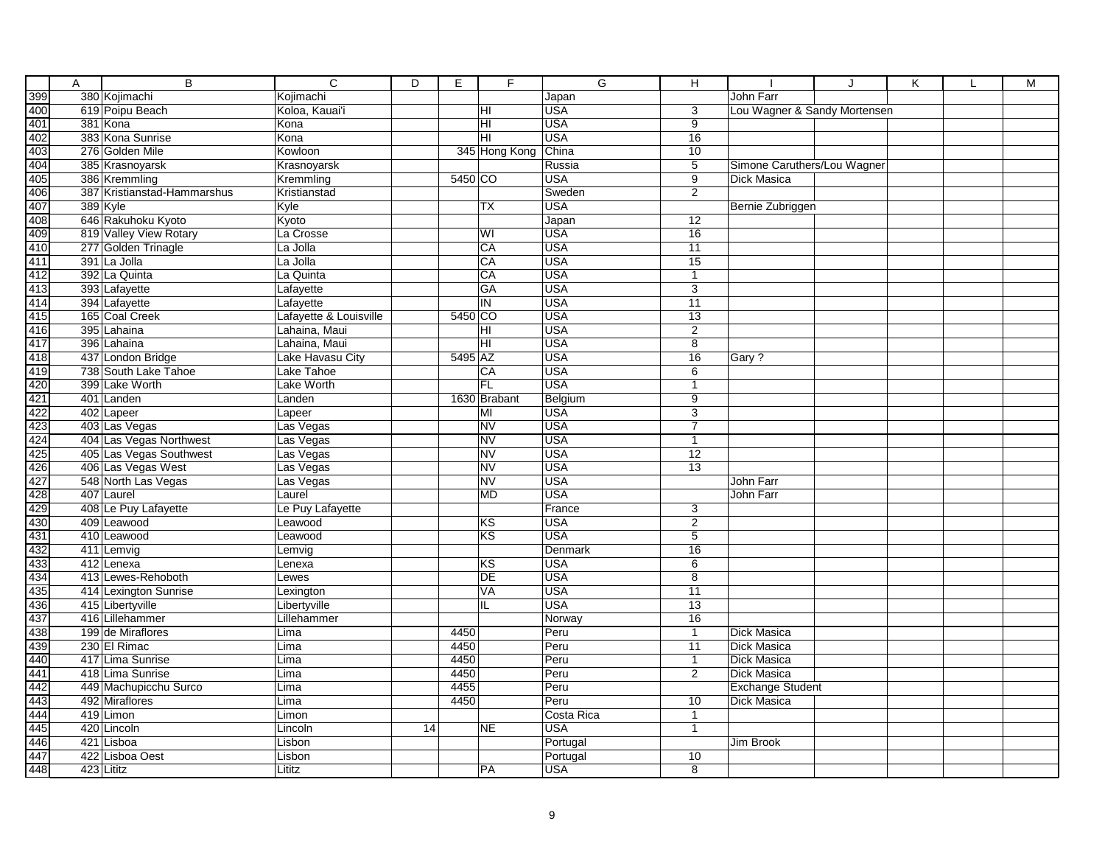| A | $\overline{B}$              | $\overline{C}$         | D  | E       | F               | G          | Η               |                              | ا. | K | M |
|---|-----------------------------|------------------------|----|---------|-----------------|------------|-----------------|------------------------------|----|---|---|
|   | 380 Kojimachi               | Kojimachi              |    |         |                 | Japan      |                 | John Farr                    |    |   |   |
|   | 619 Poipu Beach             | Koloa, Kauai'i         |    |         | HI              | <b>USA</b> | 3               | Lou Wagner & Sandy Mortensen |    |   |   |
|   | 381 Kona                    | Kona                   |    |         | HI              | <b>USA</b> | $\overline{9}$  |                              |    |   |   |
|   | 383 Kona Sunrise            | Kona                   |    |         | HI              | <b>USA</b> | $\overline{16}$ |                              |    |   |   |
|   | 276 Golden Mile             | Kowloon                |    |         | 345 Hong Kong   | China      | 10              |                              |    |   |   |
|   | 385 Krasnoyarsk             | Krasnoyarsk            |    |         |                 | Russia     | $\overline{5}$  | Simone Caruthers/Lou Wagner  |    |   |   |
|   | 386 Kremmling               | Kremmling              |    | 5450 CO |                 | <b>USA</b> | 9               | Dick Masica                  |    |   |   |
|   | 387 Kristianstad-Hammarshus | Kristianstad           |    |         |                 | Sweden     | 2               |                              |    |   |   |
|   | 389 Kyle                    | Kyle                   |    |         | <b>TX</b>       | <b>USA</b> |                 | Bernie Zubriggen             |    |   |   |
|   | 646 Rakuhoku Kyoto          | Kyoto                  |    |         |                 | Japan      | 12              |                              |    |   |   |
|   | 819 Valley View Rotary      | La Crosse              |    |         | WI              | <b>USA</b> | 16              |                              |    |   |   |
|   | 277 Golden Trinagle         | La Jolla               |    |         | CA              | <b>USA</b> | 11              |                              |    |   |   |
|   | 391 La Jolla                | La Jolla               |    |         | CA              | <b>USA</b> | 15              |                              |    |   |   |
|   | 392 La Quinta               | La Quinta              |    |         | CA              | <b>USA</b> | $\mathbf{1}$    |                              |    |   |   |
|   | 393 Lafayette               | Lafayette              |    |         | GA              | <b>USA</b> | 3               |                              |    |   |   |
|   | 394 Lafayette               | Lafayette              |    |         | IN              | <b>USA</b> | 11              |                              |    |   |   |
|   | 165 Coal Creek              | Lafayette & Louisville |    | 5450 CO |                 | <b>USA</b> | 13              |                              |    |   |   |
|   | 395 Lahaina                 | Lahaina, Maui          |    |         | HI              | <b>USA</b> | $\overline{2}$  |                              |    |   |   |
|   | 396 Lahaina                 | Lahaina, Maui          |    |         | H <sub>II</sub> | <b>USA</b> | $\overline{8}$  |                              |    |   |   |
|   | 437 London Bridge           | Lake Havasu City       |    | 5495 AZ |                 | <b>USA</b> | 16              | Gary?                        |    |   |   |
|   | 738 South Lake Tahoe        | Lake Tahoe             |    |         | CA              | <b>USA</b> | 6               |                              |    |   |   |
|   | 399 Lake Worth              | <b>Lake Worth</b>      |    |         | FL              | <b>USA</b> | $\mathbf{1}$    |                              |    |   |   |
|   | 401 Landen                  | Landen                 |    |         | 1630 Brabant    | Belgium    | $\overline{9}$  |                              |    |   |   |
|   | 402 Lapeer                  | Lapeer                 |    |         | MI              | <b>USA</b> | $\overline{3}$  |                              |    |   |   |
|   | 403 Las Vegas               | Las Vegas              |    |         | <b>NV</b>       | <b>USA</b> | $\overline{7}$  |                              |    |   |   |
|   | 404 Las Vegas Northwest     | Las Vegas              |    |         | <b>NV</b>       | <b>USA</b> | $\mathbf{1}$    |                              |    |   |   |
|   | 405 Las Vegas Southwest     | Las Vegas              |    |         | N <sub>V</sub>  | <b>USA</b> | $\overline{12}$ |                              |    |   |   |
|   | 406 Las Vegas West          | Las Vegas              |    |         | <b>NV</b>       | <b>USA</b> | $\overline{13}$ |                              |    |   |   |
|   | 548 North Las Vegas         | Las Vegas              |    |         | <b>NV</b>       | <b>USA</b> |                 | John Farr                    |    |   |   |
|   | 407 Laurel                  | Laurel                 |    |         | <b>MD</b>       | <b>USA</b> |                 | John Farr                    |    |   |   |
|   | 408 Le Puy Lafayette        | Le Puy Lafayette       |    |         |                 | France     | 3               |                              |    |   |   |
|   | 409 Leawood                 | Leawood                |    |         | <b>KS</b>       | <b>USA</b> | 2               |                              |    |   |   |
|   | 410 Leawood                 | Leawood                |    |         | KS              | <b>USA</b> | 5               |                              |    |   |   |
|   | 411 Lemvig                  | Lemvig                 |    |         |                 | Denmark    | 16              |                              |    |   |   |
|   | 412 Lenexa                  | Lenexa                 |    |         | <b>KS</b>       | <b>USA</b> | 6               |                              |    |   |   |
|   | 413 Lewes-Rehoboth          | Lewes                  |    |         | <b>DE</b>       | <b>USA</b> | 8               |                              |    |   |   |
|   | 414 Lexington Sunrise       | Lexington              |    |         | VA              | <b>USA</b> | 11              |                              |    |   |   |
|   | 415 Libertyville            | Libertyville           |    |         | IL              | <b>USA</b> | $\overline{13}$ |                              |    |   |   |
|   | 416 Lillehammer             | Lillehammer            |    |         |                 | Norway     | $\overline{16}$ |                              |    |   |   |
|   | 199 de Miraflores           | Lima                   |    | 4450    |                 | Peru       | $\mathbf{1}$    | Dick Masica                  |    |   |   |
|   | 230 El Rimac                | Lima                   |    | 4450    |                 | Peru       | 11              | Dick Masica                  |    |   |   |
|   | 417 Lima Sunrise            | Lima                   |    | 4450    |                 | Peru       | $\mathbf{1}$    | <b>Dick Masica</b>           |    |   |   |
|   | 418 Lima Sunrise            | Lima                   |    | 4450    |                 | Peru       | $\overline{2}$  | <b>Dick Masica</b>           |    |   |   |
|   | 449 Machupicchu Surco       | Lima                   |    | 4455    |                 | Peru       |                 | <b>Exchange Student</b>      |    |   |   |
|   | 492 Miraflores              | Lima                   |    | 4450    |                 | Peru       | 10              | Dick Masica                  |    |   |   |
|   | 419 Limon                   | Limon                  |    |         |                 | Costa Rica | $\mathbf{1}$    |                              |    |   |   |
|   | 420 Lincoln                 | Lincoln                | 14 |         | <b>NE</b>       | <b>USA</b> | $\mathbf{1}$    |                              |    |   |   |
|   | 421 Lisboa                  | Lisbon                 |    |         |                 | Portugal   |                 | Jim Brook                    |    |   |   |
|   | 422 Lisboa Oest             | Lisbon                 |    |         |                 | Portugal   | 10              |                              |    |   |   |
|   | 423 Lititz                  | Lititz                 |    |         | PA              | <b>USA</b> | $\overline{8}$  |                              |    |   |   |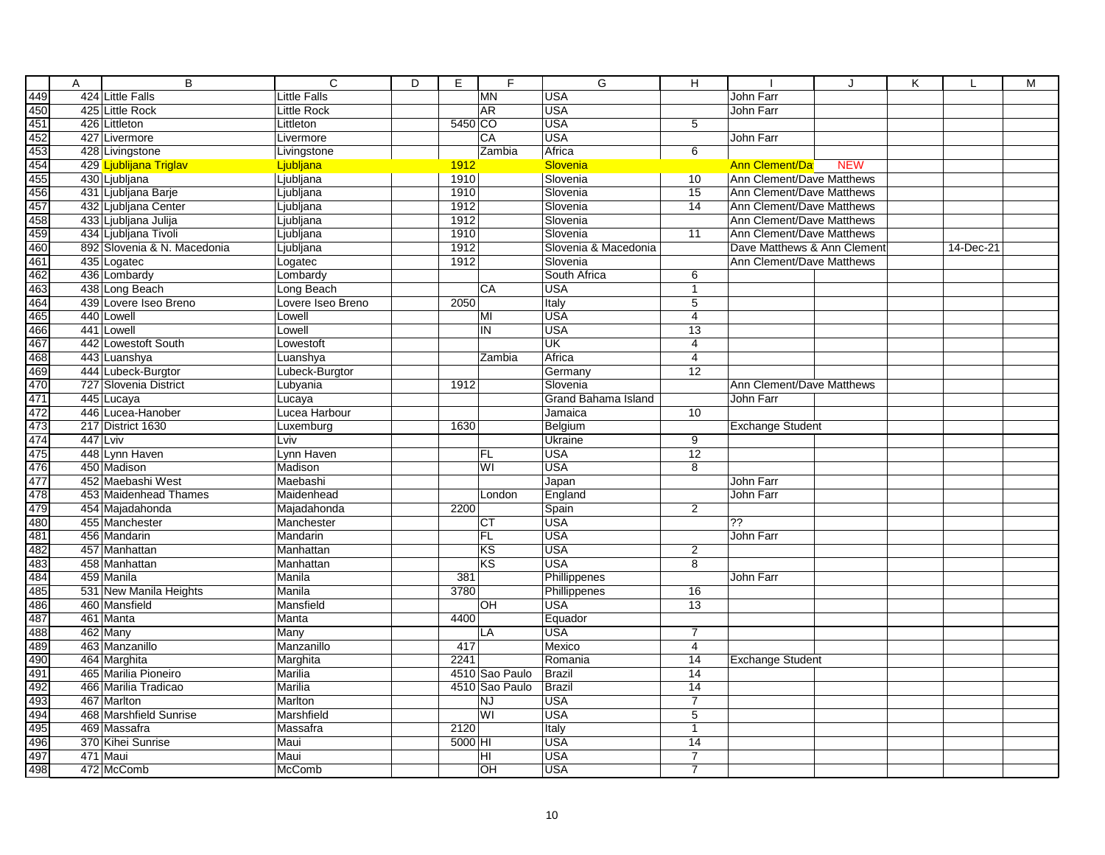|     | Α | $\overline{B}$                         | $\overline{c}$      | $\overline{D}$ | E                      | F      | G                      | $\overline{\mathsf{H}}$          |                                  | J          | K |           | M |
|-----|---|----------------------------------------|---------------------|----------------|------------------------|--------|------------------------|----------------------------------|----------------------------------|------------|---|-----------|---|
|     |   | 424 Little Falls                       | <b>Little Falls</b> |                | <b>MN</b>              |        | <b>USA</b>             |                                  | John Farr                        |            |   |           |   |
|     |   | 425 Little Rock                        | Little Rock         |                | <b>AR</b>              |        | <b>USA</b>             |                                  | John Farr                        |            |   |           |   |
|     |   | 426 Littleton                          | Littleton           |                | 5450 CO                |        | <b>USA</b>             | 5                                |                                  |            |   |           |   |
|     |   | 427 Livermore                          | Livermore           |                | CA                     |        | <b>USA</b>             |                                  | John Farr                        |            |   |           |   |
|     |   | 428 Livingstone                        | Livingstone         |                | Zambia                 |        | Africa                 | 6                                |                                  |            |   |           |   |
|     |   | 429 Ljublijana Triglav                 | Ljubljana           |                | <b>1912</b>            |        | <b>Slovenia</b>        |                                  | <b>Ann Clement/Da</b>            | <b>NEW</b> |   |           |   |
|     |   | 430 Ljubljana                          | Ljubljana           |                | 1910                   |        | Slovenia               | 10                               | <b>Ann Clement/Dave Matthews</b> |            |   |           |   |
|     |   | 431 Ljubljana Barje                    | Ljubljana           |                | 1910                   |        | Slovenia               | 15                               | Ann Clement/Dave Matthews        |            |   |           |   |
|     |   | 432 Ljubljana Center                   | Ljubljana           |                | 1912                   |        | Slovenia               | 14                               | Ann Clement/Dave Matthews        |            |   |           |   |
|     |   | 433 Ljubljana Julija                   | Ljubljana           |                | 1912                   |        | Slovenia               |                                  | Ann Clement/Dave Matthews        |            |   |           |   |
|     |   | 434 Ljubljana Tivoli                   | Ljubljana           |                | 1910                   |        | Slovenia               | $\overline{11}$                  | Ann Clement/Dave Matthews        |            |   |           |   |
|     |   | 892 Slovenia & N. Macedonia            | Ljubljana           |                | 1912                   |        | Slovenia & Macedonia   |                                  | Dave Matthews & Ann Clement      |            |   | 14-Dec-21 |   |
|     |   | 435 Logatec                            | Logatec             |                | 1912                   |        | Slovenia               |                                  | Ann Clement/Dave Matthews        |            |   |           |   |
|     |   | 436 Lombardy                           | Lombardy            |                |                        |        | South Africa           | 6                                |                                  |            |   |           |   |
|     |   | 438 Long Beach                         | Long Beach          |                | CA                     |        | <b>USA</b>             | $\mathbf{1}$                     |                                  |            |   |           |   |
|     |   | 439 Lovere Iseo Breno                  | Lovere Iseo Breno   |                | 2050                   |        | Italy                  | $\overline{5}$                   |                                  |            |   |           |   |
|     |   | 440 Lowell                             | Lowell              |                | MI                     |        | <b>USA</b>             | $\overline{4}$                   |                                  |            |   |           |   |
|     |   | 441 Lowell                             | Lowell              |                | IN                     |        | <b>USA</b>             | 13                               |                                  |            |   |           |   |
|     |   | 442 Lowestoft South                    | Lowestoft           |                |                        |        | $\overline{\text{UK}}$ | $\overline{4}$                   |                                  |            |   |           |   |
|     |   | 443 Luanshya                           | Luanshya            |                |                        | Zambia | Africa                 | $\overline{4}$                   |                                  |            |   |           |   |
|     |   | 444 Lubeck-Burgtor                     | Lubeck-Burgtor      |                |                        |        | Germany                | $\overline{12}$                  |                                  |            |   |           |   |
|     |   | 727 Slovenia District                  | Lubyania            |                | 1912                   |        | Slovenia               |                                  | Ann Clement/Dave Matthews        |            |   |           |   |
|     |   | 445 Lucaya                             | Lucaya              |                |                        |        | Grand Bahama Island    |                                  | John Farr                        |            |   |           |   |
|     |   | 446 Lucea-Hanober                      | Lucea Harbour       |                |                        |        | Jamaica                | 10                               |                                  |            |   |           |   |
|     |   | 217 District 1630                      | Luxemburg           |                | 1630                   |        | Belgium                |                                  | <b>Exchange Student</b>          |            |   |           |   |
|     |   | 447 Lviv                               | Lviv                |                |                        |        | Ukraine                | 9                                |                                  |            |   |           |   |
|     |   | 448 Lynn Haven                         | Lynn Haven          |                | FL                     |        | <b>USA</b>             | $\overline{12}$                  |                                  |            |   |           |   |
|     |   | 450 Madison                            | Madison             |                | WI                     |        | <b>USA</b>             | 8                                |                                  |            |   |           |   |
|     |   | 452 Maebashi West                      | Maebashi            |                |                        |        | Japan                  |                                  | John Farr                        |            |   |           |   |
|     |   | 453 Maidenhead Thames                  | Maidenhead          |                | London                 |        | England                |                                  | <b>John Farr</b>                 |            |   |           |   |
|     |   | 454 Majadahonda                        | Majadahonda         |                | 2200                   |        | Spain                  | $\overline{2}$                   |                                  |            |   |           |   |
|     |   | 455 Manchester                         | Manchester          |                | <b>CT</b>              |        | <b>USA</b>             |                                  | $\overline{?}$                   |            |   |           |   |
|     |   | 456 Mandarin                           | Mandarin            |                | FL                     |        | <b>USA</b>             |                                  | John Farr                        |            |   |           |   |
|     |   | 457 Manhattan                          | Manhattan           |                | KS                     |        | <b>USA</b>             | 2                                |                                  |            |   |           |   |
|     |   | 458 Manhattan                          | Manhattan           |                | $\overline{\text{KS}}$ |        | <b>USA</b>             | $\overline{8}$                   |                                  |            |   |           |   |
|     |   | 459 Manila                             | Manila              |                | 381                    |        | Phillippenes           |                                  | John Farr                        |            |   |           |   |
|     |   | 531 New Manila Heights                 | Manila              |                | 3780                   |        | Phillippenes           | 16                               |                                  |            |   |           |   |
|     |   | 460 Mansfield                          | Mansfield           |                | OH                     |        | <b>USA</b>             | $\overline{13}$                  |                                  |            |   |           |   |
|     |   | 461 Manta                              | Manta               |                | 4400                   |        | Equador                |                                  |                                  |            |   |           |   |
|     |   | 462 Many                               | Many                |                |                        |        | <b>USA</b>             | $\overline{7}$                   |                                  |            |   |           |   |
|     |   | 463 Manzanillo                         | Manzanillo          |                | LA<br>417              |        | Mexico                 | $\overline{4}$                   |                                  |            |   |           |   |
|     |   | 464 Marghita                           | Marghita            |                | 2241                   |        | Romania                | 14                               | <b>Exchange Student</b>          |            |   |           |   |
|     |   | 465 Marilia Pioneiro                   | Marilia             |                | 4510 Sao Paulo         |        | <b>Brazil</b>          | 14                               |                                  |            |   |           |   |
|     |   | 466 Marilia Tradicao                   | Marilia             |                | 4510 Sao Paulo         |        | Brazil                 | $\overline{14}$                  |                                  |            |   |           |   |
|     |   |                                        |                     |                |                        |        |                        | $\overline{7}$                   |                                  |            |   |           |   |
|     |   | 467 Marlton                            | Marlton             |                | <b>NJ</b><br>WI        |        | <b>USA</b>             |                                  |                                  |            |   |           |   |
|     |   | 468 Marshfield Sunrise<br>469 Massafra | Marshfield          |                |                        |        | <b>USA</b>             | 5                                |                                  |            |   |           |   |
|     |   |                                        | Massafra            |                | 2120                   |        | Italy                  | $\mathbf{1}$                     |                                  |            |   |           |   |
|     |   | 370 Kihei Sunrise                      | Maui                |                | 5000 HI                |        | <b>USA</b>             | 14                               |                                  |            |   |           |   |
|     |   | 471 Maui                               | Maui                |                | HI                     |        | <b>USA</b>             | $\overline{7}$<br>$\overline{7}$ |                                  |            |   |           |   |
| 498 |   | 472 McComb                             | McComb              |                | ŌН                     |        | <b>USA</b>             |                                  |                                  |            |   |           |   |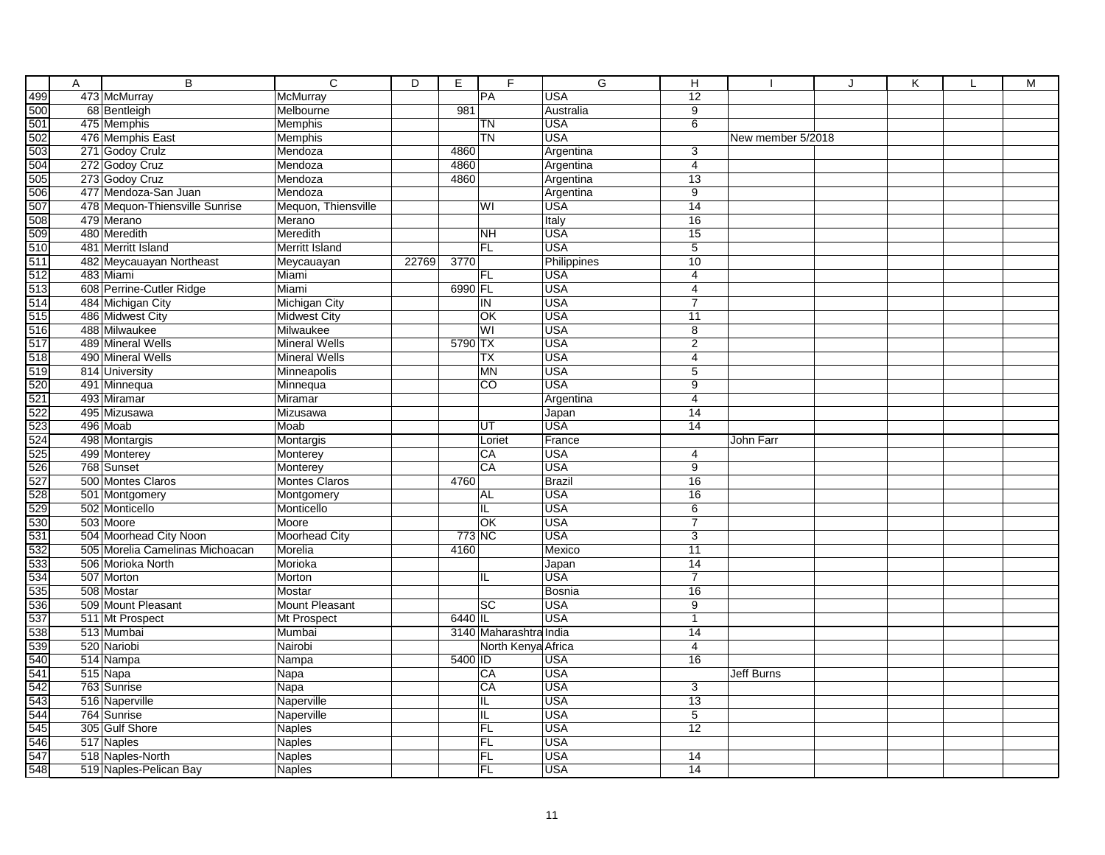|                                   | Α | $\overline{B}$                  | $\overline{\mathsf{c}}$ | D     | Е       | F                      | $\overline{G}$ | Н               |                   | J | Κ | L | M |
|-----------------------------------|---|---------------------------------|-------------------------|-------|---------|------------------------|----------------|-----------------|-------------------|---|---|---|---|
|                                   |   | 473 McMurray                    | McMurray                |       |         | PA                     | <b>USA</b>     | $\overline{12}$ |                   |   |   |   |   |
|                                   |   | 68 Bentleigh                    | Melbourne               |       | 981     |                        | Australia      | $\overline{9}$  |                   |   |   |   |   |
|                                   |   | 475 Memphis                     | Memphis                 |       |         | TN                     | <b>USA</b>     | 6               |                   |   |   |   |   |
|                                   |   | 476 Memphis East                | Memphis                 |       |         | <b>TN</b>              | <b>USA</b>     |                 | New member 5/2018 |   |   |   |   |
|                                   |   | 271 Godoy Crulz                 | Mendoza                 |       | 4860    |                        | Argentina      | 3               |                   |   |   |   |   |
|                                   |   | 272 Godoy Cruz                  | Mendoza                 |       | 4860    |                        | Argentina      | $\overline{4}$  |                   |   |   |   |   |
|                                   |   | 273 Godoy Cruz                  | Mendoza                 |       | 4860    |                        | Argentina      | 13              |                   |   |   |   |   |
|                                   |   | 477 Mendoza-San Juan            | Mendoza                 |       |         |                        | Argentina      | 9               |                   |   |   |   |   |
|                                   |   | 478 Mequon-Thiensville Sunrise  | Mequon, Thiensville     |       |         | WI                     | <b>USA</b>     | 14              |                   |   |   |   |   |
|                                   |   | 479 Merano                      | Merano                  |       |         |                        | Italy          | 16              |                   |   |   |   |   |
|                                   |   | 480 Meredith                    | Meredith                |       |         | <b>NH</b>              | USA            | 15              |                   |   |   |   |   |
|                                   |   | 481 Merritt Island              | Merritt Island          |       |         | <b>FL</b>              | <b>USA</b>     | $\overline{5}$  |                   |   |   |   |   |
|                                   |   | 482 Meycauayan Northeast        | Meycauayan              | 22769 | 3770    |                        | Philippines    | 10              |                   |   |   |   |   |
|                                   |   | 483 Miami                       | Miami                   |       |         | <b>FL</b>              | <b>USA</b>     | $\overline{4}$  |                   |   |   |   |   |
|                                   |   | 608 Perrine-Cutler Ridge        | Miami                   |       | 6990 FL |                        | <b>USA</b>     | $\overline{4}$  |                   |   |   |   |   |
|                                   |   | 484 Michigan City               | <b>Michigan City</b>    |       |         | IN                     | <b>USA</b>     | $\overline{7}$  |                   |   |   |   |   |
|                                   |   | 486 Midwest City                | <b>Midwest City</b>     |       |         | OK                     | <b>USA</b>     | 11              |                   |   |   |   |   |
|                                   |   | 488 Milwaukee                   | Milwaukee               |       |         | WI                     | <b>USA</b>     | $\overline{8}$  |                   |   |   |   |   |
|                                   |   | 489 Mineral Wells               | <b>Mineral Wells</b>    |       | 5790 TX |                        | <b>USA</b>     | $\overline{2}$  |                   |   |   |   |   |
|                                   |   | 490 Mineral Wells               | <b>Mineral Wells</b>    |       |         | ТX                     | <b>USA</b>     | 4               |                   |   |   |   |   |
|                                   |   | 814 University                  | Minneapolis             |       |         | <b>MN</b>              | <b>USA</b>     | 5               |                   |   |   |   |   |
|                                   |   | 491 Minnequa                    | Minnequa                |       |         | $\overline{CO}$        | <b>USA</b>     | 9               |                   |   |   |   |   |
|                                   |   | 493 Miramar                     | Miramar                 |       |         |                        | Argentina      | 4               |                   |   |   |   |   |
|                                   |   | 495 Mizusawa                    | Mizusawa                |       |         |                        | Japan          | 14              |                   |   |   |   |   |
|                                   |   | 496 Moab                        | Moab                    |       |         | UT                     | <b>USA</b>     | 14              |                   |   |   |   |   |
|                                   |   | 498 Montargis                   | Montargis               |       |         | Loriet                 | France         |                 | <b>John Farr</b>  |   |   |   |   |
|                                   |   | 499 Monterey                    | Monterey                |       |         | CA                     | <b>USA</b>     | $\overline{4}$  |                   |   |   |   |   |
|                                   |   | 768 Sunset                      | Monterey                |       |         | CA                     | <b>USA</b>     | $\overline{9}$  |                   |   |   |   |   |
|                                   |   | 500 Montes Claros               | <b>Montes Claros</b>    |       | 4760    |                        | <b>Brazil</b>  | 16              |                   |   |   |   |   |
|                                   |   | 501 Montgomery                  | Montgomery              |       |         | <b>AL</b>              | <b>USA</b>     | 16              |                   |   |   |   |   |
|                                   |   | 502 Monticello                  | Monticello              |       |         | IL                     | <b>USA</b>     | $\overline{6}$  |                   |   |   |   |   |
|                                   |   | 503 Moore                       | Moore                   |       |         | <b>lok</b>             | <b>USA</b>     | $\overline{7}$  |                   |   |   |   |   |
|                                   |   | 504 Moorhead City Noon          | Moorhead City           |       | 773 NC  |                        | <b>USA</b>     | 3               |                   |   |   |   |   |
|                                   |   | 505 Morelia Camelinas Michoacan | Morelia                 |       | 4160    |                        | Mexico         | 11              |                   |   |   |   |   |
|                                   |   | 506 Morioka North               | Morioka                 |       |         |                        | Japan          | $\overline{14}$ |                   |   |   |   |   |
|                                   |   | 507 Morton                      | Morton                  |       |         | IL                     | <b>USA</b>     | $\overline{7}$  |                   |   |   |   |   |
|                                   |   | 508 Mostar                      | Mostar                  |       |         |                        | <b>Bosnia</b>  | 16              |                   |   |   |   |   |
|                                   |   | 509 Mount Pleasant              | Mount Pleasant          |       |         | $ \overline{sc} $      | <b>USA</b>     | $\overline{9}$  |                   |   |   |   |   |
|                                   |   | 511 Mt Prospect                 | Mt Prospect             |       | 6440 IL |                        | <b>USA</b>     | $\overline{1}$  |                   |   |   |   |   |
|                                   |   | 513 Mumbai                      | Mumbai                  |       |         | 3140 Maharashtra India |                | 14              |                   |   |   |   |   |
|                                   |   | 520 Nariobi                     | Nairobi                 |       |         | North Kenya Africa     |                | $\overline{4}$  |                   |   |   |   |   |
|                                   |   | 514 Nampa                       | Nampa                   |       | 5400 ID |                        | USA            | 16              |                   |   |   |   |   |
| 꿃꾴뙰욁윩씂퐄퐄ė옗뗧씷씷씷씷씷씷씷땒땒얺얺얺얺얺얺얺얺얺얺얺얺얺 |   | 515 Napa                        | Napa                    |       |         | CA                     | <b>USA</b>     |                 | <b>Jeff Burns</b> |   |   |   |   |
|                                   |   | 763 Sunrise                     | Napa                    |       |         | CA                     | <b>USA</b>     | 3               |                   |   |   |   |   |
|                                   |   | 516 Naperville                  | Naperville              |       |         | IL                     | <b>USA</b>     | 13              |                   |   |   |   |   |
|                                   |   | 764 Sunrise                     | Naperville              |       |         | IL                     | <b>USA</b>     | 5               |                   |   |   |   |   |
|                                   |   | 305 Gulf Shore                  | Naples                  |       |         | FL                     | <b>USA</b>     | $\overline{12}$ |                   |   |   |   |   |
|                                   |   | 517 Naples                      | Naples                  |       |         | FL                     | <b>USA</b>     |                 |                   |   |   |   |   |
|                                   |   | 518 Naples-North                | Naples                  |       |         | FL                     | <b>USA</b>     | 14              |                   |   |   |   |   |
|                                   |   | 519 Naples-Pelican Bay          | Naples                  |       |         | FL                     | <b>USA</b>     | 14              |                   |   |   |   |   |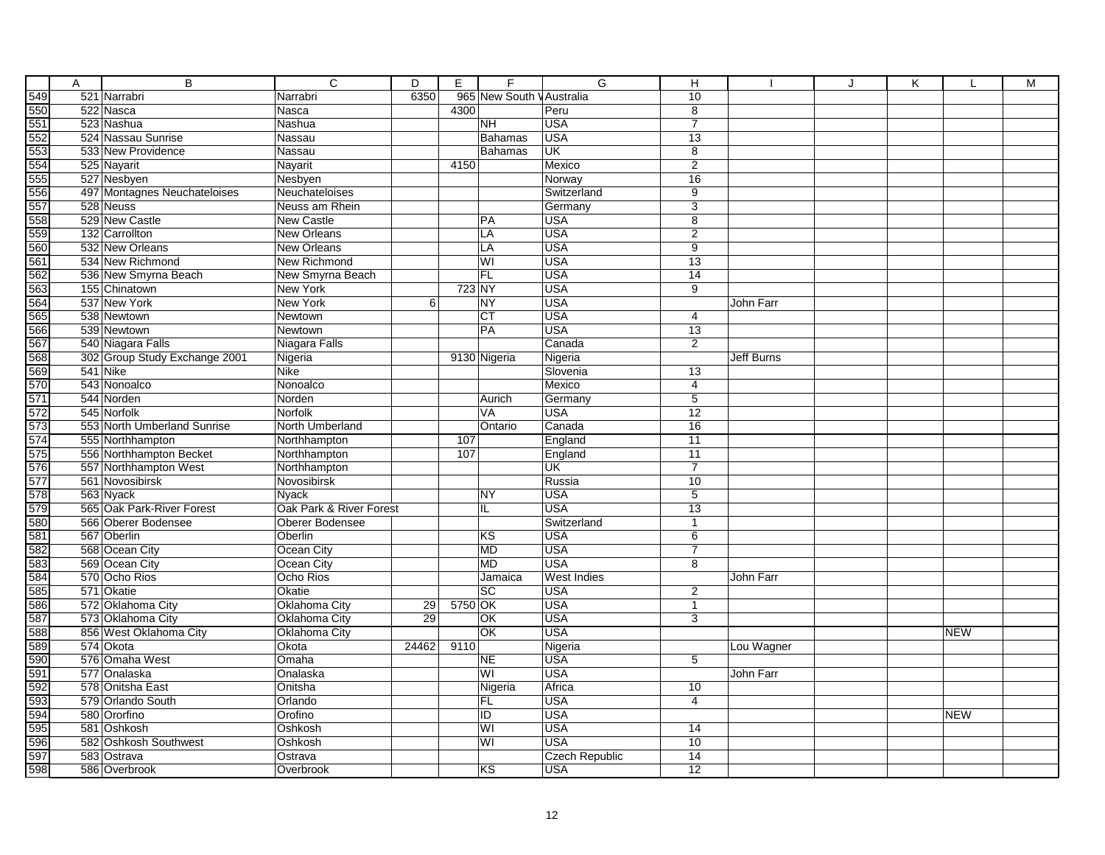|     | Α | $\overline{B}$                | $\overline{C}$          | D               | Е       | F               | G                     | н               |            | J | Κ |            | M |
|-----|---|-------------------------------|-------------------------|-----------------|---------|-----------------|-----------------------|-----------------|------------|---|---|------------|---|
|     |   | 521 Narrabri                  | Narrabri                | 6350            |         | 965 New South   | <b>VAustralia</b>     | 10              |            |   |   |            |   |
|     |   | 522 Nasca                     | Nasca                   |                 | 4300    |                 | Peru                  | $\overline{8}$  |            |   |   |            |   |
|     |   | 523 Nashua                    | Nashua                  |                 |         | <b>NH</b>       | <b>USA</b>            | $\overline{7}$  |            |   |   |            |   |
|     |   | 524 Nassau Sunrise            | Nassau                  |                 |         | Bahamas         | <b>USA</b>            | 13              |            |   |   |            |   |
|     |   | 533 New Providence            | Nassau                  |                 |         | <b>Bahamas</b>  | UK                    | 8               |            |   |   |            |   |
|     |   | 525 Nayarit                   | Nayarit                 |                 | 4150    |                 | Mexico                | $\overline{2}$  |            |   |   |            |   |
|     |   | 527 Nesbyen                   | Nesbyen                 |                 |         |                 | Norway                | 16              |            |   |   |            |   |
|     |   | 497 Montagnes Neuchateloises  | Neuchateloises          |                 |         |                 | Switzerland           | 9               |            |   |   |            |   |
|     |   | 528 Neuss                     | Neuss am Rhein          |                 |         |                 | Germany               | 3               |            |   |   |            |   |
|     |   | 529 New Castle                | New Castle              |                 |         | PA              | <b>USA</b>            | $\overline{8}$  |            |   |   |            |   |
|     |   | 132 Carrollton                | New Orleans             |                 |         | LA              | <b>USA</b>            | $\overline{2}$  |            |   |   |            |   |
|     |   | 532 New Orleans               | New Orleans             |                 |         | LA              | <b>USA</b>            | $\overline{9}$  |            |   |   |            |   |
|     |   | 534 New Richmond              | New Richmond            |                 |         | WI              | <b>USA</b>            | 13              |            |   |   |            |   |
|     |   | 536 New Smyrna Beach          | New Smyrna Beach        |                 |         | FL              | <b>USA</b>            | 14              |            |   |   |            |   |
|     |   | 155 Chinatown                 | New York                |                 | 723 NY  |                 | <b>USA</b>            | 9               |            |   |   |            |   |
|     |   | 537 New York                  | New York                | 6               |         | <b>NY</b>       | <b>USA</b>            |                 | John Farr  |   |   |            |   |
|     |   | 538 Newtown                   | Newtown                 |                 |         | <b>CT</b>       | <b>USA</b>            | 4               |            |   |   |            |   |
|     |   | 539 Newtown                   | Newtown                 |                 |         | PA              | <b>USA</b>            | 13              |            |   |   |            |   |
|     |   | 540 Niagara Falls             | Niagara Falls           |                 |         |                 | Canada                | 2               |            |   |   |            |   |
|     |   | 302 Group Study Exchange 2001 | Nigeria                 |                 |         | 9130 Nigeria    | Nigeria               |                 | Jeff Burns |   |   |            |   |
|     |   | 541 Nike                      | Nike                    |                 |         |                 | Slovenia              | 13              |            |   |   |            |   |
|     |   | 543 Nonoalco                  | Nonoalco                |                 |         |                 | Mexico                | 4               |            |   |   |            |   |
|     |   | 544 Norden                    | Norden                  |                 |         | Aurich          | Germany               | $\overline{5}$  |            |   |   |            |   |
|     |   | 545 Norfolk                   | Norfolk                 |                 |         | VA              | <b>USA</b>            | $\overline{12}$ |            |   |   |            |   |
|     |   | 553 North Umberland Sunrise   | North Umberland         |                 |         | Ontario         | Canada                | 16              |            |   |   |            |   |
|     |   | 555 Northhampton              | Northhampton            |                 | 107     |                 | England               | 11              |            |   |   |            |   |
|     |   | 556 Northhampton Becket       | Northhampton            |                 | 107     |                 | England               | 11              |            |   |   |            |   |
|     |   | 557 Northhampton West         | Northhampton            |                 |         |                 | UK                    | $\overline{7}$  |            |   |   |            |   |
|     |   | 561 Novosibirsk               | Novosibirsk             |                 |         |                 | Russia                | 10              |            |   |   |            |   |
|     |   | 563 Nyack                     | <b>Nvack</b>            |                 |         | <b>NY</b>       | <b>USA</b>            | $5\overline{)}$ |            |   |   |            |   |
|     |   | 565 Oak Park-River Forest     | Oak Park & River Forest |                 |         | IL              | <b>USA</b>            | $\overline{13}$ |            |   |   |            |   |
|     |   | 566 Oberer Bodensee           | Oberer Bodensee         |                 |         |                 | Switzerland           | $\mathbf{1}$    |            |   |   |            |   |
|     |   | 567 Oberlin                   | Oberlin                 |                 |         | KS              | <b>USA</b>            | 6               |            |   |   |            |   |
|     |   | 568 Ocean City                | Ocean City              |                 |         | <b>MD</b>       | <b>USA</b>            | $\overline{7}$  |            |   |   |            |   |
|     |   | 569 Ocean City                | Ocean City              |                 |         | MD              | <b>USA</b>            | 8               |            |   |   |            |   |
|     |   | 570 Ocho Rios                 | Ocho Rios               |                 |         | Jamaica         | West Indies           |                 | John Farr  |   |   |            |   |
|     |   | 571 Okatie                    | Okatie                  |                 |         | $ \mathrm{sc} $ | <b>USA</b>            | $\overline{c}$  |            |   |   |            |   |
|     |   | 572 Oklahoma City             | Oklahoma City           | 29              | 5750 OK |                 | <b>USA</b>            | $\mathbf{1}$    |            |   |   |            |   |
|     |   | 573 Oklahoma City             | Oklahoma City           | $\overline{29}$ |         | QK              | <b>USA</b>            | 3               |            |   |   |            |   |
|     |   | 856 West Oklahoma City        | Oklahoma City           |                 |         | <b>lok</b>      | <b>USA</b>            |                 |            |   |   | <b>NEW</b> |   |
|     |   | 574 Okota                     | Okota                   | 24462           | 9110    |                 | Nigeria               |                 | Lou Wagner |   |   |            |   |
|     |   | 576 Omaha West                | Omaha                   |                 |         | <b>NE</b>       | <b>USA</b>            | $5\overline{)}$ |            |   |   |            |   |
|     |   | 577 Onalaska                  | Onalaska                |                 |         | W <sub>1</sub>  | <b>USA</b>            |                 | John Farr  |   |   |            |   |
|     |   | 578 Onitsha East              | Onitsha                 |                 |         | Nigeria         | Africa                | 10              |            |   |   |            |   |
|     |   | 579 Orlando South             | Orlando                 |                 |         | <b>FL</b>       | <b>USA</b>            | 4               |            |   |   |            |   |
|     |   | 580 Ororfino                  | Orofino                 |                 |         | ID              | <b>USA</b>            |                 |            |   |   | <b>NEW</b> |   |
|     |   | 581 Oshkosh                   | Oshkosh                 |                 |         | WI              | <b>USA</b>            | 14              |            |   |   |            |   |
|     |   | 582 Oshkosh Southwest         | Oshkosh                 |                 |         | WI              | <b>USA</b>            | 10              |            |   |   |            |   |
|     |   | 583 Ostrava                   | Ostrava                 |                 |         |                 | <b>Czech Republic</b> | 14              |            |   |   |            |   |
| 598 |   | 586 Overbrook                 | Overbrook               |                 |         | KS              | <b>USA</b>            | 12              |            |   |   |            |   |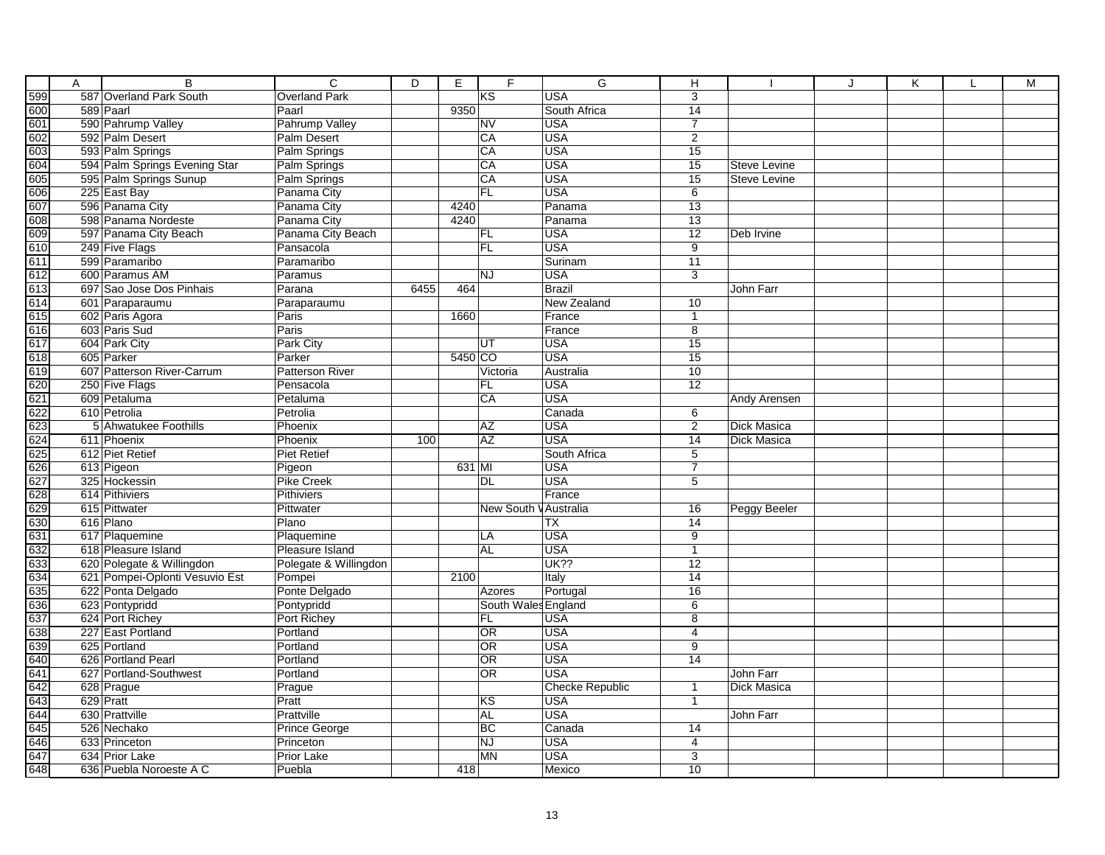|                   | Α | B                              | $\overline{c}$         | D    | E       | F.                    | $\overline{G}$           | н               |                     | $\cdot$ | K | L | M |
|-------------------|---|--------------------------------|------------------------|------|---------|-----------------------|--------------------------|-----------------|---------------------|---------|---|---|---|
| 599               |   | 587 Overland Park South        | <b>Overland Park</b>   |      |         | KS                    | <b>USA</b>               | $\overline{3}$  |                     |         |   |   |   |
| 600               |   | 589 Paarl                      | Paarl                  |      | 9350    |                       | South Africa             | 14              |                     |         |   |   |   |
| 601               |   | 590 Pahrump Valley             | Pahrump Valley         |      |         | <b>NV</b>             | <b>USA</b>               | $\overline{7}$  |                     |         |   |   |   |
| 602               |   | 592 Palm Desert                | Palm Desert            |      |         | CA                    | <b>USA</b>               | $\overline{2}$  |                     |         |   |   |   |
| 603               |   | 593 Palm Springs               | Palm Springs           |      |         | CA                    | <b>USA</b>               | $\overline{15}$ |                     |         |   |   |   |
| 604               |   | 594 Palm Springs Evening Star  | Palm Springs           |      |         | CA                    | <b>USA</b>               | 15              | <b>Steve Levine</b> |         |   |   |   |
| 605               |   | 595 Palm Springs Sunup         | Palm Springs           |      |         | CA                    | <b>USA</b>               | 15              | <b>Steve Levine</b> |         |   |   |   |
| 606               |   | 225 East Bay                   | Panama City            |      |         | FL                    | <b>USA</b>               | 6               |                     |         |   |   |   |
| 607               |   | 596 Panama City                | Panama City            |      | 4240    |                       | Panama                   | 13              |                     |         |   |   |   |
| 608               |   | 598 Panama Nordeste            | Panama City            |      | 4240    |                       | Panama                   | 13              |                     |         |   |   |   |
| 609               |   | 597 Panama City Beach          | Panama City Beach      |      |         | <b>FL</b>             | <b>USA</b>               | $\overline{12}$ | Deb Irvine          |         |   |   |   |
| 610               |   | 249 Five Flags                 | Pansacola              |      |         | FL                    | <b>USA</b>               | 9               |                     |         |   |   |   |
| 611               |   | 599 Paramaribo                 | Paramaribo             |      |         |                       | Surinam                  | 11              |                     |         |   |   |   |
| 612               |   | 600 Paramus AM                 | Paramus                |      |         | <b>NJ</b>             | <b>USA</b>               | $\overline{3}$  |                     |         |   |   |   |
| 613               |   | 697 Sao Jose Dos Pinhais       | Parana                 | 6455 | 464     |                       | <b>Brazil</b>            |                 | John Farr           |         |   |   |   |
| 614               |   | 601 Paraparaumu                | Paraparaumu            |      |         |                       | New Zealand              | 10              |                     |         |   |   |   |
| 615               |   | 602 Paris Agora                | Paris                  |      | 1660    |                       | France                   | $\mathbf{1}$    |                     |         |   |   |   |
| 616               |   | 603 Paris Sud                  | Paris                  |      |         |                       | France                   | $\overline{8}$  |                     |         |   |   |   |
| 617               |   | 604 Park City                  | Park City              |      |         | UT                    | <b>USA</b>               | $\overline{15}$ |                     |         |   |   |   |
| 618               |   | 605 Parker                     | Parker                 |      | 5450 CO |                       | <b>USA</b>               | 15              |                     |         |   |   |   |
| 619               |   | 607 Patterson River-Carrum     | <b>Patterson River</b> |      |         | Victoria              | Australia                | 10              |                     |         |   |   |   |
| 620               |   | 250 Five Flags                 | Pensacola              |      |         | <b>FL</b>             | <b>USA</b>               | 12              |                     |         |   |   |   |
| 621               |   | 609 Petaluma                   | Petaluma               |      |         | CA                    | <b>USA</b>               |                 | <b>Andy Arensen</b> |         |   |   |   |
|                   |   | 610 Petrolia                   | Petrolia               |      |         |                       | Canada                   | 6               |                     |         |   |   |   |
| $\frac{622}{623}$ |   | 5 Ahwatukee Foothills          | Phoenix                |      |         | <b>AZ</b>             | <b>USA</b>               | $\overline{2}$  | Dick Masica         |         |   |   |   |
| 624               |   | 611 Phoenix                    | Phoenix                | 100  |         | AZ                    | <b>USA</b>               | 14              | Dick Masica         |         |   |   |   |
| 625               |   | 612 Piet Retief                | <b>Piet Retief</b>     |      |         |                       | South Africa             | $\overline{5}$  |                     |         |   |   |   |
| 626               |   | 613 Pigeon                     | Pigeon                 |      | 631 MI  |                       | <b>USA</b>               | $\overline{7}$  |                     |         |   |   |   |
| 627               |   | 325 Hockessin                  | <b>Pike Creek</b>      |      |         | <b>DL</b>             | <b>USA</b>               | 5               |                     |         |   |   |   |
| 628               |   | 614 Pithiviers                 | <b>Pithiviers</b>      |      |         |                       | France                   |                 |                     |         |   |   |   |
| 629               |   | 615 Pittwater                  | Pittwater              |      |         | New South V Australia |                          | $\overline{16}$ | <b>Peggy Beeler</b> |         |   |   |   |
| 630               |   | 616 Plano                      | Plano                  |      |         |                       | $\overline{\mathsf{TX}}$ | $\overline{14}$ |                     |         |   |   |   |
| 631               |   | 617 Plaquemine                 | Plaquemine             |      |         | LA                    | <b>USA</b>               | 9               |                     |         |   |   |   |
| 632               |   | 618 Pleasure Island            | Pleasure Island        |      |         | <b>AL</b>             | <b>USA</b>               | $\mathbf{1}$    |                     |         |   |   |   |
| 633               |   | 620 Polegate & Willingdon      | Polegate & Willingdon  |      |         |                       | <b>UK??</b>              | $\overline{12}$ |                     |         |   |   |   |
| 634               |   | 621 Pompei-Oplonti Vesuvio Est | Pompei                 |      | 2100    |                       | Italy                    | $\overline{14}$ |                     |         |   |   |   |
| 635               |   | 622 Ponta Delgado              | Ponte Delgado          |      |         | Azores                | Portugal                 | 16              |                     |         |   |   |   |
| 636               |   | 623 Pontypridd                 | Pontypridd             |      |         | South Wales England   |                          | $\sqrt{6}$      |                     |         |   |   |   |
| 637               |   | 624 Port Richey                | Port Richey            |      |         | FL                    | <b>USA</b>               | $\overline{8}$  |                     |         |   |   |   |
| 638               |   | 227 East Portland              | Portland               |      |         | OR                    | <b>USA</b>               | $\overline{4}$  |                     |         |   |   |   |
| 639               |   | 625 Portland                   | Portland               |      |         | OR                    | <b>USA</b>               | $\overline{9}$  |                     |         |   |   |   |
| 640               |   | 626 Portland Pearl             | Portland               |      |         | OR                    | <b>USA</b>               | $\overline{14}$ |                     |         |   |   |   |
| 641               |   | 627 Portland-Southwest         | Portland               |      |         | OR                    | <b>USA</b>               |                 | John Farr           |         |   |   |   |
| 642               |   | 628 Prague                     | Prague                 |      |         |                       | <b>Checke Republic</b>   | $\mathbf{1}$    | Dick Masica         |         |   |   |   |
| 643               |   | 629 Pratt                      | Pratt                  |      |         | KS                    | <b>USA</b>               | $\mathbf{1}$    |                     |         |   |   |   |
| 644               |   | 630 Prattville                 | Prattville             |      |         | <b>AL</b>             | <b>USA</b>               |                 | John Farr           |         |   |   |   |
| 645               |   | 526 Nechako                    | Prince George          |      |         | <b>BC</b>             | Canada                   | 14              |                     |         |   |   |   |
| 646               |   | 633 Princeton                  | Princeton              |      |         | <b>NJ</b>             | <b>USA</b>               | 4               |                     |         |   |   |   |
| 647               |   | 634 Prior Lake                 | <b>Prior Lake</b>      |      |         | MN                    | <b>USA</b>               | $\overline{3}$  |                     |         |   |   |   |
| 648               |   | 636 Puebla Noroeste A C        | Puebla                 |      | 418     |                       | Mexico                   | 10              |                     |         |   |   |   |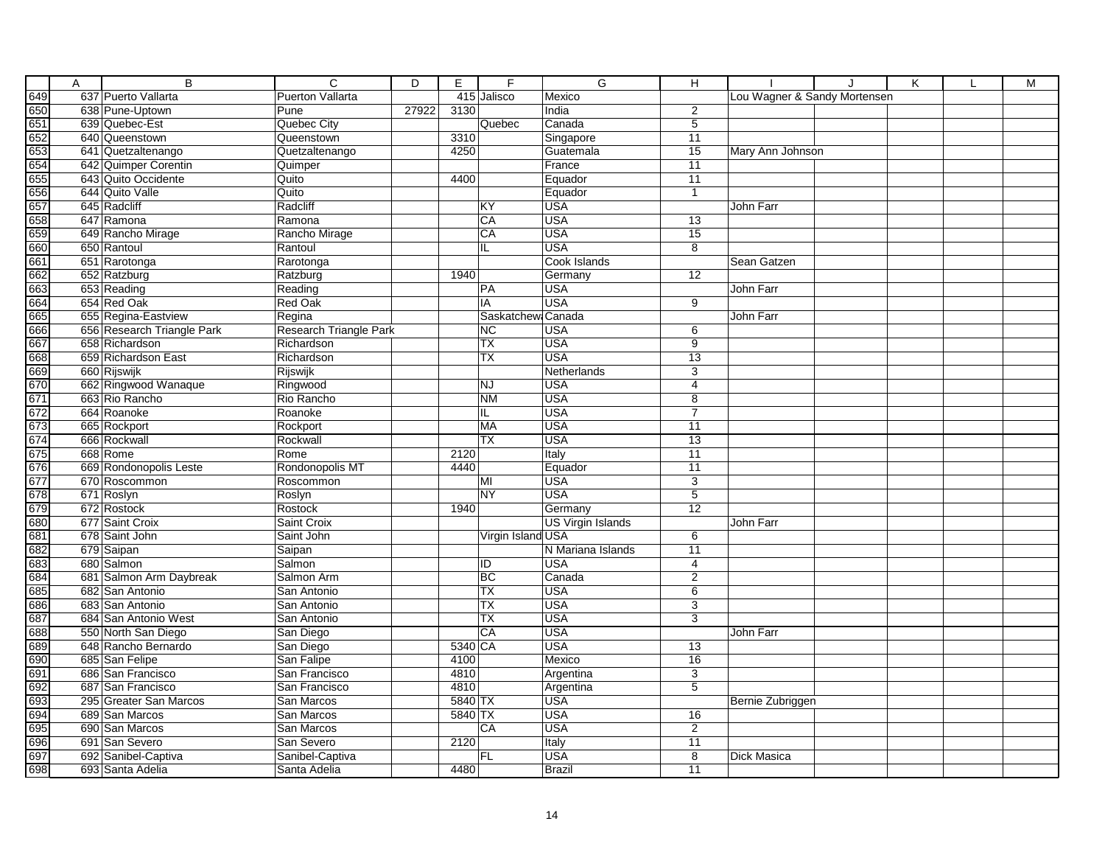|                                                                                                                                                                                                                                     | A | B                          | $\overline{c}$          | D     | E       | F                 | G                        | Η               |                              | K | M |
|-------------------------------------------------------------------------------------------------------------------------------------------------------------------------------------------------------------------------------------|---|----------------------------|-------------------------|-------|---------|-------------------|--------------------------|-----------------|------------------------------|---|---|
|                                                                                                                                                                                                                                     |   | 637 Puerto Vallarta        | <b>Puerton Vallarta</b> |       |         | 415 Jalisco       | Mexico                   |                 | Lou Wagner & Sandy Mortensen |   |   |
|                                                                                                                                                                                                                                     |   | 638 Pune-Uptown            | Pune                    | 27922 | 3130    |                   | India                    | 2               |                              |   |   |
|                                                                                                                                                                                                                                     |   | 639 Quebec-Est             | Quebec City             |       |         | Quebec            | Canada                   | $\overline{5}$  |                              |   |   |
|                                                                                                                                                                                                                                     |   | 640 Queenstown             | Queenstown              |       | 3310    |                   | Singapore                | 11              |                              |   |   |
|                                                                                                                                                                                                                                     |   | 641 Quetzaltenango         | Quetzaltenango          |       | 4250    |                   | Guatemala                | 15              | Mary Ann Johnson             |   |   |
|                                                                                                                                                                                                                                     |   | 642 Quimper Corentin       | Quimper                 |       |         |                   | France                   | 11              |                              |   |   |
|                                                                                                                                                                                                                                     |   | 643 Quito Occidente        | Quito                   |       | 4400    |                   | Equador                  | $\overline{11}$ |                              |   |   |
|                                                                                                                                                                                                                                     |   | 644 Quito Valle            | Quito                   |       |         |                   | Equador                  | $\mathbf{1}$    |                              |   |   |
|                                                                                                                                                                                                                                     |   | 645 Radcliff               | Radcliff                |       |         | KY                | <b>USA</b>               |                 | John Farr                    |   |   |
|                                                                                                                                                                                                                                     |   | 647 Ramona                 | Ramona                  |       |         | CA                | <b>USA</b>               | $\overline{13}$ |                              |   |   |
|                                                                                                                                                                                                                                     |   | 649 Rancho Mirage          | Rancho Mirage           |       |         | CA                | <b>USA</b>               | $\overline{15}$ |                              |   |   |
|                                                                                                                                                                                                                                     |   | 650 Rantoul                | Rantoul                 |       |         | IL                | <b>USA</b>               | 8               |                              |   |   |
|                                                                                                                                                                                                                                     |   | 651 Rarotonga              | Rarotonga               |       |         |                   | Cook Islands             |                 | Sean Gatzen                  |   |   |
|                                                                                                                                                                                                                                     |   | 652 Ratzburg               | Ratzburg                |       | 1940    |                   | Germany                  | 12              |                              |   |   |
|                                                                                                                                                                                                                                     |   | 653 Reading                | Reading                 |       |         | PA                | <b>USA</b>               |                 | John Farr                    |   |   |
|                                                                                                                                                                                                                                     |   | 654 Red Oak                | <b>Red Oak</b>          |       |         | IA                | <b>USA</b>               | $\overline{9}$  |                              |   |   |
|                                                                                                                                                                                                                                     |   | 655 Regina-Eastview        | Regina                  |       |         | Saskatchew Canada |                          |                 | John Farr                    |   |   |
|                                                                                                                                                                                                                                     |   | 656 Research Triangle Park | Research Triangle Park  |       |         | <b>NC</b>         | <b>USA</b>               | 6               |                              |   |   |
|                                                                                                                                                                                                                                     |   | 658 Richardson             | Richardson              |       |         | TX                | <b>USA</b>               | $\overline{9}$  |                              |   |   |
|                                                                                                                                                                                                                                     |   | 659 Richardson East        | Richardson              |       |         | <b>TX</b>         | <b>USA</b>               | 13              |                              |   |   |
|                                                                                                                                                                                                                                     |   | 660 Rijswijk               | Rijswijk                |       |         |                   | Netherlands              | 3               |                              |   |   |
|                                                                                                                                                                                                                                     |   | 662 Ringwood Wanaque       | Ringwood                |       |         | <b>NJ</b>         | <b>USA</b>               | 4               |                              |   |   |
|                                                                                                                                                                                                                                     |   | 663 Rio Rancho             | Rio Rancho              |       |         | <b>NM</b>         | <b>USA</b>               | $\overline{8}$  |                              |   |   |
|                                                                                                                                                                                                                                     |   | 664 Roanoke                | Roanoke                 |       |         | IL                | <b>USA</b>               | $\overline{7}$  |                              |   |   |
|                                                                                                                                                                                                                                     |   | 665 Rockport               | Rockport                |       |         | MA                | <b>USA</b>               | 11              |                              |   |   |
|                                                                                                                                                                                                                                     |   | 666 Rockwall               | Rockwall                |       |         | <b>TX</b>         | <b>USA</b>               | 13              |                              |   |   |
|                                                                                                                                                                                                                                     |   | 668 Rome                   | Rome                    |       | 2120    |                   | Italy                    | 11              |                              |   |   |
|                                                                                                                                                                                                                                     |   | 669 Rondonopolis Leste     | Rondonopolis MT         |       | 4440    |                   | Equador                  | 11              |                              |   |   |
|                                                                                                                                                                                                                                     |   | 670 Roscommon              | Roscommon               |       |         | MI                | <b>USA</b>               | 3               |                              |   |   |
|                                                                                                                                                                                                                                     |   | 671 Roslyn                 | Roslyn                  |       |         | <b>NY</b>         | <b>USA</b>               | $\overline{5}$  |                              |   |   |
|                                                                                                                                                                                                                                     |   | 672 Rostock                | Rostock                 |       | 1940    |                   | Germany                  | $\overline{12}$ |                              |   |   |
|                                                                                                                                                                                                                                     |   | 677 Saint Croix            | Saint Croix             |       |         |                   | <b>US Virgin Islands</b> |                 | John Farr                    |   |   |
|                                                                                                                                                                                                                                     |   | 678 Saint John             | Saint John              |       |         | Virgin Island USA |                          | 6               |                              |   |   |
|                                                                                                                                                                                                                                     |   | 679 Saipan                 | Saipan                  |       |         |                   | N Mariana Islands        | 11              |                              |   |   |
|                                                                                                                                                                                                                                     |   | 680 Salmon                 | Salmon                  |       |         | $\overline{1}$    | <b>USA</b>               | 4               |                              |   |   |
|                                                                                                                                                                                                                                     |   | 681 Salmon Arm Daybreak    | Salmon Arm              |       |         | BC                | Canada                   | $\overline{2}$  |                              |   |   |
|                                                                                                                                                                                                                                     |   | 682 San Antonio            | San Antonio             |       |         | <b>TX</b>         | <b>USA</b>               | 6               |                              |   |   |
|                                                                                                                                                                                                                                     |   | 683 San Antonio            | San Antonio             |       |         | <b>TX</b>         | <b>USA</b>               | $\overline{3}$  |                              |   |   |
|                                                                                                                                                                                                                                     |   | 684 San Antonio West       | San Antonio             |       |         | <b>TX</b>         | <b>USA</b>               | 3               |                              |   |   |
|                                                                                                                                                                                                                                     |   | 550 North San Diego        | San Diego               |       |         | CA                | <b>USA</b>               |                 | John Farr                    |   |   |
|                                                                                                                                                                                                                                     |   | 648 Rancho Bernardo        | San Diego               |       | 5340 CA |                   | <b>USA</b>               | 13              |                              |   |   |
|                                                                                                                                                                                                                                     |   | 685 San Felipe             | San Falipe              |       | 4100    |                   | Mexico                   | 16              |                              |   |   |
| <u>ସ୍ପୃକ୍ତ କୁ ପ୍ରାୟା କରି ଏ</u> ହି ପ୍ରାୟା କରି । ଏହି ସ୍ଥାନ ସାକ୍ତ ସ୍ଥାନ ସାକ୍ତ ସ୍ଥାନ ସାକ୍ତ ସ୍ଥାନ ସାକ୍ତ ସ୍ଥାନ ସାକ୍ତ ସ୍ଥାନ ସାକ୍ତ ସ୍ଥାନ ସାକ୍ତ ସ୍ଥାନ ସାକ୍ତ ସ୍ଥାନ ସାକ୍ତ ସ୍ଥାନ ସାକ୍ତ ସ୍ଥାନ ସାକ୍ତ ସାକ୍ତ ସ୍ଥାନ ସାକ୍ତ ସାକ୍ତ ସାକ୍ତ ସାକ୍ତ ସାକ୍ତ ସା |   | 686 San Francisco          | San Francisco           |       | 4810    |                   | Argentina                | $\overline{3}$  |                              |   |   |
|                                                                                                                                                                                                                                     |   | 687 San Francisco          | San Francisco           |       | 4810    |                   | Argentina                | 5               |                              |   |   |
|                                                                                                                                                                                                                                     |   | 295 Greater San Marcos     | San Marcos              |       | 5840 TX |                   | <b>USA</b>               |                 | Bernie Zubriggen             |   |   |
|                                                                                                                                                                                                                                     |   | 689 San Marcos             | San Marcos              |       | 5840 TX |                   | <b>USA</b>               | 16              |                              |   |   |
|                                                                                                                                                                                                                                     |   | 690 San Marcos             | San Marcos              |       |         | CA                | <b>USA</b>               | $\overline{2}$  |                              |   |   |
|                                                                                                                                                                                                                                     |   | 691 San Severo             | San Severo              |       | 2120    |                   | Italy                    | $\overline{11}$ |                              |   |   |
|                                                                                                                                                                                                                                     |   | 692 Sanibel-Captiva        | Sanibel-Captiva         |       |         | <b>FL</b>         | <b>USA</b>               | $\overline{8}$  | Dick Masica                  |   |   |
| 698                                                                                                                                                                                                                                 |   | 693 Santa Adelia           | Santa Adelia            |       | 4480    |                   | <b>Brazil</b>            | 11              |                              |   |   |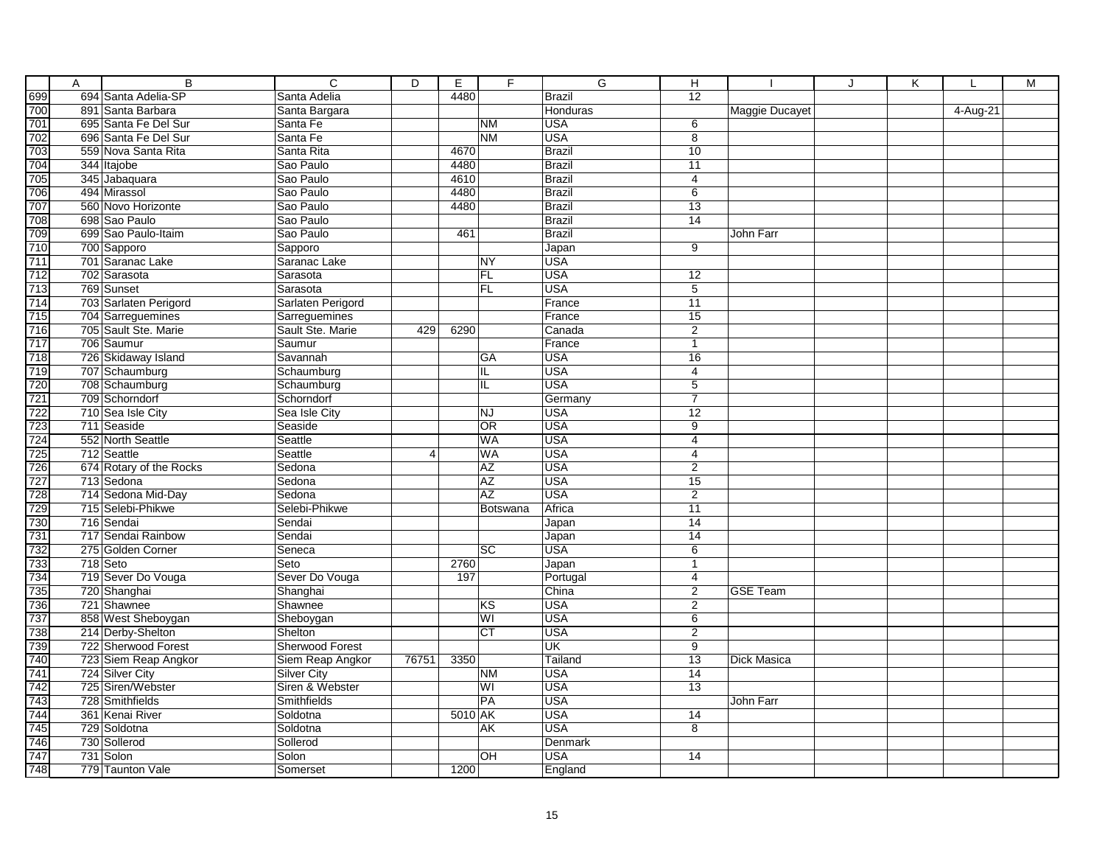|                                               | Α | $\overline{B}$          | $\overline{c}$     | $\overline{D}$ | Ε       | F                       | G                        | Н                                 |                 | J | K |          | M |
|-----------------------------------------------|---|-------------------------|--------------------|----------------|---------|-------------------------|--------------------------|-----------------------------------|-----------------|---|---|----------|---|
| 699<br>700<br>701<br>702<br>703<br>704<br>705 |   | 694 Santa Adelia-SP     | Santa Adelia       |                | 4480    |                         | <b>Brazil</b>            | $\overline{12}$                   |                 |   |   |          |   |
|                                               |   | 891 Santa Barbara       | Santa Bargara      |                |         |                         | Honduras                 |                                   | Maggie Ducayet  |   |   | 4-Aug-21 |   |
|                                               |   | 695 Santa Fe Del Sur    | Santa Fe           |                |         | <b>NM</b>               | <b>USA</b>               | 6                                 |                 |   |   |          |   |
|                                               |   | 696 Santa Fe Del Sur    | Santa Fe           |                |         | N <sub>M</sub>          | USA                      | $\overline{8}$                    |                 |   |   |          |   |
|                                               |   | 559 Nova Santa Rita     | Santa Rita         |                | 4670    |                         | Brazil                   | 10                                |                 |   |   |          |   |
|                                               |   | 344 Itajobe             | Sao Paulo          |                | 4480    |                         | <b>Brazil</b>            | $\overline{11}$                   |                 |   |   |          |   |
|                                               |   | 345 Jabaquara           | Sao Paulo          |                | 4610    |                         | <b>Brazil</b>            | 4                                 |                 |   |   |          |   |
|                                               |   | 494 Mirassol            | Sao Paulo          |                | 4480    |                         | <b>Brazil</b>            | 6                                 |                 |   |   |          |   |
|                                               |   | 560 Novo Horizonte      | Sao Paulo          |                | 4480    |                         | <b>Brazil</b>            | 13                                |                 |   |   |          |   |
|                                               |   | 698 Sao Paulo           | Sao Paulo          |                |         |                         | <b>Brazil</b>            | 14                                |                 |   |   |          |   |
|                                               |   | 699 Sao Paulo-Itaim     | Sao Paulo          |                | 461     |                         | <b>Brazil</b>            |                                   | John Farr       |   |   |          |   |
|                                               |   | 700 Sapporo             | Sapporo            |                |         |                         | Japan                    | $\overline{9}$                    |                 |   |   |          |   |
|                                               |   | 701 Saranac Lake        | Saranac Lake       |                |         | <b>NY</b>               | <b>USA</b>               |                                   |                 |   |   |          |   |
|                                               |   | 702 Sarasota            | Sarasota           |                |         | <b>FL</b>               | <b>USA</b>               | 12                                |                 |   |   |          |   |
|                                               |   | 769 Sunset              | Sarasota           |                |         | <b>FL</b>               | <b>USA</b>               | $\overline{5}$                    |                 |   |   |          |   |
|                                               |   | 703 Sarlaten Perigord   | Sarlaten Perigord  |                |         |                         | France                   | 11                                |                 |   |   |          |   |
|                                               |   | 704 Sarreguemines       | Sarreguemines      |                |         |                         | France                   | 15                                |                 |   |   |          |   |
|                                               |   | 705 Sault Ste. Marie    | Sault Ste. Marie   | 429            | 6290    |                         | Canada                   | $\overline{2}$                    |                 |   |   |          |   |
|                                               |   | 706 Saumur              | Saumur             |                |         |                         | France                   | $\overline{1}$                    |                 |   |   |          |   |
|                                               |   | 726 Skidaway Island     | Savannah           |                |         | GA                      | <b>USA</b>               | 16                                |                 |   |   |          |   |
|                                               |   | 707 Schaumburg          | Schaumburg         |                |         | IL.                     | <b>USA</b>               | $\overline{4}$                    |                 |   |   |          |   |
|                                               |   | 708 Schaumburg          | Schaumburg         |                |         | IL                      | <b>USA</b>               | $\overline{5}$                    |                 |   |   |          |   |
|                                               |   | 709 Schorndorf          | Schorndorf         |                |         |                         | Germany                  | $\overline{7}$                    |                 |   |   |          |   |
|                                               |   | 710 Sea Isle City       | Sea Isle City      |                |         | <b>NJ</b>               | <b>USA</b>               | $\overline{12}$                   |                 |   |   |          |   |
|                                               |   | 711 Seaside             | Seaside            |                |         | OR                      | <b>USA</b>               | 9                                 |                 |   |   |          |   |
|                                               |   | 552 North Seattle       | Seattle            |                |         | <b>WA</b>               | <b>USA</b>               | 4                                 |                 |   |   |          |   |
|                                               |   | 712 Seattle             | Seattle            | $\overline{4}$ |         | <b>WA</b>               | <b>USA</b>               | 4                                 |                 |   |   |          |   |
|                                               |   | 674 Rotary of the Rocks | Sedona             |                |         | <b>AZ</b>               | <b>USA</b>               | $\overline{2}$                    |                 |   |   |          |   |
|                                               |   | 713 Sedona              | Sedona             |                |         | <b>AZ</b>               | <b>USA</b>               | 15                                |                 |   |   |          |   |
|                                               |   | 714 Sedona Mid-Day      | Sedona             |                |         | <b>AZ</b>               | <b>USA</b>               | $\overline{2}$                    |                 |   |   |          |   |
|                                               |   | 715 Selebi-Phikwe       | Selebi-Phikwe      |                |         | Botswana                | Africa                   | $\overline{11}$                   |                 |   |   |          |   |
|                                               |   | 716 Sendai              | Sendai             |                |         |                         | Japan                    | 14                                |                 |   |   |          |   |
|                                               |   | 717 Sendai Rainbow      | Sendai             |                |         |                         | Japan                    | 14                                |                 |   |   |          |   |
|                                               |   | 275 Golden Corner       | Seneca             |                |         | $\overline{sc}$         | <b>USA</b>               | $\overline{6}$                    |                 |   |   |          |   |
|                                               |   | $718$ Seto              | Seto               |                | 2760    |                         | Japan                    | $\mathbf{1}$                      |                 |   |   |          |   |
|                                               |   | 719 Sever Do Vouga      | Sever Do Vouga     |                | 197     |                         | Portugal                 | $\overline{4}$                    |                 |   |   |          |   |
|                                               |   | 720 Shanghai            | Shanghai           |                |         |                         | China                    | $\overline{c}$                    | <b>GSE Team</b> |   |   |          |   |
|                                               |   | 721 Shawnee             | Shawnee            |                |         | KS                      | <b>USA</b>               | $\overline{2}$                    |                 |   |   |          |   |
|                                               |   | 858 West Sheboygan      | Sheboygan          |                |         | WI                      | <b>USA</b>               | 6                                 |                 |   |   |          |   |
|                                               |   | 214 Derby-Shelton       | Shelton            |                |         | $\overline{CT}$         | <b>USA</b>               | $\overline{2}$                    |                 |   |   |          |   |
|                                               |   | 722 Sherwood Forest     | Sherwood Forest    |                | 3350    |                         | UK                       | $\overline{9}$<br>$\overline{13}$ |                 |   |   |          |   |
|                                               |   | 723 Siem Reap Angkor    | Siem Reap Angkor   | 76751          |         |                         | <b>Tailand</b>           |                                   | Dick Masica     |   |   |          |   |
|                                               |   | 724 Silver City         | <b>Silver City</b> |                |         | <b>NM</b>               | <b>USA</b>               | 14                                |                 |   |   |          |   |
|                                               |   | 725 Siren/Webster       | Siren & Webster    |                |         | $\overline{\mathsf{W}}$ | <b>USA</b>               | 13                                |                 |   |   |          |   |
|                                               |   | 728 Smithfields         | Smithfields        |                |         | PA                      | <b>USA</b><br><b>USA</b> |                                   | John Farr       |   |   |          |   |
|                                               |   | 361 Kenai River         | Soldotna           |                | 5010 AK |                         | <b>USA</b>               | 14<br>$\overline{8}$              |                 |   |   |          |   |
|                                               |   | 729 Soldotna            | Soldotna           |                |         | AK                      |                          |                                   |                 |   |   |          |   |
|                                               |   | 730 Sollerod            | Sollerod           |                |         |                         | Denmark                  |                                   |                 |   |   |          |   |
|                                               |   | 731 Solon               | Solon              |                |         | OH                      | <b>USA</b>               | 14                                |                 |   |   |          |   |
| 748                                           |   | 779 Taunton Vale        | Somerset           |                | 1200    |                         | England                  |                                   |                 |   |   |          |   |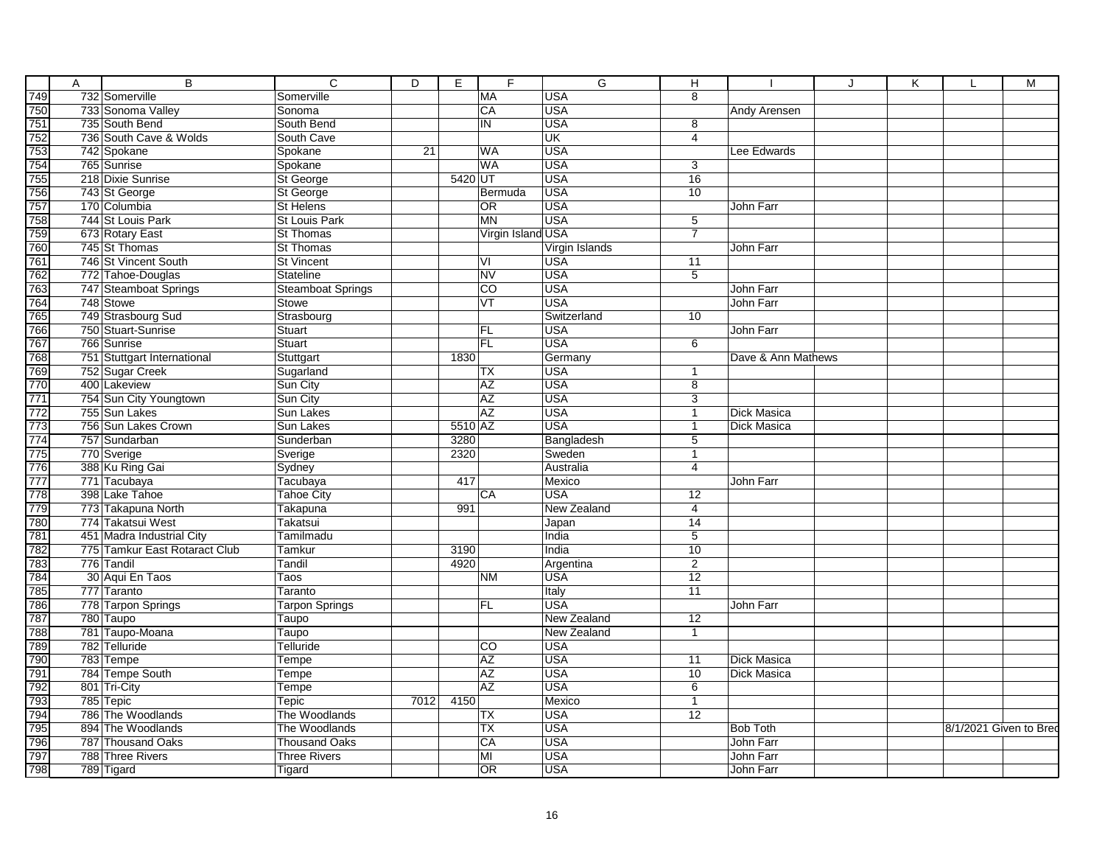|                   | Α | $\overline{B}$                | $\overline{\mathsf{C}}$  | $\overline{D}$  | E       | F                        | $\overline{G}$ | Ή               |                    | J | K. |                        | M |
|-------------------|---|-------------------------------|--------------------------|-----------------|---------|--------------------------|----------------|-----------------|--------------------|---|----|------------------------|---|
|                   |   | 732 Somerville                | Somerville               |                 |         | <b>MA</b>                | <b>USA</b>     | $\overline{8}$  |                    |   |    |                        |   |
|                   |   | 733 Sonoma Valley             | Sonoma                   |                 |         | $\overline{CA}$          | <b>USA</b>     |                 | Andy Arensen       |   |    |                        |   |
|                   |   | 735 South Bend                | South Bend               |                 |         | $\overline{\mathsf{I}}$  | <b>USA</b>     | 8               |                    |   |    |                        |   |
|                   |   | 736 South Cave & Wolds        | South Cave               |                 |         |                          | UK             | $\overline{4}$  |                    |   |    |                        |   |
|                   |   | 742 Spokane                   | Spokane                  | $\overline{21}$ |         | <b>WA</b>                | <b>USA</b>     |                 | Lee Edwards        |   |    |                        |   |
|                   |   | 765 Sunrise                   | Spokane                  |                 |         | <b>WA</b>                | <b>USA</b>     | $\overline{3}$  |                    |   |    |                        |   |
|                   |   | 218 Dixie Sunrise             | St George                |                 | 5420 UT |                          | <b>USA</b>     | 16              |                    |   |    |                        |   |
|                   |   | 743 St George                 | St George                |                 |         | Bermuda                  | <b>USA</b>     | 10              |                    |   |    |                        |   |
|                   |   | 170 Columbia                  | <b>St Helens</b>         |                 |         | OR                       | <b>USA</b>     |                 | John Farr          |   |    |                        |   |
|                   |   | 744 St Louis Park             | St Louis Park            |                 |         | MN                       | <b>USA</b>     | $\overline{5}$  |                    |   |    |                        |   |
|                   |   | 673 Rotary East               | <b>St Thomas</b>         |                 |         | Virgin Island USA        |                | 7               |                    |   |    |                        |   |
|                   |   | 745 St Thomas                 | <b>St Thomas</b>         |                 |         |                          | Virgin Islands |                 | John Farr          |   |    |                        |   |
|                   |   | 746 St Vincent South          | <b>St Vincent</b>        |                 |         | VI                       | <b>USA</b>     | 11              |                    |   |    |                        |   |
|                   |   | 772 Tahoe-Douglas             | <b>Stateline</b>         |                 |         | <b>NV</b>                | <b>USA</b>     | $\overline{5}$  |                    |   |    |                        |   |
|                   |   | 747 Steamboat Springs         | <b>Steamboat Springs</b> |                 |         | $\overline{c}$           | <b>USA</b>     |                 | John Farr          |   |    |                        |   |
|                   |   | 748 Stowe                     | Stowe                    |                 |         | VT                       | <b>USA</b>     |                 | John Farr          |   |    |                        |   |
|                   |   | 749 Strasbourg Sud            | Strasbourg               |                 |         |                          | Switzerland    | 10              |                    |   |    |                        |   |
|                   |   | 750 Stuart-Sunrise            | Stuart                   |                 |         | FL                       | <b>USA</b>     |                 | John Farr          |   |    |                        |   |
|                   |   | 766 Sunrise                   | <b>Stuart</b>            |                 |         | FL                       | <b>USA</b>     | 6               |                    |   |    |                        |   |
|                   |   | 751 Stuttgart International   | Stuttgart                |                 | 1830    |                          | Germany        |                 | Dave & Ann Mathews |   |    |                        |   |
|                   |   | 752 Sugar Creek               | Sugarland                |                 |         | ТX                       | <b>USA</b>     | $\mathbf{1}$    |                    |   |    |                        |   |
|                   |   | 400 Lakeview                  | Sun City                 |                 |         | AZ                       | <b>USA</b>     | $\overline{8}$  |                    |   |    |                        |   |
|                   |   | 754 Sun City Youngtown        | Sun City                 |                 |         | $\overline{AZ}$          | <b>USA</b>     | $\overline{3}$  |                    |   |    |                        |   |
|                   |   | 755 Sun Lakes                 | Sun Lakes                |                 |         | <b>AZ</b>                | <b>USA</b>     | $\overline{1}$  | <b>Dick Masica</b> |   |    |                        |   |
|                   |   | 756 Sun Lakes Crown           | Sun Lakes                |                 | 5510 AZ |                          | <b>USA</b>     | $\overline{1}$  | Dick Masica        |   |    |                        |   |
|                   |   | 757 Sundarban                 | Sunderban                |                 | 3280    |                          | Bangladesh     | $\overline{5}$  |                    |   |    |                        |   |
|                   |   | 770 Sverige                   | Sverige                  |                 | 2320    |                          | Sweden         | $\mathbf{1}$    |                    |   |    |                        |   |
|                   |   | 388 Ku Ring Gai               | Sydney                   |                 |         |                          | Australia      | $\overline{4}$  |                    |   |    |                        |   |
|                   |   | 771 Tacubaya                  | Tacubaya                 |                 | 417     |                          | Mexico         |                 | John Farr          |   |    |                        |   |
|                   |   | 398 Lake Tahoe                | <b>Tahoe City</b>        |                 |         | CA                       | <b>USA</b>     | 12              |                    |   |    |                        |   |
|                   |   | 773 Takapuna North            | <b>Takapuna</b>          |                 | 991     |                          | New Zealand    | 4               |                    |   |    |                        |   |
|                   |   | 774 Takatsui West             | Takatsui                 |                 |         |                          | Japan          | $\overline{14}$ |                    |   |    |                        |   |
|                   |   | 451 Madra Industrial City     | Tamilmadu                |                 |         |                          | India          | $\,$ 5 $\,$     |                    |   |    |                        |   |
|                   |   | 775 Tamkur East Rotaract Club | Tamkur                   |                 | 3190    |                          | India          | 10              |                    |   |    |                        |   |
|                   |   | 776 Tandil                    | Tandil                   |                 | 4920    |                          | Argentina      | $\overline{2}$  |                    |   |    |                        |   |
|                   |   | 30 Aqui En Taos               | Taos                     |                 |         | <b>NM</b>                | <b>USA</b>     | 12              |                    |   |    |                        |   |
|                   |   | 777 Taranto                   | Taranto                  |                 |         |                          | Italy          | 11              |                    |   |    |                        |   |
|                   |   | 778 Tarpon Springs            | <b>Tarpon Springs</b>    |                 |         | FL                       | <b>USA</b>     |                 | John Farr          |   |    |                        |   |
|                   |   | 780 Taupo                     | Taupo                    |                 |         |                          | New Zealand    | $\overline{12}$ |                    |   |    |                        |   |
|                   |   | 781 Taupo-Moana               | Taupo                    |                 |         |                          | New Zealand    | $\mathbf{1}$    |                    |   |    |                        |   |
|                   |   | 782 Telluride                 | Telluride                |                 |         | CO                       | <b>USA</b>     |                 |                    |   |    |                        |   |
|                   |   | 783 Tempe                     | Tempe                    |                 |         | $\overline{AZ}$          | <b>USA</b>     | 11              | Dick Masica        |   |    |                        |   |
|                   |   | 784 Tempe South               | Tempe                    |                 |         | <b>AZ</b>                | <b>USA</b>     | 10              | <b>Dick Masica</b> |   |    |                        |   |
|                   |   | 801 Tri-City                  | Tempe                    |                 |         | AZ                       | <b>USA</b>     | $\overline{6}$  |                    |   |    |                        |   |
|                   |   | 785 Tepic                     | Tepic                    | 7012            | 4150    |                          | Mexico         | $\overline{1}$  |                    |   |    |                        |   |
|                   |   | 786 The Woodlands             | The Woodlands            |                 |         | ТX                       | <b>USA</b>     | $\overline{12}$ |                    |   |    |                        |   |
| 795               |   | 894 The Woodlands             | The Woodlands            |                 |         | $\overline{\mathsf{TX}}$ | <b>USA</b>     |                 | <b>Bob Toth</b>    |   |    | 8/1/2021 Given to Bree |   |
|                   |   | 787 Thousand Oaks             | <b>Thousand Oaks</b>     |                 |         | CA                       | <b>USA</b>     |                 | <b>John Farr</b>   |   |    |                        |   |
| 796<br>797<br>798 |   | 788 Three Rivers              | <b>Three Rivers</b>      |                 |         | MI                       | <b>USA</b>     |                 | John Farr          |   |    |                        |   |
|                   |   | 789 Tigard                    | Tigard                   |                 |         | OR                       | <b>USA</b>     |                 | John Farr          |   |    |                        |   |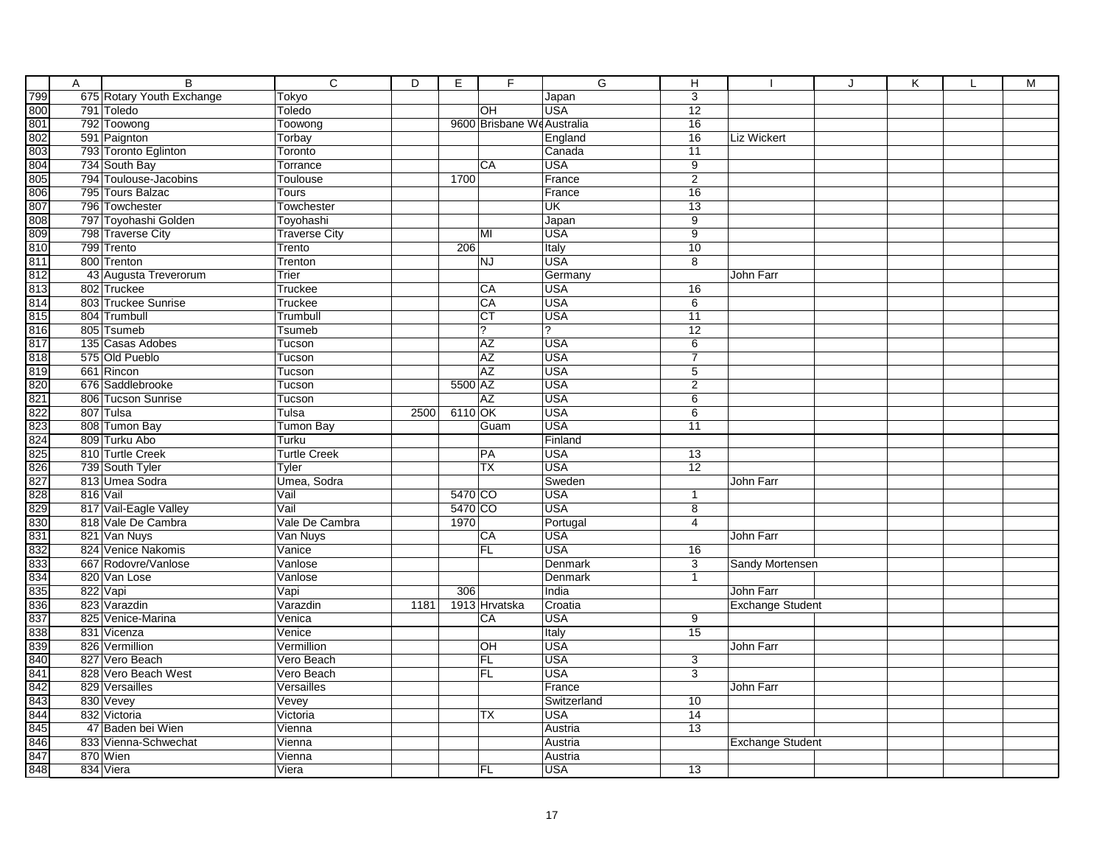| Α        | $\overline{B}$                        | $\overline{c}$           | $\overline{D}$ | Е         | F                          | G                        | н                                |                         | J | Κ | M |
|----------|---------------------------------------|--------------------------|----------------|-----------|----------------------------|--------------------------|----------------------------------|-------------------------|---|---|---|
|          | 675 Rotary Youth Exchange             | Tokyo                    |                |           |                            | Japan                    | 3                                |                         |   |   |   |
|          | 791 Toledo                            | Toledo                   |                |           | OH                         | <b>USA</b>               | $\overline{12}$                  |                         |   |   |   |
|          | 792 Toowong                           | Toowong                  |                |           | 9600 Brisbane We Australia |                          | 16                               |                         |   |   |   |
|          | 591 Paignton                          | Torbay                   |                |           |                            | England                  | 16                               | Liz Wickert             |   |   |   |
|          | 793 Toronto Eglinton                  | Toronto                  |                |           |                            | Canada                   | 11                               |                         |   |   |   |
|          | 734 South Bay                         | Torrance                 |                |           | CA                         | <b>USA</b>               | $\overline{9}$                   |                         |   |   |   |
|          | 794 Toulouse-Jacobins                 | Toulouse                 |                | 1700      |                            | France                   | $\overline{2}$                   |                         |   |   |   |
|          | 795 Tours Balzac                      | Tours                    |                |           |                            | France                   | 16                               |                         |   |   |   |
|          | 796 Towchester                        | Towchester               |                |           |                            | <b>UK</b>                | 13                               |                         |   |   |   |
|          | 797 Toyohashi Golden                  | Toyohashi                |                |           |                            | Japan                    | $\overline{9}$                   |                         |   |   |   |
|          | 798 Traverse City                     | Traverse City            |                |           | MI                         | <b>USA</b>               | $\overline{9}$                   |                         |   |   |   |
|          | 799 Trento                            | Trento                   |                | 206       |                            | Italy                    | 10                               |                         |   |   |   |
|          | 800 Trenton                           | Trenton                  |                |           | <b>NJ</b>                  | <b>USA</b>               | $\overline{8}$                   |                         |   |   |   |
|          | 43 Augusta Treverorum                 | Trier                    |                |           |                            | Germany                  |                                  | John Farr               |   |   |   |
|          | 802 Truckee                           | Truckee                  |                |           | CA                         | <b>USA</b>               | 16                               |                         |   |   |   |
|          | 803 Truckee Sunrise                   | Truckee                  |                |           | CA                         | <b>USA</b>               | 6                                |                         |   |   |   |
|          | 804 Trumbull                          | Trumbull                 |                |           | $\overline{\text{CT}}$     | <b>USA</b>               | 11                               |                         |   |   |   |
|          | 805 Tsumeb                            | Tsumeb                   |                |           | $\overline{?}$             | 2                        | 12                               |                         |   |   |   |
|          | 135 Casas Adobes                      | Tucson                   |                |           | AZ                         | <b>USA</b>               | 6                                |                         |   |   |   |
|          | 575 Old Pueblo                        | Tucson                   |                |           | <b>AZ</b>                  | <b>USA</b>               | $\overline{7}$                   |                         |   |   |   |
|          | 661 Rincon                            | Tucson                   |                |           | <b>AZ</b>                  | <b>USA</b>               | 5                                |                         |   |   |   |
|          | 676 Saddlebrooke                      | Tucson                   |                | 5500 AZ   |                            | <b>USA</b>               | $\overline{2}$                   |                         |   |   |   |
|          | 806 Tucson Sunrise                    | Tucson                   |                |           | <b>AZ</b>                  | <b>USA</b>               | $\overline{6}$                   |                         |   |   |   |
|          | 807 Tulsa                             | Tulsa                    | 2500           | $6110$ OK |                            | <b>USA</b>               | $\overline{6}$                   |                         |   |   |   |
|          | 808 Tumon Bay                         | Tumon Bay                |                |           | Guam                       | <b>USA</b>               | 11                               |                         |   |   |   |
|          | 809 Turku Abo                         | Turku                    |                |           |                            | Finland                  |                                  |                         |   |   |   |
|          | 810 Turtle Creek                      | <b>Turtle Creek</b>      |                |           | PA                         | <b>USA</b>               | 13                               |                         |   |   |   |
|          | 739 South Tyler                       | Tyler                    |                |           | <b>TX</b>                  | <b>USA</b>               | $\overline{12}$                  |                         |   |   |   |
|          | 813 Umea Sodra                        | Umea, Sodra              |                |           |                            | Sweden                   |                                  | John Farr               |   |   |   |
| 816 Vail |                                       | Vail                     |                | 5470 CO   |                            | <b>USA</b>               | $\mathbf{1}$                     |                         |   |   |   |
|          | 817 Vail-Eagle Valley                 | Vail                     |                | 5470 CO   |                            | <b>USA</b>               | $\overline{8}$                   |                         |   |   |   |
|          | 818 Vale De Cambra                    | Vale De Cambra           |                | 1970      |                            | Portugal                 | 4                                |                         |   |   |   |
|          | 821 Van Nuys                          | Van Nuys                 |                |           | CA                         | <b>USA</b>               |                                  | John Farr               |   |   |   |
|          | 824 Venice Nakomis                    | Vanice                   |                |           | FL                         | <b>USA</b>               | 16                               |                         |   |   |   |
|          | 667 Rodovre/Vanlose                   | Vanlose                  |                |           |                            | Denmark                  | $\overline{3}$                   | Sandy Mortensen         |   |   |   |
|          | 820 Van Lose                          | Vanlose                  |                |           |                            | Denmark                  | $\mathbf{1}$                     |                         |   |   |   |
|          | 822 Vapi                              | Vapi                     |                | 306       |                            | India                    |                                  | John Farr               |   |   |   |
|          | 823 Varazdin                          | Varazdin                 | 1181           |           | 1913 Hrvatska              | Croatia                  |                                  | <b>Exchange Student</b> |   |   |   |
|          | 825 Venice-Marina                     | Venica                   |                |           | CA                         | <b>USA</b>               | 9                                |                         |   |   |   |
|          | 831 Vicenza                           | Venice                   |                |           |                            | Italy                    | 15                               |                         |   |   |   |
|          | 826 Vermillion                        | Vermillion               |                |           | OH                         | <b>USA</b>               |                                  | John Farr               |   |   |   |
|          | 827 Vero Beach<br>828 Vero Beach West | Vero Beach<br>Vero Beach |                |           | FL<br>FL                   | <b>USA</b><br><b>USA</b> | $\overline{3}$<br>$\overline{3}$ |                         |   |   |   |
|          | 829 Versailles                        |                          |                |           |                            |                          |                                  |                         |   |   |   |
|          | 830 Vevey                             | Versailles<br>Vevey      |                |           |                            | France<br>Switzerland    | 10                               | John Farr               |   |   |   |
|          | 832 Victoria                          | Victoria                 |                |           | <b>TX</b>                  | <b>USA</b>               | $\overline{14}$                  |                         |   |   |   |
|          | 47 Baden bei Wien                     | Vienna                   |                |           |                            | Austria                  | 13                               |                         |   |   |   |
|          | 833 Vienna-Schwechat                  | Vienna                   |                |           |                            | Austria                  |                                  | <b>Exchange Student</b> |   |   |   |
|          | 870 Wien                              | Vienna                   |                |           |                            | Austria                  |                                  |                         |   |   |   |
|          | 834 Viera                             | Viera                    |                |           | <b>FL</b>                  | <b>USA</b>               | 13                               |                         |   |   |   |
|          |                                       |                          |                |           |                            |                          |                                  |                         |   |   |   |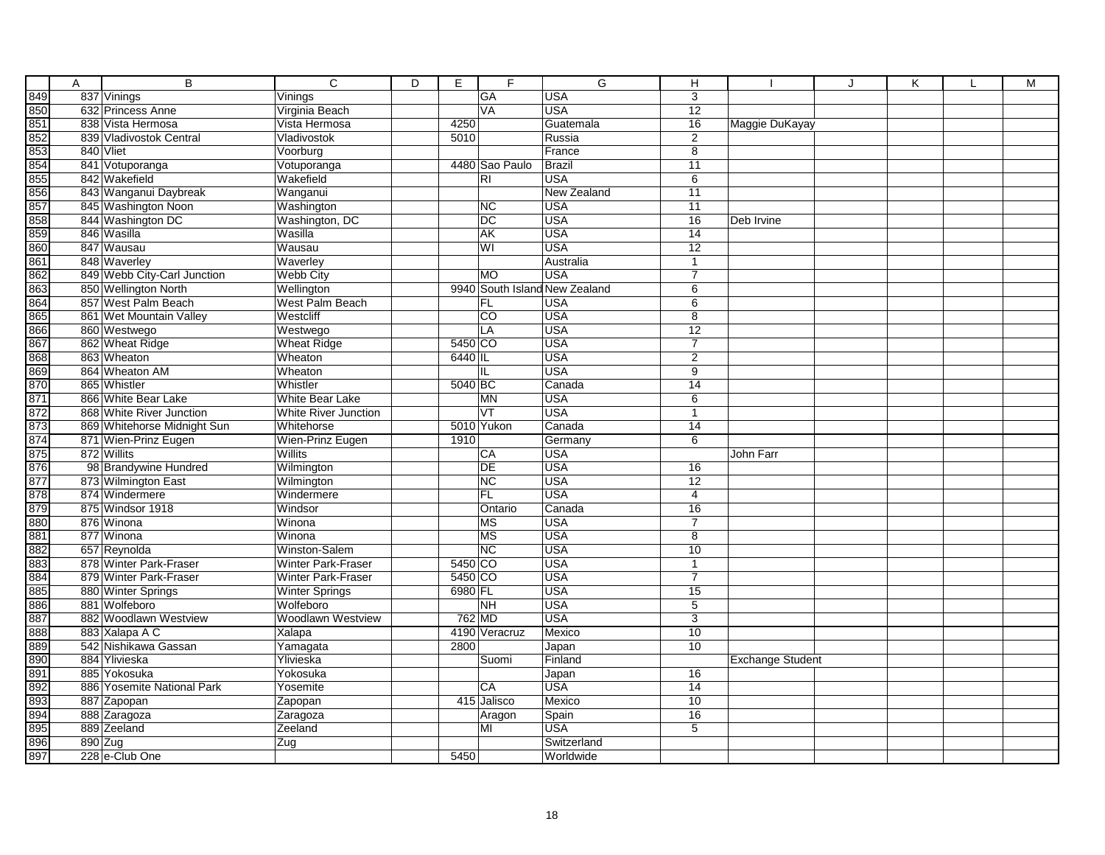|                                 | A         | $\overline{B}$                         | $\overline{c}$<br>$\overline{D}$ | E.      | F                     | G                             | $\overline{H}$  |                         | J | K | L | M |
|---------------------------------|-----------|----------------------------------------|----------------------------------|---------|-----------------------|-------------------------------|-----------------|-------------------------|---|---|---|---|
| 849                             |           | 837 Vinings                            | Vinings                          |         | <b>GA</b>             | <b>USA</b>                    | 3               |                         |   |   |   |   |
| 850                             |           | 632 Princess Anne                      | Virginia Beach                   |         | VA                    | <b>USA</b>                    | 12              |                         |   |   |   |   |
| 851                             |           | 838 Vista Hermosa                      | Vista Hermosa                    | 4250    |                       | Guatemala                     | 16              | Maggie DuKayay          |   |   |   |   |
|                                 |           | 839 Vladivostok Central                | Vladivostok                      | 5010    |                       | Russia                        | $\overline{2}$  |                         |   |   |   |   |
| 852<br>853<br>854               |           | 840 Vliet                              | Voorburg                         |         |                       | France                        | $\overline{8}$  |                         |   |   |   |   |
|                                 |           | 841 Votuporanga                        | Votuporanga                      |         | 4480 Sao Paulo        | Brazil                        | 11              |                         |   |   |   |   |
| 855                             |           | 842 Wakefield                          | Wakefield                        |         | R <sub>l</sub>        | <b>USA</b>                    | $\overline{6}$  |                         |   |   |   |   |
| 856<br>857                      |           | 843 Wanganui Daybreak                  | Wanganui                         |         |                       | <b>New Zealand</b>            | 11              |                         |   |   |   |   |
|                                 |           | 845 Washington Noon                    | Washington                       |         | <b>NC</b>             | <b>USA</b>                    | $\overline{11}$ |                         |   |   |   |   |
| 858                             |           | 844 Washington DC                      | Washington, DC                   |         | $\overline{DC}$       | <b>USA</b>                    | 16              | Deb Irvine              |   |   |   |   |
| 859                             |           | 846 Wasilla                            | Wasilla                          |         | <b>AK</b>             | <b>USA</b>                    | 14              |                         |   |   |   |   |
| 860                             |           | 847 Wausau                             | Wausau                           |         | WI                    | <b>USA</b>                    | $\overline{12}$ |                         |   |   |   |   |
| 861                             |           | 848 Waverley                           | Waverley                         |         |                       | Australia                     | $\mathbf{1}$    |                         |   |   |   |   |
| 862                             |           | 849 Webb City-Carl Junction            | <b>Webb City</b>                 |         | <b>MO</b>             | <b>USA</b>                    |                 |                         |   |   |   |   |
| 863                             |           | 850 Wellington North                   | Wellington                       |         |                       | 9940 South Island New Zealand | 6               |                         |   |   |   |   |
| 864                             |           | 857 West Palm Beach                    | West Palm Beach                  |         | <b>FL</b>             | <b>USA</b>                    | $\overline{6}$  |                         |   |   |   |   |
| 865                             |           | 861 Wet Mountain Valley                | Westcliff                        |         | $\overline{co}$       | <b>USA</b>                    | $\overline{8}$  |                         |   |   |   |   |
| 866                             |           | 860 Westwego                           | Westwego                         |         | LA                    | <b>USA</b>                    | 12              |                         |   |   |   |   |
| 867                             |           | 862 Wheat Ridge                        | Wheat Ridge                      | 5450 CO |                       | <b>USA</b>                    | $\overline{7}$  |                         |   |   |   |   |
| 868                             |           | 863 Wheaton                            | Wheaton                          | 6440 IL |                       | <b>USA</b>                    | 2               |                         |   |   |   |   |
| 869                             |           | 864 Wheaton AM                         | Wheaton                          |         | IL                    | <b>USA</b>                    | $\overline{9}$  |                         |   |   |   |   |
| 870                             |           | 865 Whistler                           | Whistler                         | 5040 BC |                       | Canada                        | 14              |                         |   |   |   |   |
| 871                             |           | 866 White Bear Lake                    | <b>White Bear Lake</b>           |         | <b>MN</b>             | <b>USA</b>                    | $\overline{6}$  |                         |   |   |   |   |
| 872                             |           | 868 White River Junction               | White River Junction             |         | VT                    | <b>USA</b>                    | $\overline{1}$  |                         |   |   |   |   |
|                                 |           | 869 Whitehorse Midnight Sun            | Whitehorse                       |         | 5010 Yukon            | Canada                        | $\overline{14}$ |                         |   |   |   |   |
|                                 |           | 871 Wien-Prinz Eugen                   | Wien-Prinz Eugen                 | 1910    |                       | Germany                       | $\overline{6}$  |                         |   |   |   |   |
| 873<br>874<br>875<br>876<br>877 |           | 872 Willits                            | Willits                          |         | CA                    | <b>USA</b>                    |                 | John Farr               |   |   |   |   |
|                                 |           | 98 Brandywine Hundred                  | Wilmington                       |         | <b>DE</b>             | <b>USA</b>                    | 16              |                         |   |   |   |   |
|                                 |           | 873 Wilmington East                    | Wilmington                       |         | NC                    | <b>USA</b>                    | 12              |                         |   |   |   |   |
| 878                             |           | 874 Windermere                         | Windermere                       |         | <b>FL</b>             | <b>USA</b>                    | $\overline{4}$  |                         |   |   |   |   |
| 879                             |           | 875 Windsor 1918                       | Windsor                          |         | Ontario               | Canada                        | $\overline{16}$ |                         |   |   |   |   |
| 880<br>881                      |           | 876 Winona                             | Winona                           |         | <b>MS</b>             | <b>USA</b>                    | $\overline{7}$  |                         |   |   |   |   |
|                                 |           | 877 Winona                             | Winona                           |         | <b>MS</b>             | <b>USA</b>                    | 8               |                         |   |   |   |   |
| 882                             |           | 657 Reynolda                           | <b>Winston-Salem</b>             |         | NC                    | <b>USA</b>                    | 10              |                         |   |   |   |   |
|                                 |           | 878 Winter Park-Fraser                 | <b>Winter Park-Fraser</b>        | 5450 CO |                       | <b>USA</b>                    | $\mathbf{1}$    |                         |   |   |   |   |
| 883<br>884<br>885               |           | 879 Winter Park-Fraser                 | Winter Park-Fraser               | 5450 CO |                       | <b>USA</b>                    | $\overline{7}$  |                         |   |   |   |   |
|                                 |           | 880 Winter Springs                     | <b>Winter Springs</b>            | 6980 FL |                       | <b>USA</b><br><b>USA</b>      | 15              |                         |   |   |   |   |
| 886<br>887                      |           | 881 Wolfeboro<br>882 Woodlawn Westview | Wolfeboro                        |         | <b>NH</b><br>$762$ MD | <b>USA</b>                    | $\overline{5}$  |                         |   |   |   |   |
|                                 |           |                                        | Woodlawn Westview                |         |                       |                               | 3               |                         |   |   |   |   |
| 888                             |           | 883 Xalapa A C<br>542 Nishikawa Gassan | Xalapa                           |         | 4190 Veracruz         | Mexico                        | $\overline{10}$ |                         |   |   |   |   |
| 889<br>890                      |           | 884 Ylivieska                          | Yamagata<br>Ylivieska            | 2800    |                       | Japan<br>Finland              | 10              |                         |   |   |   |   |
| 891                             |           | 885 Yokosuka                           | Yokosuka                         |         | Suomi                 | Japan                         | 16              | <b>Exchange Student</b> |   |   |   |   |
| 892                             |           | 886 Yosemite National Park             | Yosemite                         |         | CA                    | USA                           | $\overline{14}$ |                         |   |   |   |   |
| 893                             |           | 887 Zapopan                            | Zapopan                          |         | 415 Jalisco           | Mexico                        | 10              |                         |   |   |   |   |
| 894                             |           | 888 Zaragoza                           | Zaragoza                         |         | Aragon                | Spain                         | 16              |                         |   |   |   |   |
| 895                             |           | 889 Zeeland                            | Zeeland                          |         | MI                    | <b>USA</b>                    | $\overline{5}$  |                         |   |   |   |   |
| 896                             | $890$ Zug |                                        | Zug                              |         |                       | Switzerland                   |                 |                         |   |   |   |   |
| 897                             |           | 228 e-Club One                         |                                  | 5450    |                       | Worldwide                     |                 |                         |   |   |   |   |
|                                 |           |                                        |                                  |         |                       |                               |                 |                         |   |   |   |   |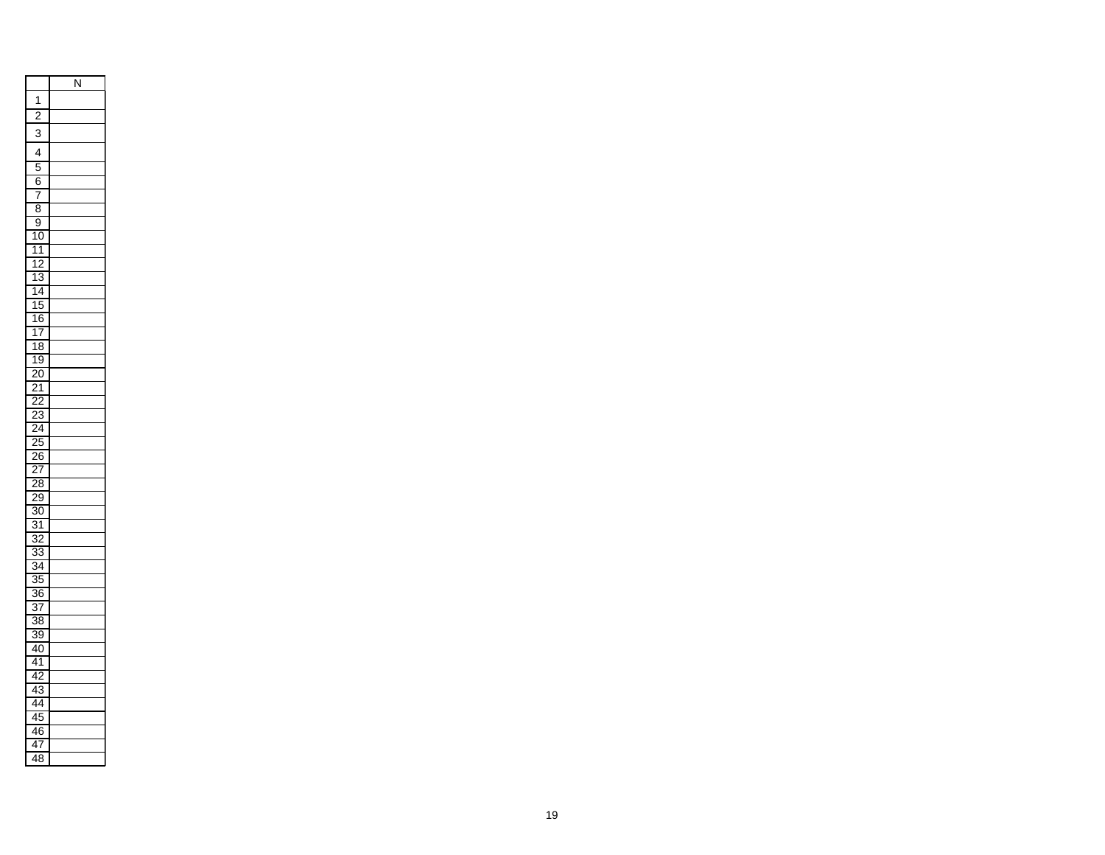|                                       | N |
|---------------------------------------|---|
| 1                                     |   |
| 2                                     |   |
| ć<br>3                                |   |
| 4                                     |   |
| Ē<br>5                                |   |
| 6                                     |   |
| 7                                     |   |
| $\overline{8}$                        |   |
| 9                                     |   |
| $\overline{10}$                       |   |
| 1<br>1                                |   |
| $\frac{2}{3}$<br>1                    |   |
| 1<br>$\overline{1}$<br>$\overline{4}$ |   |
| $\overline{\mathbf{1}}$<br>5          |   |
| $\overline{1}$<br>6                   |   |
| 1<br>7                                |   |
| $\overline{18}$                       |   |
| 19                                    |   |
| ï<br>20                               |   |
| $\overline{21}$                       |   |
| ž<br>ؙؚ<br>2                          |   |
| 23                                    |   |
| $\overline{2}$<br>4                   |   |
| $\overline{25}$<br>$\overline{6}$     |   |
| $\overline{2}$                        |   |
| $^{28}$                               |   |
| :<br>29                               |   |
| $\overline{30}$                       |   |
| $3^{\circ}$<br>1                      |   |
| 32                                    |   |
| $rac{2}{33}$                          |   |
| $rac{34}{35}$                         |   |
| 35                                    |   |
| $\frac{6}{36}$                        |   |
| $\frac{9}{37}$                        |   |
|                                       |   |
| 39<br>40                              |   |
| $\overline{41}$                       |   |
| $\overline{42}$                       |   |
| 43                                    |   |
| 44                                    |   |
| 45                                    |   |
| 46                                    |   |
| 47                                    |   |
| $\overline{8}$<br>4                   |   |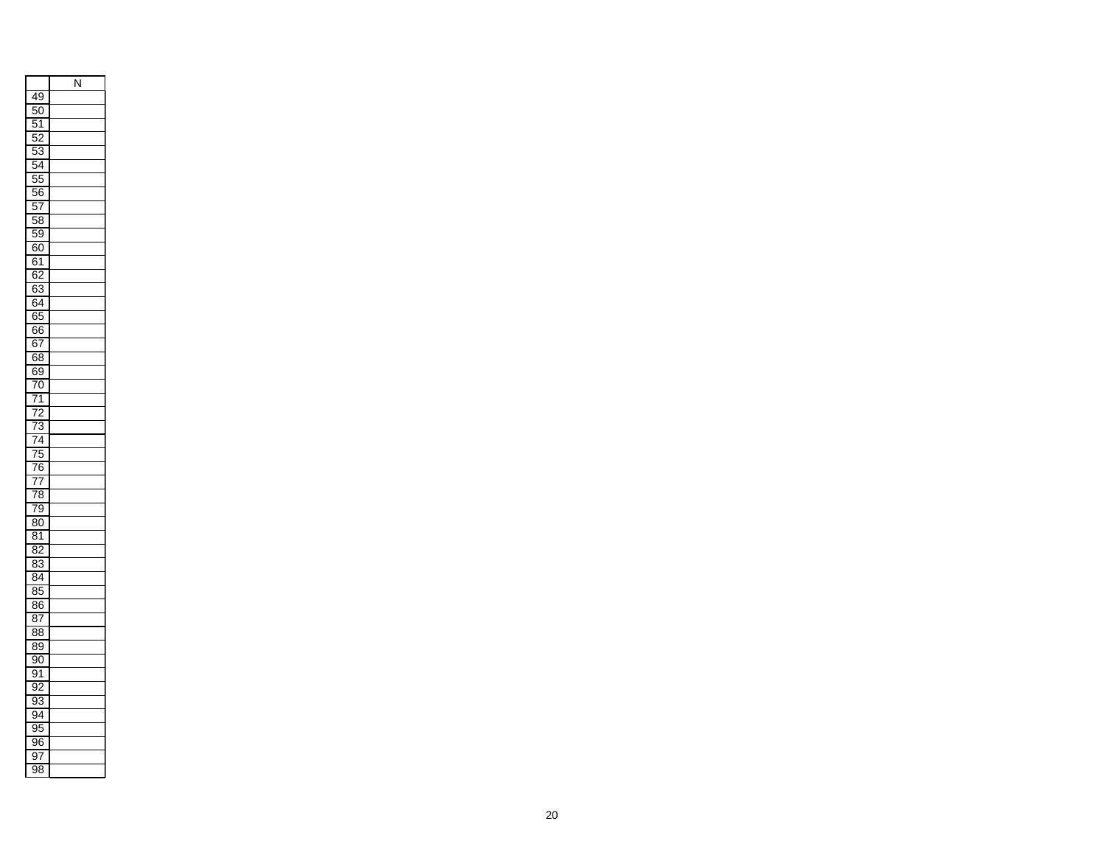|                                                  | N |
|--------------------------------------------------|---|
| 49                                               |   |
| ı<br>5C<br>)                                     |   |
| ί<br>$\mathbf{z}$                                |   |
| ļ<br>$\overline{2}$                              |   |
| ŗ<br>ă<br>١                                      |   |
| 54                                               |   |
| ŗ<br>ÿ<br>j                                      |   |
| 56                                               |   |
| ļ<br>5<br>7                                      |   |
| ŗ<br>$\overline{\delta}$<br>ś                    |   |
| ŗ<br>$\overline{\mathbf{S}}$<br>)                |   |
| 60                                               |   |
| $\overline{\epsilon}$<br>$\overline{\mathbf{S}}$ |   |
|                                                  |   |
| 62<br>63                                         |   |
| 64                                               |   |
| 65                                               |   |
| 66                                               |   |
| 6<br>$\overline{\mathbf{57}}$                    |   |
| 6<br>$\overline{\delta}$                         |   |
| $\overline{\mathbf{S}}$<br>Ē<br>J                |   |
| 70                                               |   |
| 71                                               |   |
|                                                  |   |
| $\frac{2}{3}$<br>$\frac{1}{l}$                   |   |
| 4<br>7                                           |   |
| $\overline{5}$<br>l                              |   |
| $\overline{6}$<br>l                              |   |
| $\overline{77}$                                  |   |
| ξ<br>S<br>7                                      |   |
| ķ<br>J<br>l                                      |   |
| $\overline{\mathrm{30}}$<br>έ                    |   |
| ٤<br>1<br>ŗ.                                     |   |
| j                                                |   |
| $\frac{82}{83}$<br>j                             |   |
| $\overline{84}$                                  |   |
| $\overline{35}$<br>Ś                             |   |
| $\overline{\delta}$<br>ξ<br>ì                    |   |
| 87                                               |   |
| 88                                               |   |
| š<br>ξ<br>)                                      |   |
| ļ<br>$\overline{0}$                              |   |
| $\overline{)1}$<br>Ś                             |   |
| ļ<br>)                                           |   |
| 33<br>Ś                                          |   |
| Š<br>)<br>4                                      |   |
| Ś<br>95                                          |   |
| ļ<br>)<br>ì                                      |   |
| í<br>)                                           |   |
| ļ<br>$\overline{8}$                              |   |
|                                                  |   |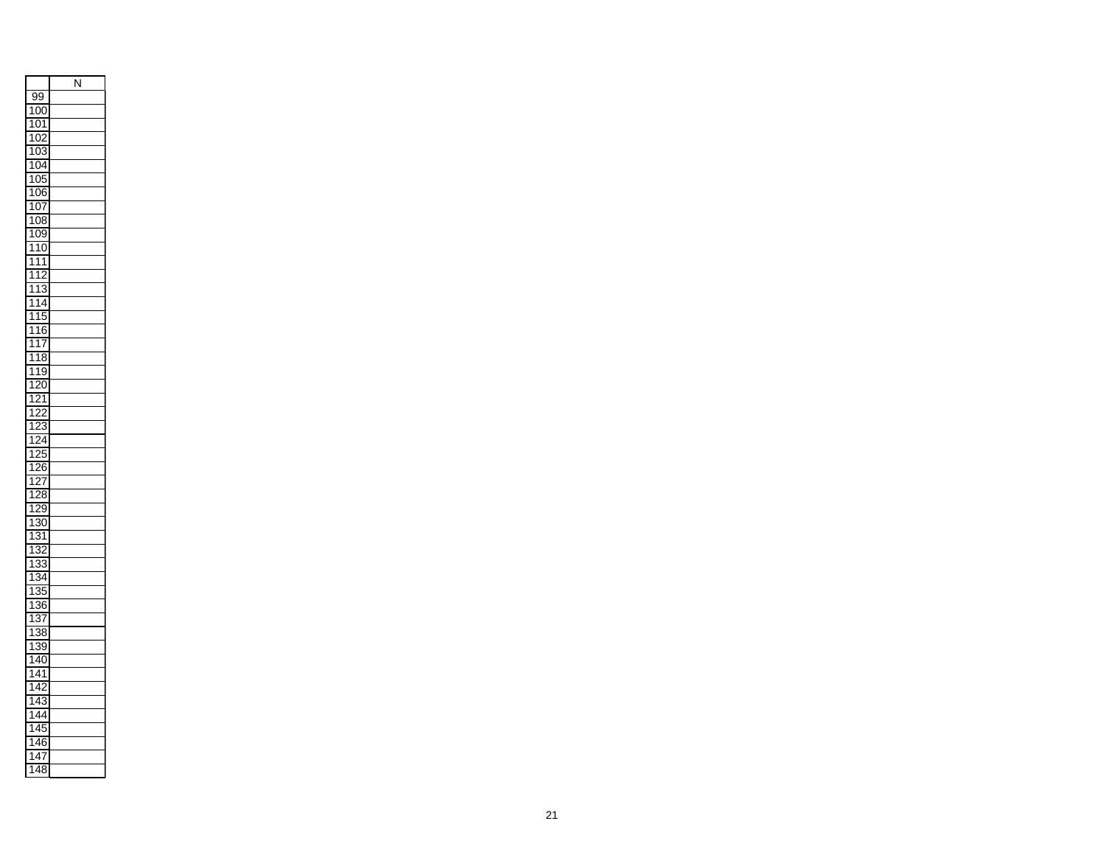|                                                               | Ñ |
|---------------------------------------------------------------|---|
| ļ<br>99                                                       |   |
| 1<br>(<br>X<br>)                                              |   |
| 1<br>Ó<br>)<br>1                                              |   |
| $\overline{r}$<br>1<br>(<br>,                                 |   |
| ١<br>O<br>)<br>ξ                                              |   |
| 1<br>0<br>)4                                                  |   |
| $\overline{0}$<br>1                                           |   |
| (<br>$\mathfrak{z}$<br>۱<br>ì                                 |   |
| ۱<br>O<br>)<br>7                                              |   |
| 08<br>1<br>ξ                                                  |   |
| 1<br>09<br>)                                                  |   |
| 1<br>1<br>0                                                   |   |
| 1<br>1<br>1                                                   |   |
| 1<br>1<br>,                                                   |   |
| $\overline{\mathbf{1}}$<br>1<br>Ś                             |   |
| $\overline{\mathbf{1}}$<br>1<br>į<br>Z                        |   |
| 1<br>ļ<br>1<br>j                                              |   |
| 1<br>6<br>1                                                   |   |
| 1<br>1<br>l                                                   |   |
| E<br>1<br>Ŝ<br>1                                              |   |
| ۱<br>1<br>ί<br>)                                              |   |
| 1<br>(<br>)                                                   |   |
| ֚֓<br>1<br>$\overline{ }$<br>1                                |   |
| 1<br>j                                                        |   |
| 1<br>Š                                                        |   |
| 1<br>į                                                        |   |
| ļ<br>1<br>ʻ<br>)                                              |   |
| 26<br>1<br>j                                                  |   |
| 1<br>,                                                        |   |
| í<br>$\mathbf{p}$<br>1<br>٤<br>Ŝ                              |   |
| $\overline{ }$<br>ļ<br>1<br>)<br>ī                            |   |
| 30<br>1<br>)                                                  |   |
| ۱<br>1<br>ŝ                                                   |   |
| ֖֧֢֧֧֪֧֪֧֚֚֚֚֚֚֚֚֚֚֚֚֚֚֚֡֝֝֝֓֝֓֝֓֝֬֝֓֬֝֬֝֓֝֬֝֓<br>1<br>Ŝ<br>) |   |
| 1<br>3                                                        |   |
| 3<br>1<br>ı                                                   |   |
| 1<br>Ì                                                        |   |
| 1<br>36<br>ì                                                  |   |
| 1<br>ξ                                                        |   |
| í<br>1<br>38<br>Š                                             |   |
| ì<br>Š                                                        |   |
| 1<br>)<br>4<br>(                                              |   |
| 1<br>)<br>۱                                                   |   |
| 1<br>í<br>1<br>۱                                              |   |
| 1<br>l                                                        |   |
| 4<br>۱<br>Ŝ<br>ı                                              |   |
| ۱<br>4                                                        |   |
| 1<br>4<br>ļ<br>5                                              |   |
| ۱<br>j                                                        |   |
| 1<br>4<br>í                                                   |   |
| ξ<br>1<br>4<br>Ŝ                                              |   |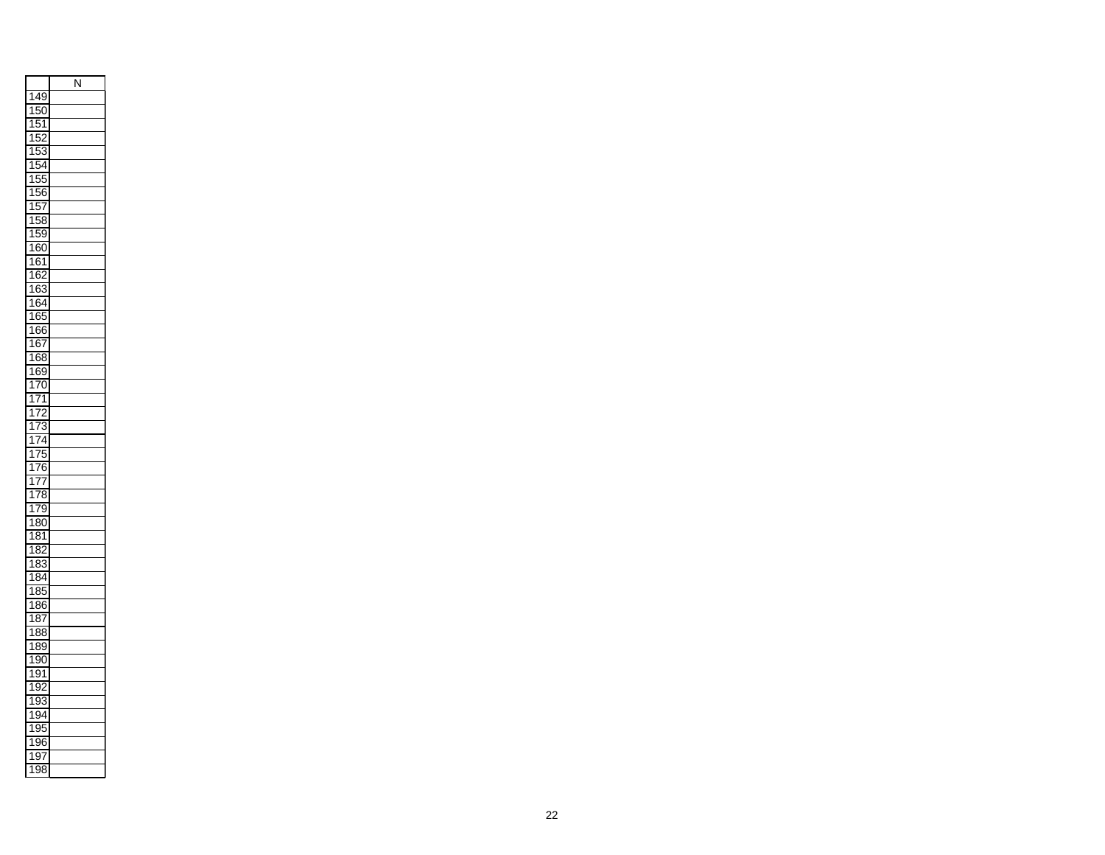|                        | Ñ |
|------------------------|---|
| 1<br>4<br>ϡ            |   |
| ļ<br>1<br>(<br>)       |   |
| ļ<br>1<br>1            |   |
| ļ<br>1<br>j            |   |
| ŗ<br>1<br>ξ<br>)       |   |
| ŗ<br>1<br>4            |   |
| ŗ<br>1<br>5<br>5       |   |
| Ë<br>5<br>۱<br>ì       |   |
| ļ<br>۱<br>5<br>I       |   |
| Į<br>58<br>1<br>ξ      |   |
| 1<br>ŗ<br>j!<br>1      |   |
| 1<br>60<br>j           |   |
| 1<br>в<br>ì<br>1       |   |
| 1<br>6<br>ì            |   |
| 1<br>6<br>ć<br>Ś       |   |
| 1<br>6<br>l<br>ì       |   |
| 1<br>в<br>š<br>١       |   |
| 1<br>66<br>j           |   |
| 1<br>6<br>ì<br>Í       |   |
| 6<br>1<br>š<br>í<br>ŝ  |   |
| ۱<br>б<br>š<br>)       |   |
| 1<br>(<br>)            |   |
| I<br>7<br>1<br>1       |   |
| 7<br>1<br>,            |   |
| 1<br>7<br>ś            |   |
| 1<br>1                 |   |
| l<br>ų<br>1            |   |
| $\overline{1}$<br>)    |   |
| 1<br>6<br>I<br>j       |   |
| 1<br>l<br>l<br>٤       |   |
| 1<br>Ŝ<br>l<br>75      |   |
| í<br>1<br>)<br>7       |   |
| 8<br>í<br>1<br>)       |   |
| ξ<br>۱<br>Ŝ<br>1<br>)  |   |
| S<br>1<br>ξ            |   |
| 8<br>1                 |   |
| 8<br>1<br>ı            |   |
| 1<br>Ś<br>Ś            |   |
| 1<br>ξ<br>36<br>j      |   |
| 1<br>ξ<br>Ś            |   |
| ξ<br>1<br>38<br>Š      |   |
| ξ<br>ì<br>1<br>Ŝ<br>)  |   |
| Š<br>1<br>9ť<br>í<br>) |   |
| ļ<br>í<br>1<br>)<br>1  |   |
| ļ<br>1<br>)            |   |
| Ś<br>۱<br>Ŝ<br>)       |   |
| 1<br>í<br>ı<br>)       |   |
| ί<br>1<br>X            |   |
| 1<br>i<br>)<br>j       |   |
| !<br>1<br>í            |   |
| ì<br>){<br>1           |   |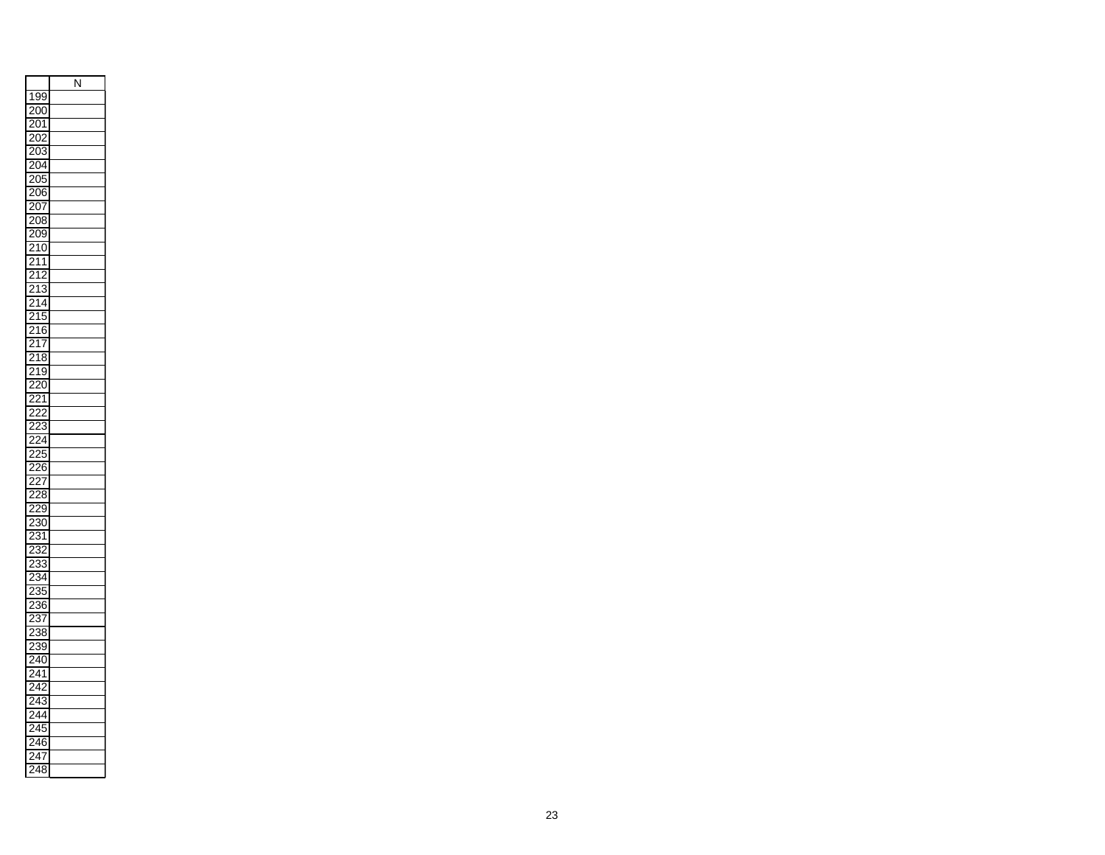|                                                 | N |
|-------------------------------------------------|---|
| 1<br>99                                         |   |
| $\overline{\mathfrak{c}}$<br>20<br>)            |   |
| $\overline{1}$<br><sup>2</sup>                  |   |
| <sup>2</sup><br>ĭ<br>,                          |   |
| $\overline{2}$<br>)3                            |   |
| 20                                              |   |
| )4                                              |   |
| X<br>ʻ.<br>5                                    |   |
| $\overline{2}$<br>)<br>ì                        |   |
| $\overline{2}$<br>)7                            |   |
| $\overline{2}$<br>$\overline{\delta}$<br>3      |   |
| 20<br>X<br>ϡ                                    |   |
| $\overline{2}$<br>1<br>$\overline{a}$<br>J      |   |
| $^{21}$<br>1                                    |   |
| í<br>$\overline{2}$<br>21                       |   |
| ŝ<br>1<br>j<br>2<br>S                           |   |
| j<br>$\overline{ }$<br>1<br>4                   |   |
| $\overline{\phantom{0}}$<br>$\overline{1}$<br>5 |   |
| 2                                               |   |
| 6<br>1<br>5<br>J                                |   |
| $\overline{ }$<br>1<br>7                        |   |
| $\overline{ }$<br>1<br>8                        |   |
| Ī<br>ļ<br>$\overline{\phantom{0}}$<br>J         |   |
| $\overline{\mathcal{C}}$<br>7<br>)              |   |
| :<br>$\overline{2}$<br>1                        |   |
| ᠈<br>í<br>,                                     |   |
| 23                                              |   |
| $\overline{4}$<br>ř                             |   |
| 25<br>$\overline{ }$<br>5                       |   |
| $\overline{26}$<br>ì                            |   |
| 7                                               |   |
| $\frac{1}{2}$                                   |   |
| S<br>ì                                          |   |
| )                                               |   |
| 30                                              |   |
| Ŝ<br>1                                          |   |
| 3<br>j<br>2<br>,                                |   |
| 33<br>$\overline{ }$<br>ï                       |   |
| :<br>34<br>$\overline{ }$                       |   |
| 235<br>5                                        |   |
| í<br>,<br>36                                    |   |
| 3<br>$\overline{\phantom{a}}$<br>l              |   |
| ,<br>38                                         |   |
| )<br>39<br>ヲ                                    |   |
| $\overline{\phantom{0}}$<br>(<br>1<br>)         |   |
| ʻ<br>4                                          |   |
| 1                                               |   |
|                                                 |   |
| 3                                               |   |
| 4                                               |   |
| ;                                               |   |
| 6<br>j                                          |   |
| $^{24}$                                         |   |
| 24<br>ξ<br>ξ                                    |   |
|                                                 |   |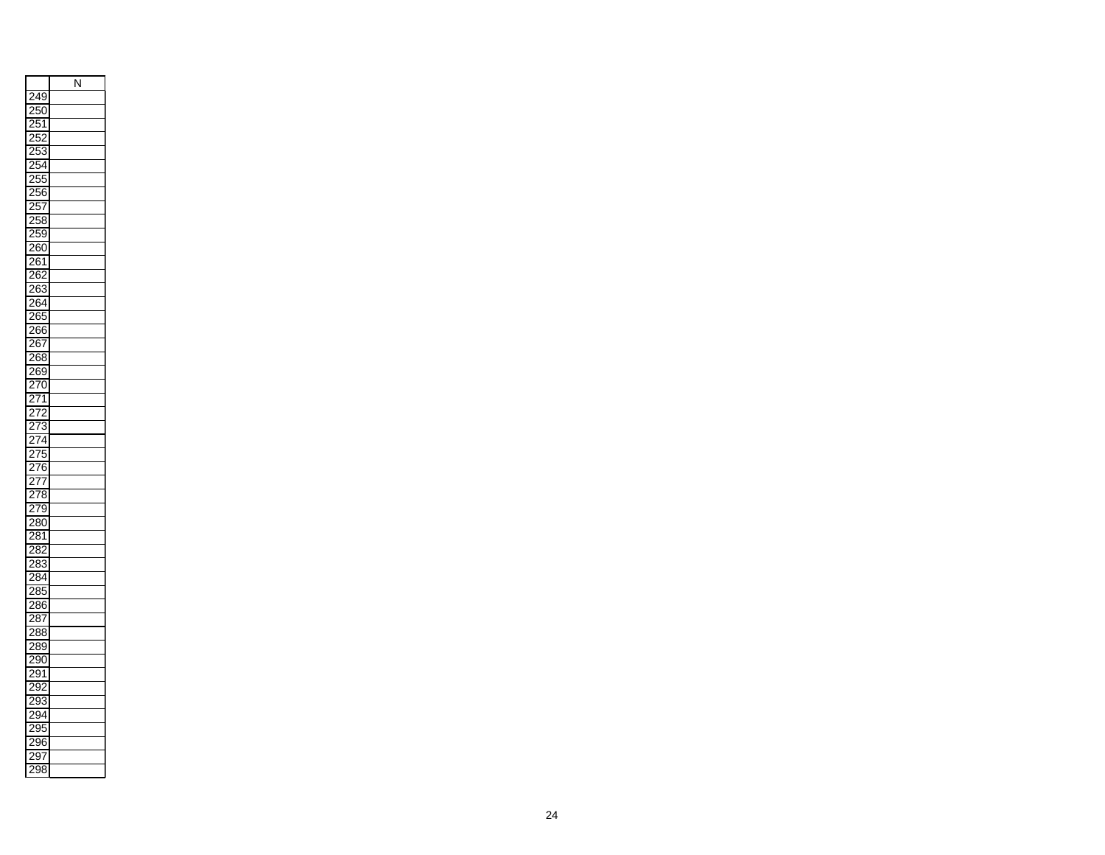| $\overline{250}$<br>1<br>1<br>252<br>J<br>).<br>Ŝ<br>ņ<br>54<br>ļ<br>)!<br>$\frac{2}{56}$<br>57<br>258<br>$\overline{5}$<br>9<br>260<br>$\overline{261}$<br>26<br>š,<br>2<br>$\overline{263}$<br>$\overline{264}$<br>í<br>$\overline{26}$<br>55<br>266<br>֜֡֝<br>26<br>$\frac{1}{2}$<br>268<br>S<br>:<br>269<br>70<br>$\overline{2}$<br>7<br>7<br>í<br>,<br>7<br>$\overline{73}$<br>j<br>þ<br>74<br>l<br>$\overline{\phantom{a}}$<br>$\overline{275}$<br>$\frac{276}{5}$<br>í<br>77<br>$\overline{278}$<br>79<br>:<br>$\overline{280}$<br>81<br>282<br>$\overline{2}$<br>33<br>$\overline{2\ell}$<br>$\overline{34}$<br>28<br>$\overline{35}$<br>$\overline{a}$<br>286<br>ì<br>$\overline{287}$<br>288<br>$\cdot$<br>289<br>290<br>í<br>291<br>29<br>):<br>29<br>93<br>ă<br>ī4<br>ă<br>$\overline{5}$<br>ă<br>θĆ<br>j<br>$\overline{2}$<br>ົ<br>$\overline{2}$<br>38<br>Ŝ |     | N |
|---------------------------------------------------------------------------------------------------------------------------------------------------------------------------------------------------------------------------------------------------------------------------------------------------------------------------------------------------------------------------------------------------------------------------------------------------------------------------------------------------------------------------------------------------------------------------------------------------------------------------------------------------------------------------------------------------------------------------------------------------------------------------------------------------------------------------------------------------------------------------|-----|---|
|                                                                                                                                                                                                                                                                                                                                                                                                                                                                                                                                                                                                                                                                                                                                                                                                                                                                           | 249 |   |
|                                                                                                                                                                                                                                                                                                                                                                                                                                                                                                                                                                                                                                                                                                                                                                                                                                                                           |     |   |
|                                                                                                                                                                                                                                                                                                                                                                                                                                                                                                                                                                                                                                                                                                                                                                                                                                                                           |     |   |
|                                                                                                                                                                                                                                                                                                                                                                                                                                                                                                                                                                                                                                                                                                                                                                                                                                                                           |     |   |
|                                                                                                                                                                                                                                                                                                                                                                                                                                                                                                                                                                                                                                                                                                                                                                                                                                                                           |     |   |
|                                                                                                                                                                                                                                                                                                                                                                                                                                                                                                                                                                                                                                                                                                                                                                                                                                                                           |     |   |
|                                                                                                                                                                                                                                                                                                                                                                                                                                                                                                                                                                                                                                                                                                                                                                                                                                                                           |     |   |
|                                                                                                                                                                                                                                                                                                                                                                                                                                                                                                                                                                                                                                                                                                                                                                                                                                                                           |     |   |
|                                                                                                                                                                                                                                                                                                                                                                                                                                                                                                                                                                                                                                                                                                                                                                                                                                                                           |     |   |
|                                                                                                                                                                                                                                                                                                                                                                                                                                                                                                                                                                                                                                                                                                                                                                                                                                                                           |     |   |
|                                                                                                                                                                                                                                                                                                                                                                                                                                                                                                                                                                                                                                                                                                                                                                                                                                                                           |     |   |
|                                                                                                                                                                                                                                                                                                                                                                                                                                                                                                                                                                                                                                                                                                                                                                                                                                                                           |     |   |
|                                                                                                                                                                                                                                                                                                                                                                                                                                                                                                                                                                                                                                                                                                                                                                                                                                                                           |     |   |
|                                                                                                                                                                                                                                                                                                                                                                                                                                                                                                                                                                                                                                                                                                                                                                                                                                                                           |     |   |
|                                                                                                                                                                                                                                                                                                                                                                                                                                                                                                                                                                                                                                                                                                                                                                                                                                                                           |     |   |
|                                                                                                                                                                                                                                                                                                                                                                                                                                                                                                                                                                                                                                                                                                                                                                                                                                                                           |     |   |
|                                                                                                                                                                                                                                                                                                                                                                                                                                                                                                                                                                                                                                                                                                                                                                                                                                                                           |     |   |
|                                                                                                                                                                                                                                                                                                                                                                                                                                                                                                                                                                                                                                                                                                                                                                                                                                                                           |     |   |
|                                                                                                                                                                                                                                                                                                                                                                                                                                                                                                                                                                                                                                                                                                                                                                                                                                                                           |     |   |
|                                                                                                                                                                                                                                                                                                                                                                                                                                                                                                                                                                                                                                                                                                                                                                                                                                                                           |     |   |
|                                                                                                                                                                                                                                                                                                                                                                                                                                                                                                                                                                                                                                                                                                                                                                                                                                                                           |     |   |
|                                                                                                                                                                                                                                                                                                                                                                                                                                                                                                                                                                                                                                                                                                                                                                                                                                                                           |     |   |
|                                                                                                                                                                                                                                                                                                                                                                                                                                                                                                                                                                                                                                                                                                                                                                                                                                                                           |     |   |
|                                                                                                                                                                                                                                                                                                                                                                                                                                                                                                                                                                                                                                                                                                                                                                                                                                                                           |     |   |
|                                                                                                                                                                                                                                                                                                                                                                                                                                                                                                                                                                                                                                                                                                                                                                                                                                                                           |     |   |
|                                                                                                                                                                                                                                                                                                                                                                                                                                                                                                                                                                                                                                                                                                                                                                                                                                                                           |     |   |
|                                                                                                                                                                                                                                                                                                                                                                                                                                                                                                                                                                                                                                                                                                                                                                                                                                                                           |     |   |
|                                                                                                                                                                                                                                                                                                                                                                                                                                                                                                                                                                                                                                                                                                                                                                                                                                                                           |     |   |
|                                                                                                                                                                                                                                                                                                                                                                                                                                                                                                                                                                                                                                                                                                                                                                                                                                                                           |     |   |
|                                                                                                                                                                                                                                                                                                                                                                                                                                                                                                                                                                                                                                                                                                                                                                                                                                                                           |     |   |
|                                                                                                                                                                                                                                                                                                                                                                                                                                                                                                                                                                                                                                                                                                                                                                                                                                                                           |     |   |
|                                                                                                                                                                                                                                                                                                                                                                                                                                                                                                                                                                                                                                                                                                                                                                                                                                                                           |     |   |
|                                                                                                                                                                                                                                                                                                                                                                                                                                                                                                                                                                                                                                                                                                                                                                                                                                                                           |     |   |
|                                                                                                                                                                                                                                                                                                                                                                                                                                                                                                                                                                                                                                                                                                                                                                                                                                                                           |     |   |
|                                                                                                                                                                                                                                                                                                                                                                                                                                                                                                                                                                                                                                                                                                                                                                                                                                                                           |     |   |
|                                                                                                                                                                                                                                                                                                                                                                                                                                                                                                                                                                                                                                                                                                                                                                                                                                                                           |     |   |
|                                                                                                                                                                                                                                                                                                                                                                                                                                                                                                                                                                                                                                                                                                                                                                                                                                                                           |     |   |
|                                                                                                                                                                                                                                                                                                                                                                                                                                                                                                                                                                                                                                                                                                                                                                                                                                                                           |     |   |
|                                                                                                                                                                                                                                                                                                                                                                                                                                                                                                                                                                                                                                                                                                                                                                                                                                                                           |     |   |
|                                                                                                                                                                                                                                                                                                                                                                                                                                                                                                                                                                                                                                                                                                                                                                                                                                                                           |     |   |
|                                                                                                                                                                                                                                                                                                                                                                                                                                                                                                                                                                                                                                                                                                                                                                                                                                                                           |     |   |
|                                                                                                                                                                                                                                                                                                                                                                                                                                                                                                                                                                                                                                                                                                                                                                                                                                                                           |     |   |
|                                                                                                                                                                                                                                                                                                                                                                                                                                                                                                                                                                                                                                                                                                                                                                                                                                                                           |     |   |
|                                                                                                                                                                                                                                                                                                                                                                                                                                                                                                                                                                                                                                                                                                                                                                                                                                                                           |     |   |
|                                                                                                                                                                                                                                                                                                                                                                                                                                                                                                                                                                                                                                                                                                                                                                                                                                                                           |     |   |
|                                                                                                                                                                                                                                                                                                                                                                                                                                                                                                                                                                                                                                                                                                                                                                                                                                                                           |     |   |
|                                                                                                                                                                                                                                                                                                                                                                                                                                                                                                                                                                                                                                                                                                                                                                                                                                                                           |     |   |
|                                                                                                                                                                                                                                                                                                                                                                                                                                                                                                                                                                                                                                                                                                                                                                                                                                                                           |     |   |
|                                                                                                                                                                                                                                                                                                                                                                                                                                                                                                                                                                                                                                                                                                                                                                                                                                                                           |     |   |
|                                                                                                                                                                                                                                                                                                                                                                                                                                                                                                                                                                                                                                                                                                                                                                                                                                                                           |     |   |
|                                                                                                                                                                                                                                                                                                                                                                                                                                                                                                                                                                                                                                                                                                                                                                                                                                                                           |     |   |
|                                                                                                                                                                                                                                                                                                                                                                                                                                                                                                                                                                                                                                                                                                                                                                                                                                                                           |     |   |
|                                                                                                                                                                                                                                                                                                                                                                                                                                                                                                                                                                                                                                                                                                                                                                                                                                                                           |     |   |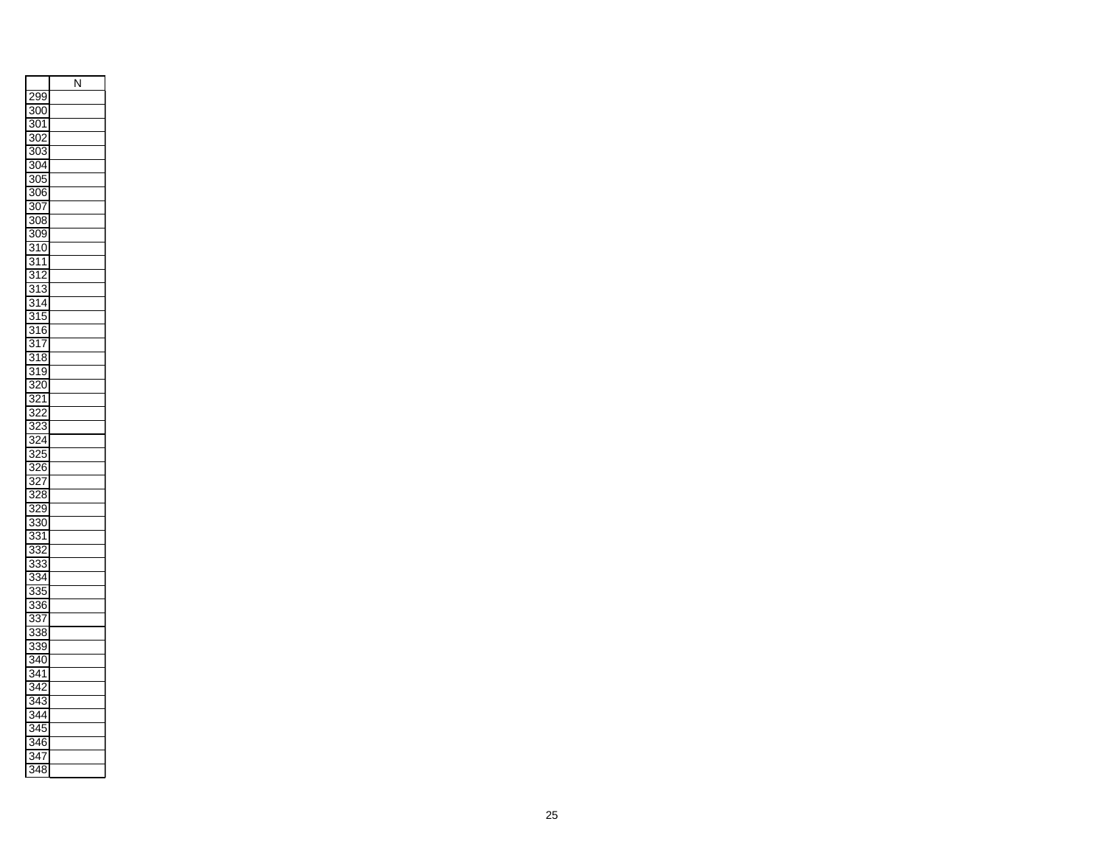|                          | N |
|--------------------------|---|
| ,<br>299                 |   |
| 300                      |   |
| 301                      |   |
| $\overline{2}$<br>3C     |   |
| $\overline{303}$         |   |
| 304                      |   |
| 305                      |   |
| 306                      |   |
| 307                      |   |
| 308                      |   |
| $\overline{30}$<br>)     |   |
| $\overline{310}$         |   |
| 3<br>1<br>1              |   |
| 312                      |   |
| $\overline{1}$<br>3<br>ś |   |
| 314                      |   |
| 315                      |   |
| 3<br>16                  |   |
| $\overline{3}$<br>1<br>7 |   |
| 3<br>8<br>1              |   |
| 19<br>3                  |   |
| 3<br>20                  |   |
| Ś<br>$\overline{2}$<br>1 |   |
| 2<br>í<br>Ś<br>,         |   |
| $\overline{23}$<br>š,    |   |
| $\overline{24}$          |   |
| 25<br>Ś.                 |   |
| 5<br>ś.<br>26<br>ì       |   |
| $\overline{3}$<br>27     |   |
| 328                      |   |
| 29<br>Ŝ                  |   |
| 330                      |   |
| Š                        |   |
| ŝ<br>1<br>Î<br>33.<br>2  |   |
| Ś                        |   |
| 33<br>ś                  |   |
| Ś<br>34<br>$\frac{1}{3}$ |   |
| Ś<br>5                   |   |
| 336                      |   |
| 33<br>I                  |   |
| 3<br>38                  |   |
| 339                      |   |
| 340<br>$\overline{3}$    |   |
| 41                       |   |
| 34<br>2                  |   |
| $\overline{4}$<br>3      |   |
| 34<br>4                  |   |
| $\overline{34}$<br>5     |   |
| Ś<br>6<br>4              |   |
| 34<br>7                  |   |
| 348<br>3                 |   |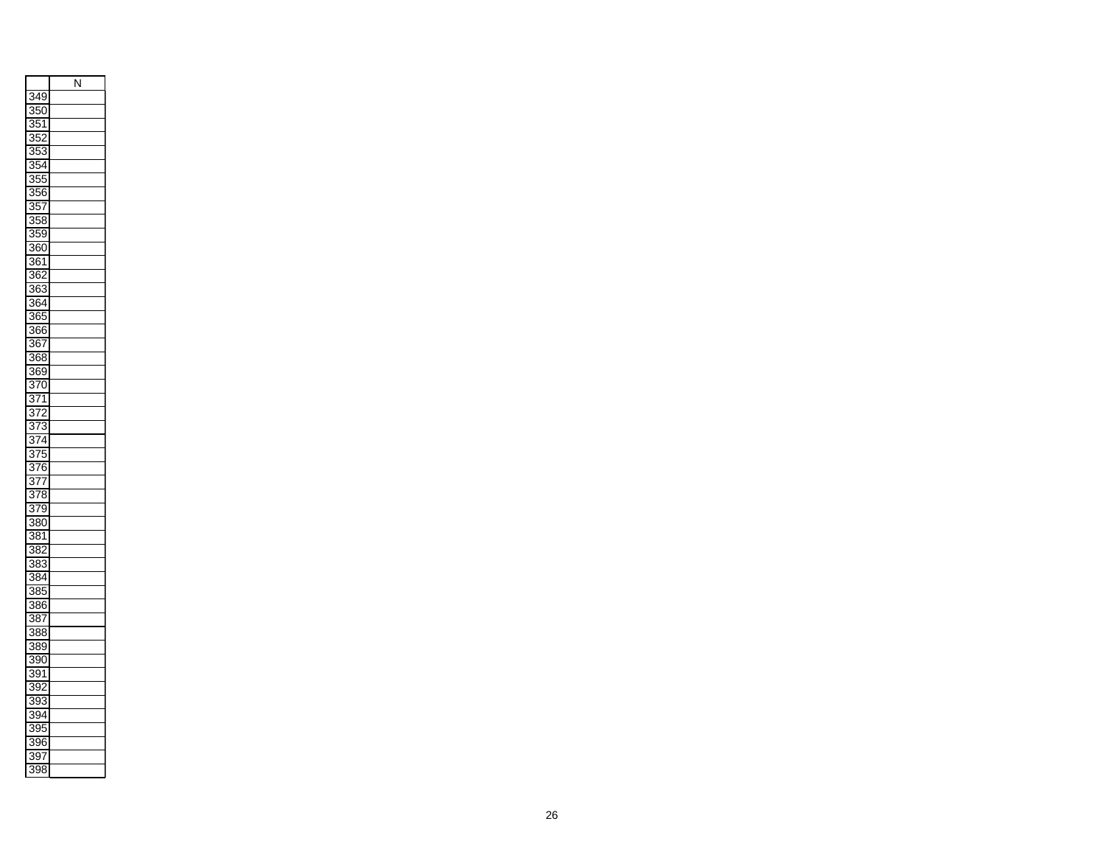|                       | N |
|-----------------------|---|
| 349                   |   |
| $\overline{350}$      |   |
| $\overline{35}$<br>1  |   |
| $\overline{352}$      |   |
| 35.<br>3              |   |
| 354                   |   |
| ķ.<br>5ł              |   |
| $\overline{356}$      |   |
| $\overline{357}$      |   |
| $\overline{358}$      |   |
| 359                   |   |
| 360                   |   |
| 361                   |   |
| 362                   |   |
| 363                   |   |
|                       |   |
| 364                   |   |
| $\overline{365}$      |   |
| 366<br>Ī              |   |
| 867                   |   |
| 368<br>3              |   |
| 369                   |   |
| $\overline{37}$<br>)  |   |
| $\overline{371}$      |   |
| $\vec{r}$<br>Ś<br>,   |   |
| $\overline{373}$      |   |
| 74<br>ś,<br>I         |   |
| 375                   |   |
| $\overline{376}$      |   |
| 37 <u>7</u>           |   |
| 378                   |   |
| 379                   |   |
| Ī<br>80               |   |
| 381                   |   |
| 382                   |   |
| 383                   |   |
| 384                   |   |
| 385                   |   |
| 386                   |   |
| 387                   |   |
| 388                   |   |
| 389                   |   |
| 390                   |   |
| Ī<br>391              |   |
| 39.                   |   |
| 393                   |   |
|                       |   |
| 39<br>94              |   |
| 395                   |   |
| š<br>9ť<br>ì          |   |
| $\overline{397}$      |   |
| $\overline{398}$<br>Ŝ |   |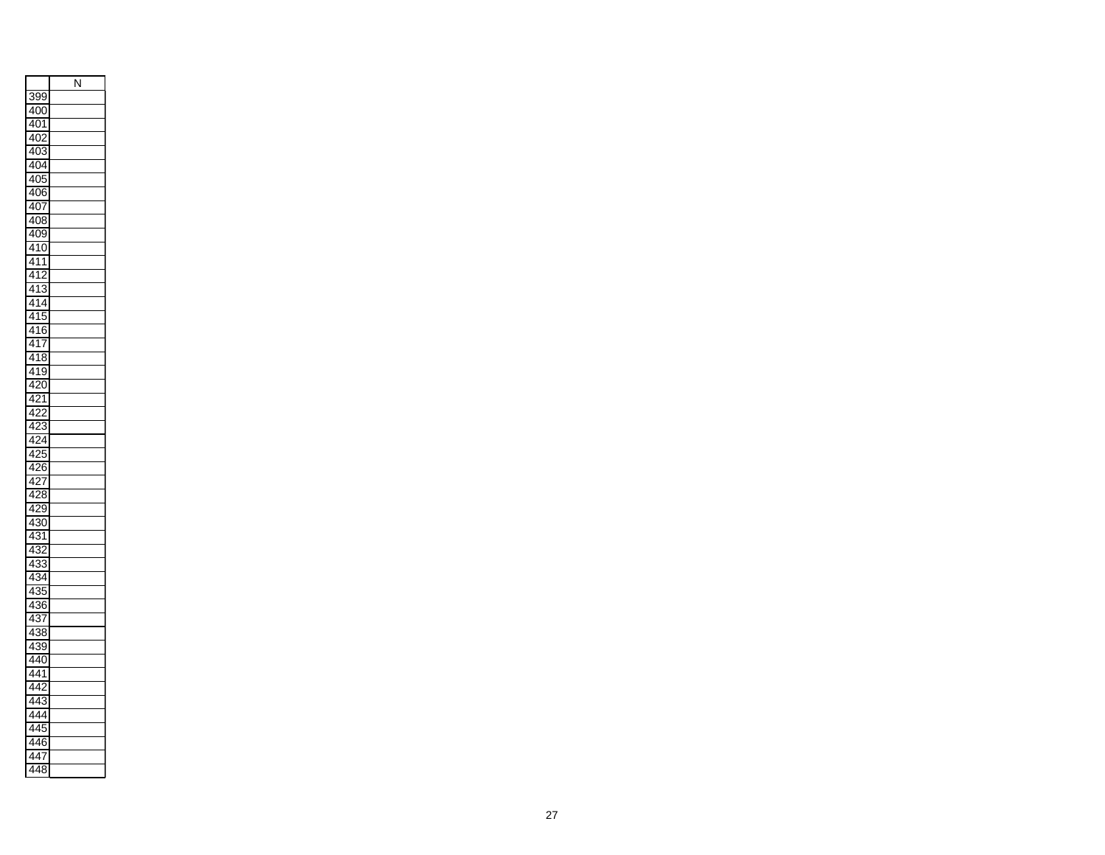|                                                           | N |
|-----------------------------------------------------------|---|
| 399                                                       |   |
| 40<br>$\overline{\mathfrak{c}}$<br>)                      |   |
| 40<br>1                                                   |   |
| ĭ<br>4(                                                   |   |
| 40                                                        |   |
| 404                                                       |   |
| 40                                                        |   |
| 4Θ<br>$\overline{\delta}$                                 |   |
| 40<br>7                                                   |   |
| 408<br>S                                                  |   |
| 40<br>)                                                   |   |
| 410                                                       |   |
| $4\overline{1}$<br>1                                      |   |
| 41<br>$\overline{2}$                                      |   |
| ֧֧֧֧֧֧֧֚֚֚֚֚֚֚֚֚֚֚֚֚֚֚֚֚֚֚֚֚֚֞֝֝֝֝֝֝֝֬֝֬֝֝<br>4<br>1<br>S |   |
| 41<br>4                                                   |   |
| 41<br>5                                                   |   |
| 6<br>41                                                   |   |
| 4<br>1<br>I                                               |   |
| 4<br>ξ<br>Š<br>1                                          |   |
| 41<br>ļ<br>)                                              |   |
| Ó<br>4<br>)                                               |   |
| 2<br>4<br>1                                               |   |
| ,<br>$\overline{4}$                                       |   |
| 3<br>4                                                    |   |
| $\overline{ }$<br>1<br>4                                  |   |
| ì<br>4<br>5                                               |   |
| 4<br>ʻ<br>6                                               |   |
| 4<br>$\mathbf{r}$                                         |   |
| $\overline{4}$<br>3                                       |   |
| 29<br>4                                                   |   |
| 4<br>30<br>)                                              |   |
| 4<br>S<br>1                                               |   |
| 4<br>3<br>$\overline{ }$                                  |   |
| 33<br>4<br>Ŝ                                              |   |
| $\overline{3}$<br>4<br>1                                  |   |
| S<br>4<br>)                                               |   |
| 36<br>4<br>j                                              |   |
| 4<br>3<br>7                                               |   |
| 3<br>4<br>ξ<br>S                                          |   |
| 39<br>4<br>)                                              |   |
| 40<br>4                                                   |   |
| 4<br>4<br>1                                               |   |
| 4<br>4                                                    |   |
| í<br>4<br>4<br>Ŝ                                          |   |
| 4<br>4                                                    |   |
| 4<br>4                                                    |   |
|                                                           |   |
| 4<br>4                                                    |   |
| 4<br>3<br>4<br>ξ                                          |   |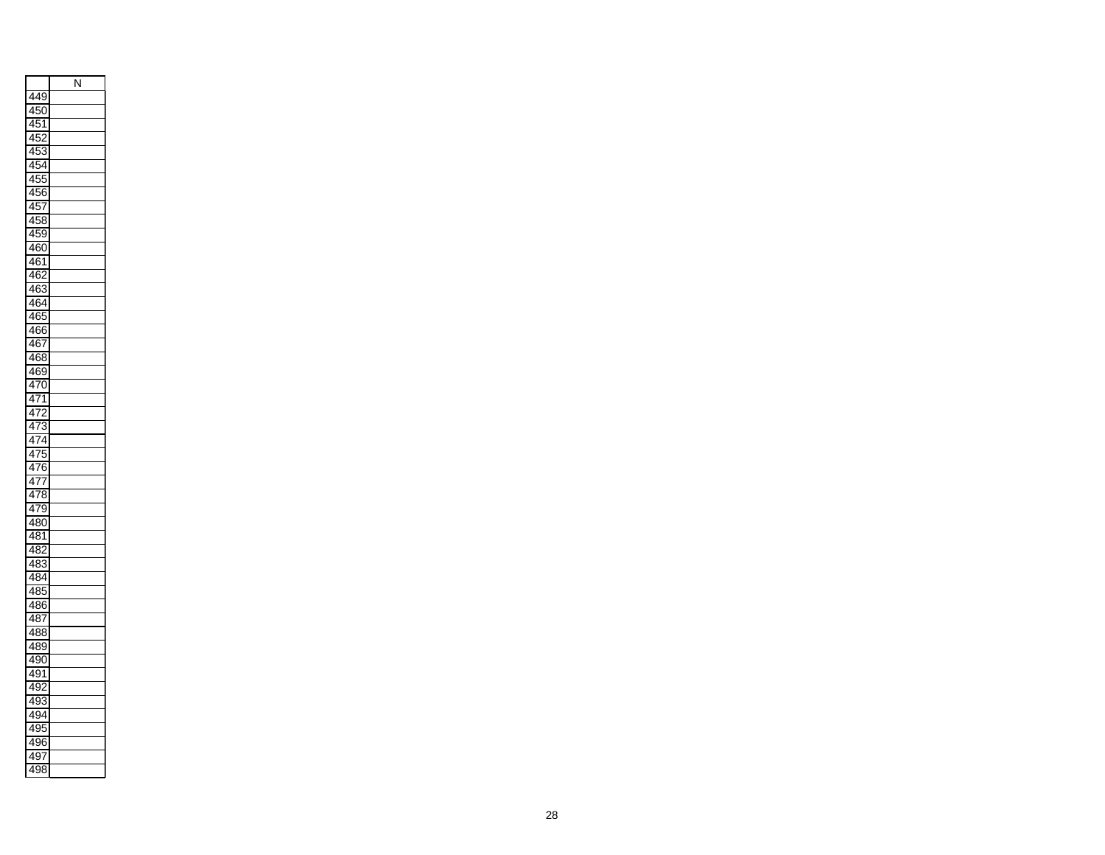|                                     | N |
|-------------------------------------|---|
| 449                                 |   |
| 450                                 |   |
| 45<br>5<br>1                        |   |
| ŗ<br>4<br>5                         |   |
| 5.<br>4                             |   |
| 45<br>4<br>5,                       |   |
| 45<br>)!                            |   |
| $\overline{45}$<br>ì                |   |
| 45<br>5<br>$\overline{\phantom{a}}$ |   |
| 458                                 |   |
| 45                                  |   |
| 460                                 |   |
| 461                                 |   |
| 46<br>2                             |   |
| 463                                 |   |
| 464                                 |   |
| 465                                 |   |
| 466                                 |   |
| 467                                 |   |
| 468<br>Š                            |   |
|                                     |   |
| 469                                 |   |
| 70<br>4                             |   |
| 471                                 |   |
| $\overline{47}$<br>,                |   |
| 473                                 |   |
| 474                                 |   |
| 475                                 |   |
| 476                                 |   |
| 477                                 |   |
| 478                                 |   |
| 479<br>ϡ                            |   |
| 480                                 |   |
| 48<br>1                             |   |
| 48<br>7                             |   |
| 48<br>Ŝ                             |   |
| 484                                 |   |
| 485                                 |   |
| 486                                 |   |
| 487                                 |   |
| 488                                 |   |
| 489<br>€                            |   |
| 490                                 |   |
| 491                                 |   |
| 49<br>9                             |   |
| 49<br>J.<br>3                       |   |
| 49<br>۱                             |   |
| 49<br>ϡ                             |   |
| Ï<br>4<br>36<br>j                   |   |
| 49<br>€                             |   |
| 49<br>K<br>Ŝ                        |   |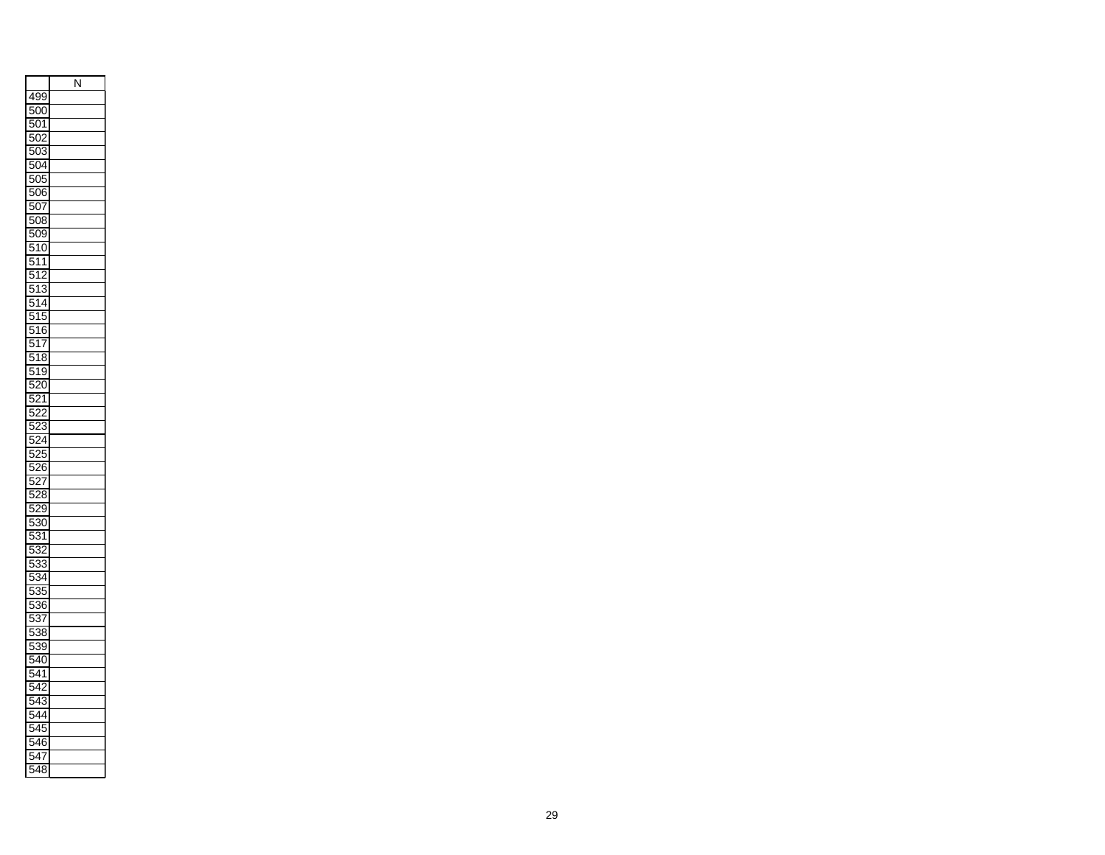|                                                                                   | N |
|-----------------------------------------------------------------------------------|---|
| 499                                                                               |   |
| ļ<br>500<br>)                                                                     |   |
| ŗ<br>$\overline{\phantom{a}}$<br>)<br>1                                           |   |
| ŗ<br>.<br>S<br>)                                                                  |   |
| ŗ<br>)3<br>5(                                                                     |   |
| ŗ<br>).<br>50<br>1                                                                |   |
| l<br>X<br>)í                                                                      |   |
| ŗ<br>5C<br>Œ<br>ì                                                                 |   |
| ļ                                                                                 |   |
| 5C<br><sup>7</sup><br>508                                                         |   |
| l                                                                                 |   |
| 5C<br>ί<br>)<br>)                                                                 |   |
| ļ<br>Ó<br>51<br>)                                                                 |   |
| l<br>1<br>1<br>5                                                                  |   |
| ֦֧֦֧֧֪֧֚֚֚֚֚֚֚֚֚֚֚֚֚֚֚֚֚֚֚֚֚֚֚֚֚֚֚֡֡֝֡֡֡֡֡֬֝֓֡֡֬<br>ŗ<br>$\overline{2}$<br>5<br>1 |   |
| 3<br>ı<br>5<br>1                                                                  |   |
| ŗ<br>5<br>1<br>4                                                                  |   |
| ŗ<br>ŗ<br>5<br>1<br>5                                                             |   |
| ļ<br>6<br>1<br>J<br>5                                                             |   |
| ļ<br>5<br>1<br>I                                                                  |   |
| ļ<br>ξ<br>1<br>š<br>í<br>)                                                        |   |
| ŗ<br>ί<br>Ĭ.<br>1<br>)<br>)                                                       |   |
| Į<br>$\overline{2}$<br>)<br>),                                                    |   |
| l<br>ž<br>,<br>1                                                                  |   |
| ı<br>ï<br>ř<br>,<br>J                                                             |   |
| ŗ<br>23<br>ĭ                                                                      |   |
| l<br>ĭ<br>$\frac{2}{4}$                                                           |   |
| C<br>25<br>j                                                                      |   |
| c<br>$\frac{5}{6}$                                                                |   |
| ŗ<br>,                                                                            |   |
| 7<br>١<br>l<br>$\overline{\mathbf{2}}$<br>ź                                       |   |
| S<br>ı                                                                            |   |
| Q<br>)<br>),                                                                      |   |
| ļ<br>3Ć<br>)<br>)                                                                 |   |
| ı<br>Ŝ<br>1<br>)                                                                  |   |
| $\ddot{\bm{r}}$<br>5<br>3:<br>,                                                   |   |
| ļ<br>3<br>Š<br>5                                                                  |   |
| ļ<br>34<br>J                                                                      |   |
| ì<br>ı<br>3ł<br>;<br>5                                                            |   |
| ŗ<br>36<br>)<br>j                                                                 |   |
| c<br>3                                                                            |   |
| Ē<br>$\overline{38}$                                                              |   |
| l<br>539<br>)                                                                     |   |
| l<br>(<br>4<br>J<br>)                                                             |   |
| ļ<br>4<br>1<br>j                                                                  |   |
| l                                                                                 |   |
| l<br>3<br>5                                                                       |   |
| ı<br>1                                                                            |   |
| ļ<br>,<br>J                                                                       |   |
| Ï<br>6<br>j                                                                       |   |
| ļ                                                                                 |   |
| J<br>ŗ                                                                            |   |
| 4<br>Ŝ<br>ξ<br>J                                                                  |   |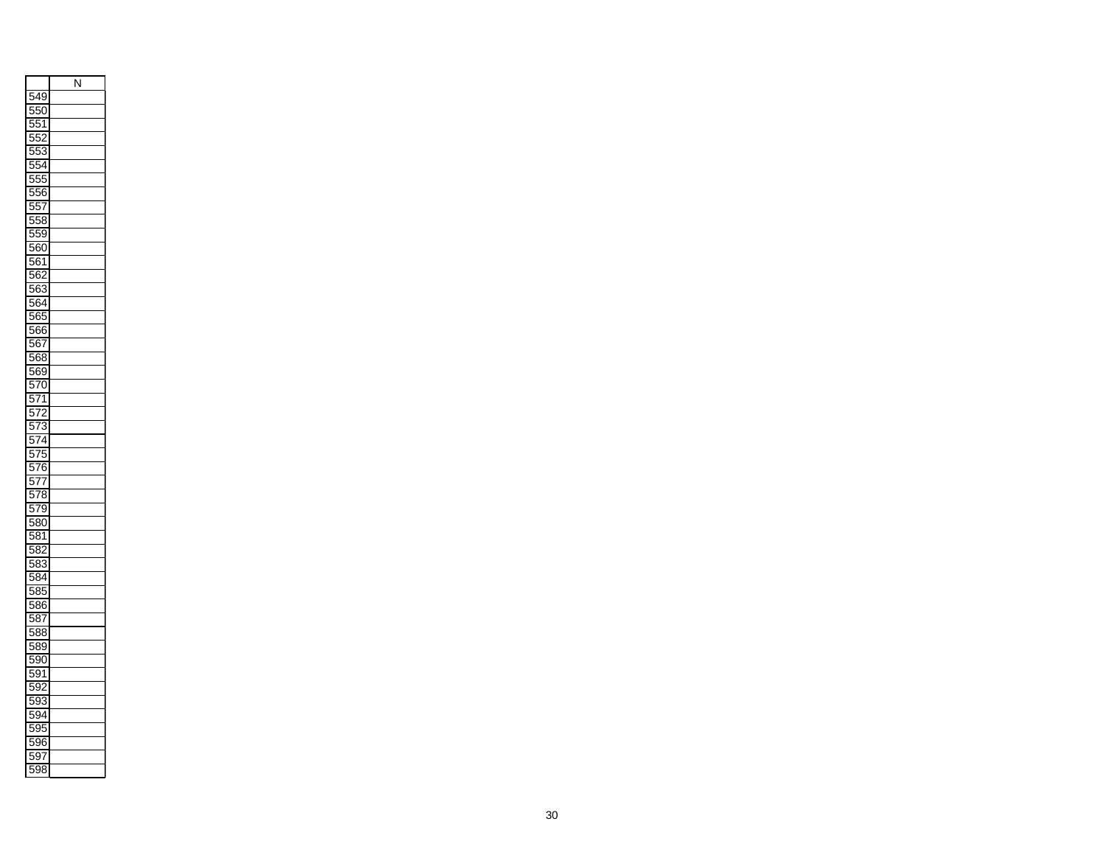|                                                      | N |
|------------------------------------------------------|---|
| 549<br>ϡ                                             |   |
| 550<br>)                                             |   |
| ļ<br>ă<br>1<br>5                                     |   |
| l<br>ļ<br>í<br>5                                     |   |
| ŗ<br>ŗ<br>53                                         |   |
| l<br>ļ<br>54                                         |   |
| L<br>555                                             |   |
| c                                                    |   |
| $\overline{56}$                                      |   |
| ŗ<br>ŗ<br>,<br>7<br>j                                |   |
| ļ<br>5ł<br>58                                        |   |
| ļ<br>Į<br>)<br>)                                     |   |
| ļ<br>560                                             |   |
| ŗ<br>56<br>1                                         |   |
| $\overline{52}$<br>Į<br>$\overline{\delta}$          |   |
| ļ<br>õб<br>$\overline{\mathbf{3}}$                   |   |
| ŗ<br>56<br>34                                        |   |
| ļ<br>i<br>ă<br>5                                     |   |
| 566                                                  |   |
| ļ<br>56<br>$\overline{\phantom{a}}$                  |   |
| ŗ<br>БE<br>$\overline{\bf 8}$                        |   |
| ļ<br>$\overline{39}$<br>õб                           |   |
| ļ<br>$\overline{\epsilon}$<br>)<br>)<br>í            |   |
| ļ<br>5<br>1<br>$\overline{1}$                        |   |
| ļ<br>᠈<br>5<br>$\overline{1}$                        |   |
| $\overline{573}$<br>ļ                                |   |
| l<br>$\overline{4}$<br>J<br>$\overline{\phantom{a}}$ |   |
| ļ<br>$\overline{5}$<br>,<br>I                        |   |
| ļ<br>в<br>ì<br>)<br>I                                |   |
| ļ<br>5<br>$\overline{1}$<br>7                        |   |
| ļ<br>78<br>5<br>Ŝ<br>Í                               |   |
| ļ<br>i<br>)<br>ヲ<br>I                                |   |
| ļ<br>30<br>āξ<br>)                                   |   |
| ļ<br>Į<br>Ŝ<br>1                                     |   |
| )<br>ļ<br>$\overline{\mathbf{8}}$<br>$\overline{ }$  |   |
| ļ<br>ä<br>33<br>ś                                    |   |
| ļ<br>ä                                               |   |
| $\overline{3}4$<br>ı                                 |   |
| ä<br>gī<br>5                                         |   |
| ļ<br>ōξ<br>86                                        |   |
| ŗ<br>ă<br>Ŝ<br>l                                     |   |
| ŗ<br>588                                             |   |
| ŗ<br>$\overline{8}$<br>)                             |   |
| ļ<br>5Ś<br>K<br>)                                    |   |
| ļ<br>ä<br>)<br>1                                     |   |
| l<br>ä<br>)                                          |   |
| ļ<br>ÿ,<br>Ì.<br>Š                                   |   |
| ļ<br>ä<br>94                                         |   |
| ļ<br>5<br>)<br>5                                     |   |
| ī<br>į.<br>6<br>)<br>ć                               |   |
| ļ<br>59<br>)                                         |   |
| ŗ<br>ā<br>J8<br>Ŝ                                    |   |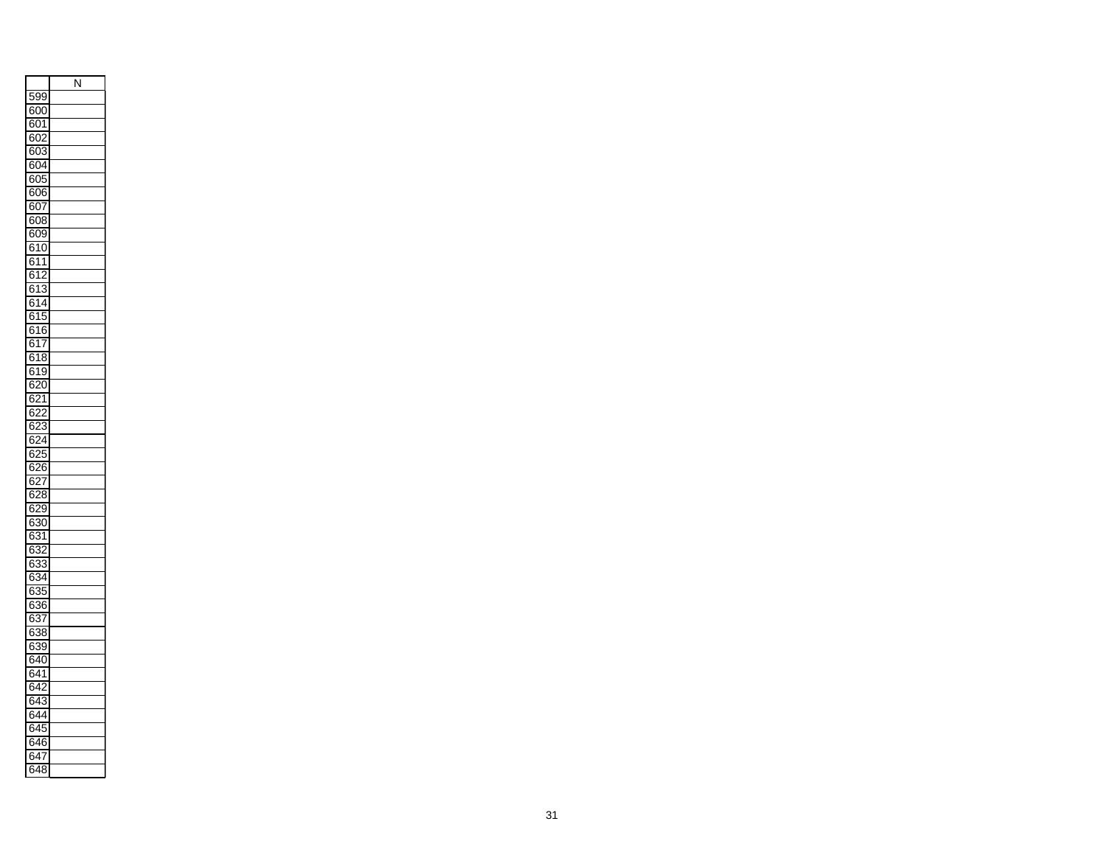|                                   | N |
|-----------------------------------|---|
| 599                               |   |
| 600                               |   |
| i01<br>в                          |   |
| 6<br>òĆ<br>)                      |   |
| 60:                               |   |
| ł<br>SC<br>).                     |   |
| 6<br>ŝĆ<br>$\mathbf{r}$           |   |
| 6<br>506                          |   |
| в<br>5C<br>$\sum_{i=1}^{n}$       |   |
| 608                               |   |
| ł<br>5O9                          |   |
| $\overline{\mathbf{3}}$<br>0<br>в |   |
| 6<br>$\frac{1}{2}$<br>1           |   |
| 61'<br>$\overline{ }$             |   |
| 6<br>$\mathbf{S}^{\prime}$<br>Ŝ   |   |
| 61<br>$\overline{4}$              |   |
| 61<br>5                           |   |
| 6<br>6<br>51                      |   |
| 6<br>$\mathbf{S}^{\prime}$        |   |
| Ī<br>ξ                            |   |
| 3<br>6<br>1<br>j                  |   |
| $\overline{31}$<br>9<br>6         |   |
| 20<br>ł<br>S,<br>)                |   |
| $\overline{2}$<br>ł<br>1<br>᠈     |   |
| ž<br>6<br>,                       |   |
| $^{23}$<br>6<br>δŹ                |   |
| 324<br>6                          |   |
| $\overline{25}$<br>ł<br>)         |   |
| $\overline{26}$<br>6<br>j         |   |
| 6.<br>27                          |   |
| <b>28</b><br>6                    |   |
| $\frac{1}{2}$<br>6<br>j,<br>)     |   |
| $\overline{30}$<br>6              |   |
| S<br>ł<br>š,<br>1                 |   |
| 63<br>2                           |   |
| $\overline{33}$<br>ł<br>ś         |   |
| $\frac{34}{2}$<br>6               |   |
| 33<br>6<br>5                      |   |
| 36<br>6                           |   |
| $\overline{3}$<br>6<br>l          |   |
| 38<br>ł<br>ĭ.<br>ŝ                |   |
| $\overline{33}$<br>6<br>ϡ         |   |
| 6<br>540                          |   |
| 6<br>$\frac{1}{4}$<br>1           |   |
| ł<br>54                           |   |
| :<br>6<br>54<br>ξ                 |   |
| ł<br>54                           |   |
| ł<br><b>34</b>                    |   |
| ŀ<br>š,<br>f<br>ì                 |   |
| 6<br>$\frac{2}{3}$<br>j           |   |
| 6<br>$\overline{548}$<br>Š        |   |
|                                   |   |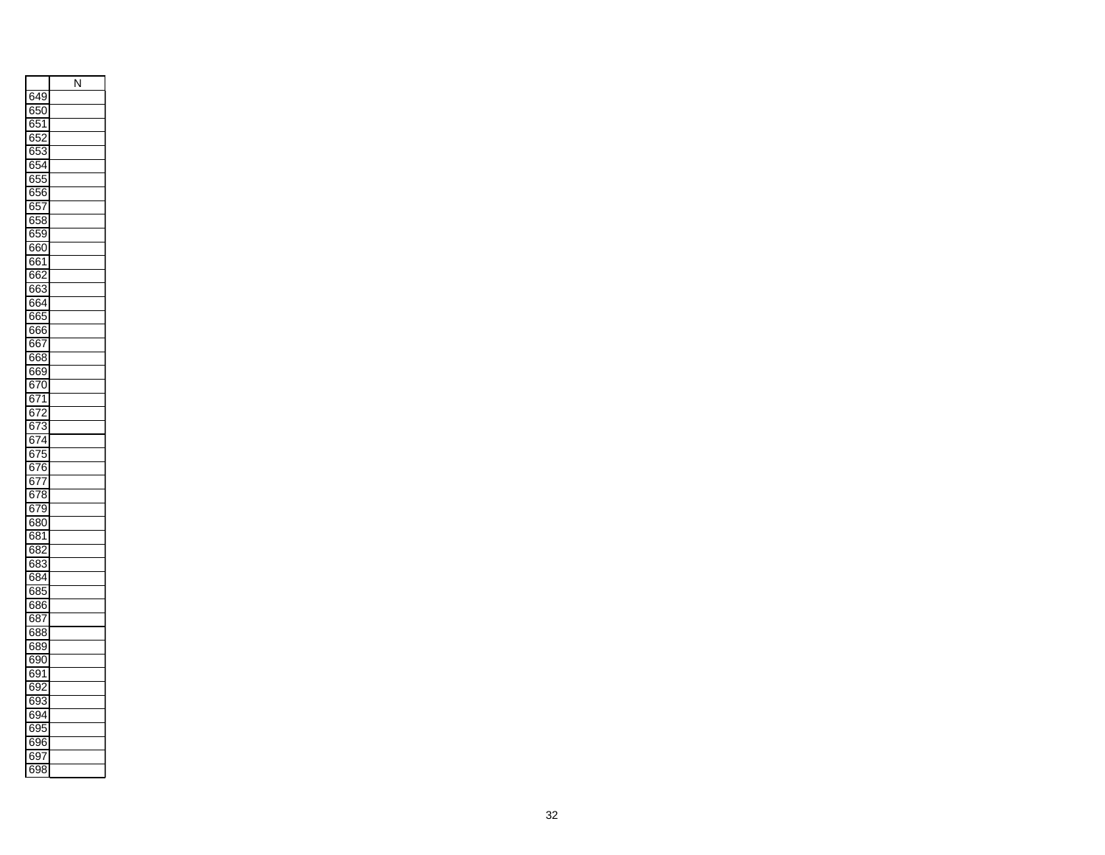|                                               | Ñ |
|-----------------------------------------------|---|
| 649                                           |   |
| 650<br>)                                      |   |
| 65<br>1                                       |   |
| 652<br>J                                      |   |
| šť<br>ł<br>j.                                 |   |
| 354<br>6                                      |   |
| $\frac{1}{2}$<br>)!<br>в                      |   |
| 656                                           |   |
| 65<br>Ĩ                                       |   |
| 658                                           |   |
| 6<br>55                                       |   |
| )                                             |   |
| 60<br>6                                       |   |
| 661                                           |   |
| 66<br>2                                       |   |
| 663                                           |   |
| 664                                           |   |
| 665<br>5                                      |   |
| 666                                           |   |
| 67<br>в                                       |   |
| 668<br>S                                      |   |
| 669                                           |   |
| $\overline{57}$<br>Е<br>)                     |   |
| $\overline{571}$<br>в                         |   |
| ŕ<br>6<br>,<br>$\frac{1}{2}$                  |   |
| $\overline{673}$                              |   |
| 74<br>6                                       |   |
| 57<br>675                                     |   |
|                                               |   |
| 676                                           |   |
| ł<br>37 <u>7</u>                              |   |
| ;78<br>6                                      |   |
| 379<br>в                                      |   |
| 680                                           |   |
| 681                                           |   |
| $\overline{\overline{\textbf{32}}}$<br>7<br>в |   |
| йŠ<br>6<br>Ŝ                                  |   |
| 384<br>6                                      |   |
| 685<br>5                                      |   |
| 686<br>j                                      |   |
| 68<br>7                                       |   |
| 688                                           |   |
| 38<br>6<br>ϡ                                  |   |
| 6<br>390                                      |   |
| в<br>391                                      |   |
|                                               |   |
| 59.<br>6                                      |   |
| 693                                           |   |
| $\overline{\mathbf{S}}$<br>1<br>ł<br>ر(       |   |
| 39.<br>6                                      |   |
| š<br>6<br>96<br>j                             |   |
| 69                                            |   |
| б<br>398<br>Ŝ                                 |   |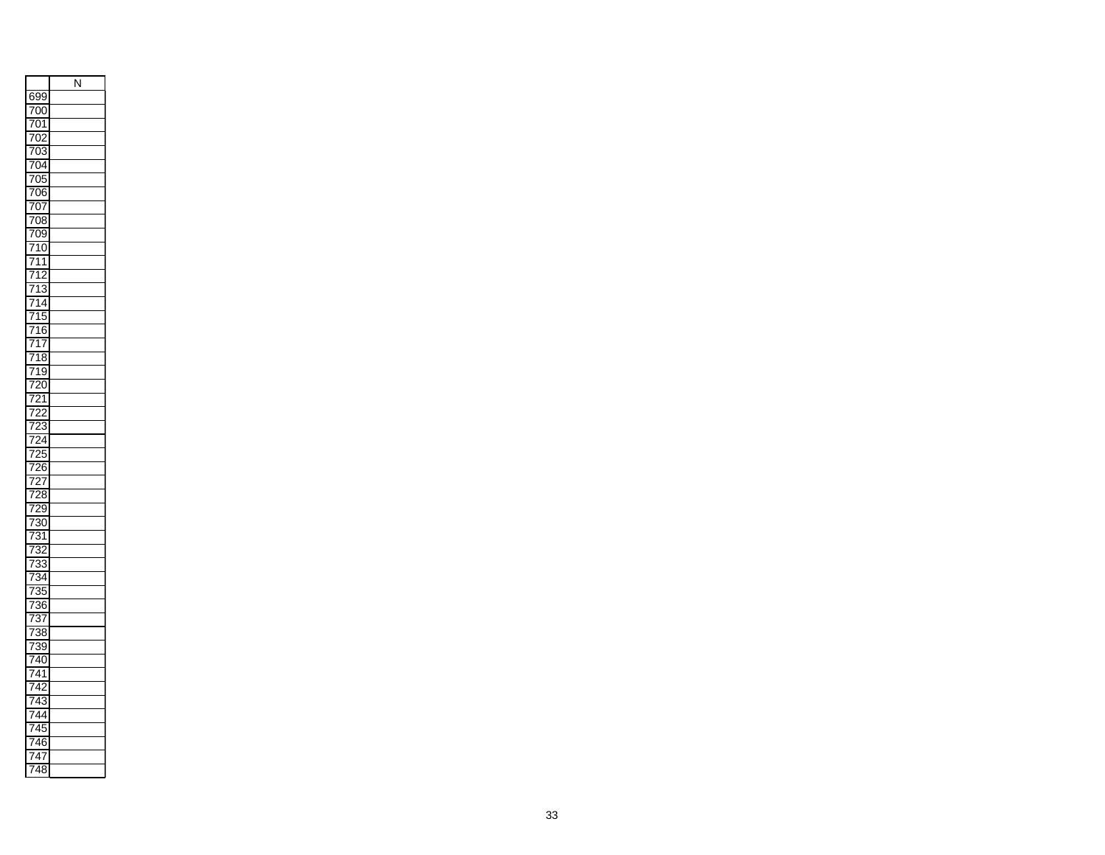|                                                                                                    | J<br>Ņ |
|----------------------------------------------------------------------------------------------------|--------|
| 69<br>X<br>ϡ                                                                                       |        |
| ้<br>)(<br>I<br>)                                                                                  |        |
| 7<br>1<br>)<br>$\overline{1}$                                                                      |        |
| í<br>ï<br>)<br>)                                                                                   |        |
| 7<br>)<br>$\overline{1}$<br>ξ                                                                      |        |
| 7<br>)4<br>I                                                                                       |        |
| 7<br>)!                                                                                            |        |
| $\overline{\mathfrak{z}}$<br>7<br>ì                                                                |        |
| $\mathcal{I}(\mathcal{I})$<br>7<br>)<br>Ī                                                          |        |
| i<br>ׇ֧֧֢֚֚֡֕֓<br>֧֚֚֚֚֚֚֚֚֚֝<br>ׇׇ֧֧֧֧֧֧֧֖֧֧֚֚֚֚֚֚֝֝֬֝֬֝֬֝֬֝֬֝֬<br>$\overline{\mathfrak{z}}$<br>Ŝ |        |
| $\overline{1}$<br>7<br>X<br>)                                                                      |        |
| 7<br>7<br>$\overline{0}$                                                                           |        |
| 1<br>1<br>ï                                                                                        |        |
| 7<br>í<br>7<br>,                                                                                   |        |
| ֖֪֪֪֪֪֪֪֪֪֪֪֪֪֪֪֦֚֚֚֚֚֚֚֚֚֚֚֚֚֚֚֬֝֝֝֝֝֝֝֝<br>ļ<br>1<br>l                                           |        |
| $\overline{1}$<br>Z<br>$\overline{1}$<br>į                                                         |        |
| Į<br>1<br>ı<br>)                                                                                   |        |
| 71<br>6<br>έ                                                                                       |        |
| 1<br>7<br>l                                                                                        |        |
| 71<br>ξ<br>S                                                                                       |        |
| 1<br>ί<br>7<br>)                                                                                   |        |
| (<br>)                                                                                             |        |
| $\overline{1}$<br>5<br>Ī                                                                           |        |
| j<br>ī                                                                                             |        |
| Š<br>$\overline{1}$                                                                                |        |
| ۱                                                                                                  |        |
| I<br>ļ<br>,                                                                                        |        |
| I<br>5<br>$\overline{ }$<br>6<br>ì                                                                 |        |
| l<br>$\overline{1}$                                                                                |        |
| )<br>٤<br>Ŝ                                                                                        |        |
| ı<br>Š<br>$\overline{ }$<br>)                                                                      |        |
| $\overline{1}$<br>í<br>3<br>)                                                                      |        |
| I                                                                                                  |        |
| 1<br>$\overline{1}$<br>Ŝ<br>Š<br>)                                                                 |        |
| I<br>7<br>ś                                                                                        |        |
| ₹<br>l                                                                                             |        |
| Ì                                                                                                  |        |
| l                                                                                                  |        |
| S<br>6<br>ì<br>I<br>Ì                                                                              |        |
| $\frac{1}{1}$                                                                                      |        |
| S<br>ξ<br>Š                                                                                        |        |
| ì<br>Ì<br>۱<br>l                                                                                   |        |
| 74<br>(<br>$\overline{1}$<br>)                                                                     |        |
| ۱<br>j<br>1<br>I                                                                                   |        |
| $\overline{1}$                                                                                     |        |
| Ś<br>1<br>ï                                                                                        |        |
| ı<br>l                                                                                             |        |
| 7<br>ļ                                                                                             |        |
| í<br>)                                                                                             |        |
| 1<br>$\overline{\phantom{a}}$<br>ï                                                                 |        |
| 4<br>ξ<br>Š<br>$\overline{1}$                                                                      |        |